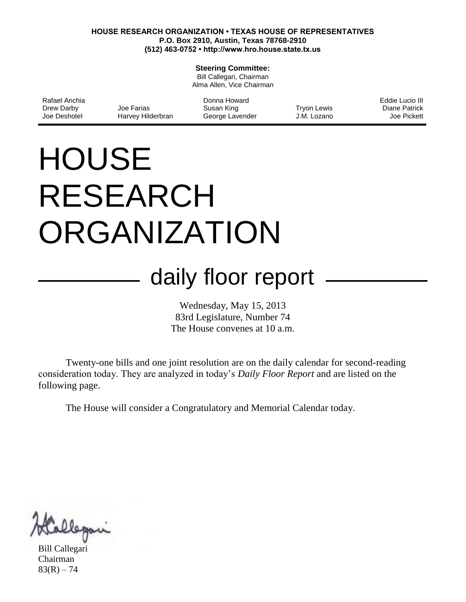#### **HOUSE RESEARCH ORGANIZATION • TEXAS HOUSE OF REPRESENTATIVES P.O. Box 2910, Austin, Texas 78768-2910 (512) 463-0752 • http://www.hro.house.state.tx.us**

#### **Steering Committee:**

Bill Callegari, Chairman Alma Allen, Vice Chairman

| Rafael Anchia |                   | Donna Howard    |             | Eddie Lucio III |
|---------------|-------------------|-----------------|-------------|-----------------|
| Drew Darby    | Joe Farias        | Susan King      | Tryon Lewis | Diane Patrick   |
| Joe Deshotel  | Harvey Hilderbran | George Lavender | J.M. Lozano | Joe Pickett     |

# **HOUSE** RESEARCH ORGANIZATION

## daily floor report

Wednesday, May 15, 2013 83rd Legislature, Number 74 The House convenes at 10 a.m.

Twenty-one bills and one joint resolution are on the daily calendar for second-reading consideration today. They are analyzed in today's *Daily Floor Report* and are listed on the following page.

The House will consider a Congratulatory and Memorial Calendar today.

Bill Callegari Chairman  $83(R) - 74$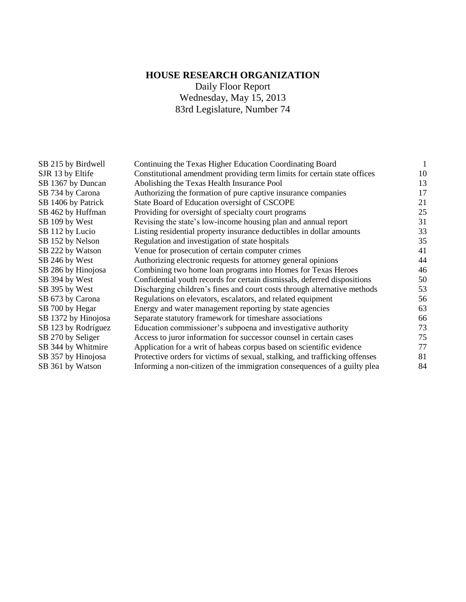### **HOUSE RESEARCH ORGANIZATION**

Daily Floor Report Wednesday, May 15, 2013 83rd Legislature, Number 74

| SB 215 by Birdwell  | Continuing the Texas Higher Education Coordinating Board                    | 1  |
|---------------------|-----------------------------------------------------------------------------|----|
| SJR 13 by Eltife    | Constitutional amendment providing term limits for certain state offices    | 10 |
| SB 1367 by Duncan   | Abolishing the Texas Health Insurance Pool                                  | 13 |
| SB 734 by Carona    | Authorizing the formation of pure captive insurance companies               | 17 |
| SB 1406 by Patrick  | State Board of Education oversight of CSCOPE                                | 21 |
| SB 462 by Huffman   | Providing for oversight of specialty court programs                         | 25 |
| SB 109 by West      | Revising the state's low-income housing plan and annual report              | 31 |
| SB 112 by Lucio     | Listing residential property insurance deductibles in dollar amounts        | 33 |
| SB 152 by Nelson    | Regulation and investigation of state hospitals                             | 35 |
| SB 222 by Watson    | Venue for prosecution of certain computer crimes                            | 41 |
| SB 246 by West      | Authorizing electronic requests for attorney general opinions               | 44 |
| SB 286 by Hinojosa  | Combining two home loan programs into Homes for Texas Heroes                | 46 |
| SB 394 by West      | Confidential youth records for certain dismissals, deferred dispositions    | 50 |
| SB 395 by West      | Discharging children's fines and court costs through alternative methods    | 53 |
| SB 673 by Carona    | Regulations on elevators, escalators, and related equipment                 | 56 |
| SB 700 by Hegar     | Energy and water management reporting by state agencies                     | 63 |
| SB 1372 by Hinojosa | Separate statutory framework for timeshare associations                     | 66 |
| SB 123 by Rodríguez | Education commissioner's subpoena and investigative authority               | 73 |
| SB 270 by Seliger   | Access to juror information for successor counsel in certain cases          | 75 |
| SB 344 by Whitmire  | Application for a writ of habeas corpus based on scientific evidence        | 77 |
| SB 357 by Hinojosa  | Protective orders for victims of sexual, stalking, and trafficking offenses | 81 |
| SB 361 by Watson    | Informing a non-citizen of the immigration consequences of a guilty plea    | 84 |
|                     |                                                                             |    |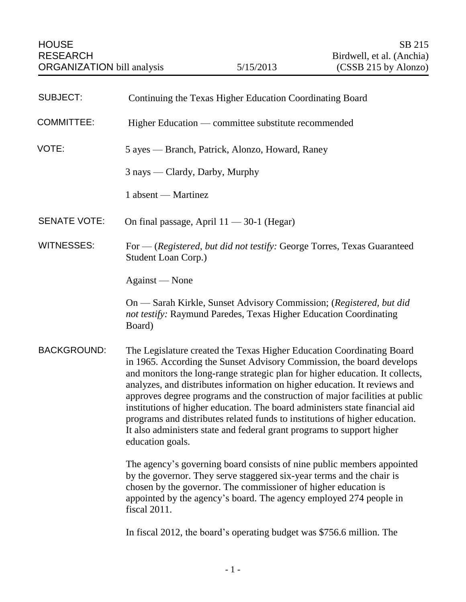<span id="page-2-0"></span>

| <b>SUBJECT:</b>     | Continuing the Texas Higher Education Coordinating Board                                                                                                                                                                                                                                                                                                                                                                                                                                                                                                                                                                                                |
|---------------------|---------------------------------------------------------------------------------------------------------------------------------------------------------------------------------------------------------------------------------------------------------------------------------------------------------------------------------------------------------------------------------------------------------------------------------------------------------------------------------------------------------------------------------------------------------------------------------------------------------------------------------------------------------|
| <b>COMMITTEE:</b>   | Higher Education — committee substitute recommended                                                                                                                                                                                                                                                                                                                                                                                                                                                                                                                                                                                                     |
| VOTE:               | 5 ayes — Branch, Patrick, Alonzo, Howard, Raney                                                                                                                                                                                                                                                                                                                                                                                                                                                                                                                                                                                                         |
|                     | 3 nays — Clardy, Darby, Murphy                                                                                                                                                                                                                                                                                                                                                                                                                                                                                                                                                                                                                          |
|                     | 1 absent — Martinez                                                                                                                                                                                                                                                                                                                                                                                                                                                                                                                                                                                                                                     |
| <b>SENATE VOTE:</b> | On final passage, April $11 - 30-1$ (Hegar)                                                                                                                                                                                                                                                                                                                                                                                                                                                                                                                                                                                                             |
| <b>WITNESSES:</b>   | For — (Registered, but did not testify: George Torres, Texas Guaranteed<br>Student Loan Corp.)                                                                                                                                                                                                                                                                                                                                                                                                                                                                                                                                                          |
|                     | Against — None                                                                                                                                                                                                                                                                                                                                                                                                                                                                                                                                                                                                                                          |
|                     | On — Sarah Kirkle, Sunset Advisory Commission; (Registered, but did<br>not testify: Raymund Paredes, Texas Higher Education Coordinating<br>Board)                                                                                                                                                                                                                                                                                                                                                                                                                                                                                                      |
| <b>BACKGROUND:</b>  | The Legislature created the Texas Higher Education Coordinating Board<br>in 1965. According the Sunset Advisory Commission, the board develops<br>and monitors the long-range strategic plan for higher education. It collects,<br>analyzes, and distributes information on higher education. It reviews and<br>approves degree programs and the construction of major facilities at public<br>institutions of higher education. The board administers state financial aid<br>programs and distributes related funds to institutions of higher education.<br>It also administers state and federal grant programs to support higher<br>education goals. |
|                     | The agency's governing board consists of nine public members appointed<br>by the governor. They serve staggered six-year terms and the chair is<br>chosen by the governor. The commissioner of higher education is<br>appointed by the agency's board. The agency employed 274 people in<br>fiscal 2011.                                                                                                                                                                                                                                                                                                                                                |

In fiscal 2012, the board's operating budget was \$756.6 million. The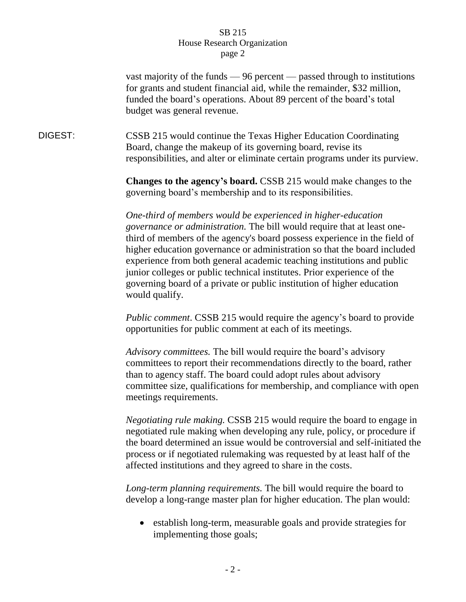vast majority of the funds — 96 percent — passed through to institutions for grants and student financial aid, while the remainder, \$32 million, funded the board's operations. About 89 percent of the board's total budget was general revenue.

DIGEST: CSSB 215 would continue the Texas Higher Education Coordinating Board, change the makeup of its governing board, revise its responsibilities, and alter or eliminate certain programs under its purview.

> **Changes to the agency's board.** CSSB 215 would make changes to the governing board's membership and to its responsibilities.

*One-third of members would be experienced in higher-education governance or administration.* The bill would require that at least onethird of members of the agency's board possess experience in the field of higher education governance or administration so that the board included experience from both general academic teaching institutions and public junior colleges or public technical institutes. Prior experience of the governing board of a private or public institution of higher education would qualify.

*Public comment*. CSSB 215 would require the agency's board to provide opportunities for public comment at each of its meetings.

*Advisory committees.* The bill would require the board's advisory committees to report their recommendations directly to the board, rather than to agency staff. The board could adopt rules about advisory committee size, qualifications for membership, and compliance with open meetings requirements.

*Negotiating rule making.* CSSB 215 would require the board to engage in negotiated rule making when developing any rule, policy, or procedure if the board determined an issue would be controversial and self-initiated the process or if negotiated rulemaking was requested by at least half of the affected institutions and they agreed to share in the costs.

*Long-term planning requirements.* The bill would require the board to develop a long-range master plan for higher education. The plan would:

 establish long-term, measurable goals and provide strategies for implementing those goals;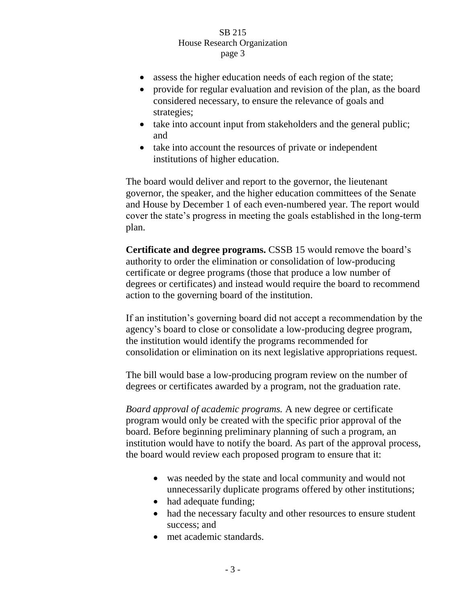- assess the higher education needs of each region of the state;
- provide for regular evaluation and revision of the plan, as the board considered necessary, to ensure the relevance of goals and strategies;
- take into account input from stakeholders and the general public; and
- take into account the resources of private or independent institutions of higher education.

The board would deliver and report to the governor, the lieutenant governor, the speaker, and the higher education committees of the Senate and House by December 1 of each even-numbered year. The report would cover the state's progress in meeting the goals established in the long-term plan.

**Certificate and degree programs.** CSSB 15 would remove the board's authority to order the elimination or consolidation of low-producing certificate or degree programs (those that produce a low number of degrees or certificates) and instead would require the board to recommend action to the governing board of the institution.

If an institution's governing board did not accept a recommendation by the agency's board to close or consolidate a low-producing degree program, the institution would identify the programs recommended for consolidation or elimination on its next legislative appropriations request.

The bill would base a low-producing program review on the number of degrees or certificates awarded by a program, not the graduation rate.

*Board approval of academic programs.* A new degree or certificate program would only be created with the specific prior approval of the board. Before beginning preliminary planning of such a program, an institution would have to notify the board. As part of the approval process, the board would review each proposed program to ensure that it:

- was needed by the state and local community and would not unnecessarily duplicate programs offered by other institutions;
- had adequate funding;
- had the necessary faculty and other resources to ensure student success; and
- met academic standards.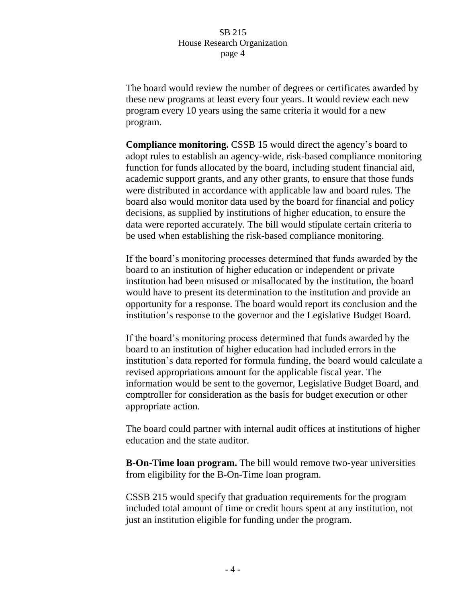The board would review the number of degrees or certificates awarded by these new programs at least every four years. It would review each new program every 10 years using the same criteria it would for a new program.

**Compliance monitoring.** CSSB 15 would direct the agency's board to adopt rules to establish an agency-wide, risk-based compliance monitoring function for funds allocated by the board, including student financial aid, academic support grants, and any other grants, to ensure that those funds were distributed in accordance with applicable law and board rules. The board also would monitor data used by the board for financial and policy decisions, as supplied by institutions of higher education, to ensure the data were reported accurately. The bill would stipulate certain criteria to be used when establishing the risk-based compliance monitoring.

If the board's monitoring processes determined that funds awarded by the board to an institution of higher education or independent or private institution had been misused or misallocated by the institution, the board would have to present its determination to the institution and provide an opportunity for a response. The board would report its conclusion and the institution's response to the governor and the Legislative Budget Board.

If the board's monitoring process determined that funds awarded by the board to an institution of higher education had included errors in the institution's data reported for formula funding, the board would calculate a revised appropriations amount for the applicable fiscal year. The information would be sent to the governor, Legislative Budget Board, and comptroller for consideration as the basis for budget execution or other appropriate action.

The board could partner with internal audit offices at institutions of higher education and the state auditor.

**B-On-Time loan program.** The bill would remove two-year universities from eligibility for the B-On-Time loan program.

CSSB 215 would specify that graduation requirements for the program included total amount of time or credit hours spent at any institution, not just an institution eligible for funding under the program.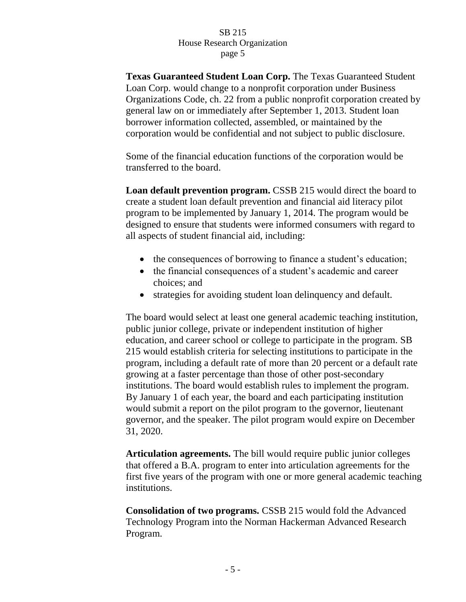**Texas Guaranteed Student Loan Corp.** The Texas Guaranteed Student Loan Corp. would change to a nonprofit corporation under Business Organizations Code, ch. 22 from a public nonprofit corporation created by general law on or immediately after September 1, 2013. Student loan borrower information collected, assembled, or maintained by the corporation would be confidential and not subject to public disclosure.

Some of the financial education functions of the corporation would be transferred to the board.

**Loan default prevention program.** CSSB 215 would direct the board to create a student loan default prevention and financial aid literacy pilot program to be implemented by January 1, 2014. The program would be designed to ensure that students were informed consumers with regard to all aspects of student financial aid, including:

- the consequences of borrowing to finance a student's education;
- the financial consequences of a student's academic and career choices; and
- strategies for avoiding student loan delinquency and default.

The board would select at least one general academic teaching institution, public junior college, private or independent institution of higher education, and career school or college to participate in the program. SB 215 would establish criteria for selecting institutions to participate in the program, including a default rate of more than 20 percent or a default rate growing at a faster percentage than those of other post-secondary institutions. The board would establish rules to implement the program. By January 1 of each year, the board and each participating institution would submit a report on the pilot program to the governor, lieutenant governor, and the speaker. The pilot program would expire on December 31, 2020.

**Articulation agreements.** The bill would require public junior colleges that offered a B.A. program to enter into articulation agreements for the first five years of the program with one or more general academic teaching institutions.

**Consolidation of two programs.** CSSB 215 would fold the Advanced Technology Program into the Norman Hackerman Advanced Research Program.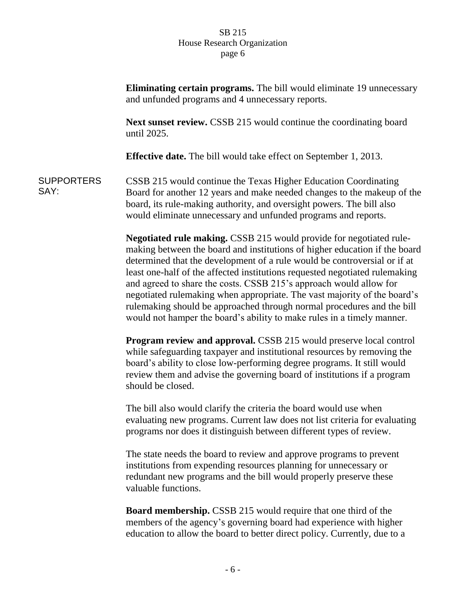|                           | Eliminating certain programs. The bill would eliminate 19 unnecessary<br>and unfunded programs and 4 unnecessary reports.                                                                                                                                                                                                                                                                                                                                                                                                                                                                                           |
|---------------------------|---------------------------------------------------------------------------------------------------------------------------------------------------------------------------------------------------------------------------------------------------------------------------------------------------------------------------------------------------------------------------------------------------------------------------------------------------------------------------------------------------------------------------------------------------------------------------------------------------------------------|
|                           | Next sunset review. CSSB 215 would continue the coordinating board<br>until 2025.                                                                                                                                                                                                                                                                                                                                                                                                                                                                                                                                   |
|                           | <b>Effective date.</b> The bill would take effect on September 1, 2013.                                                                                                                                                                                                                                                                                                                                                                                                                                                                                                                                             |
| <b>SUPPORTERS</b><br>SAY: | CSSB 215 would continue the Texas Higher Education Coordinating<br>Board for another 12 years and make needed changes to the makeup of the<br>board, its rule-making authority, and oversight powers. The bill also<br>would eliminate unnecessary and unfunded programs and reports.                                                                                                                                                                                                                                                                                                                               |
|                           | Negotiated rule making. CSSB 215 would provide for negotiated rule-<br>making between the board and institutions of higher education if the board<br>determined that the development of a rule would be controversial or if at<br>least one-half of the affected institutions requested negotiated rulemaking<br>and agreed to share the costs. CSSB 215's approach would allow for<br>negotiated rulemaking when appropriate. The vast majority of the board's<br>rulemaking should be approached through normal procedures and the bill<br>would not hamper the board's ability to make rules in a timely manner. |
|                           | Program review and approval. CSSB 215 would preserve local control<br>while safeguarding taxpayer and institutional resources by removing the<br>board's ability to close low-performing degree programs. It still would<br>review them and advise the governing board of institutions if a program<br>should be closed.                                                                                                                                                                                                                                                                                            |
|                           | The bill also would clarify the criteria the board would use when<br>evaluating new programs. Current law does not list criteria for evaluating<br>programs nor does it distinguish between different types of review.                                                                                                                                                                                                                                                                                                                                                                                              |
|                           | The state needs the board to review and approve programs to prevent<br>institutions from expending resources planning for unnecessary or<br>redundant new programs and the bill would properly preserve these<br>valuable functions.                                                                                                                                                                                                                                                                                                                                                                                |
|                           | <b>Board membership.</b> CSSB 215 would require that one third of the<br>members of the agency's governing board had experience with higher<br>education to allow the board to better direct policy. Currently, due to a                                                                                                                                                                                                                                                                                                                                                                                            |
|                           |                                                                                                                                                                                                                                                                                                                                                                                                                                                                                                                                                                                                                     |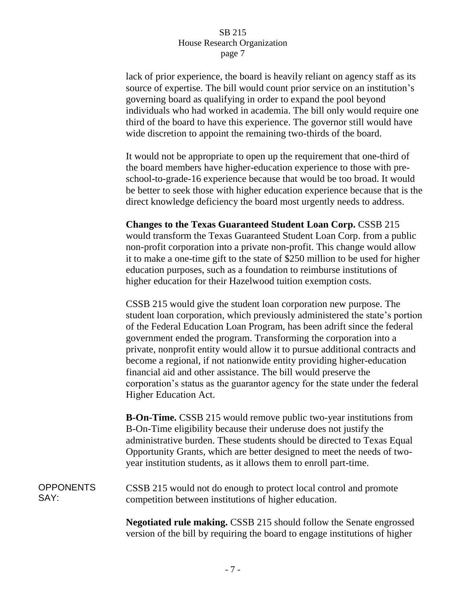lack of prior experience, the board is heavily reliant on agency staff as its source of expertise. The bill would count prior service on an institution's governing board as qualifying in order to expand the pool beyond individuals who had worked in academia. The bill only would require one third of the board to have this experience. The governor still would have wide discretion to appoint the remaining two-thirds of the board.

It would not be appropriate to open up the requirement that one-third of the board members have higher-education experience to those with preschool-to-grade-16 experience because that would be too broad. It would be better to seek those with higher education experience because that is the direct knowledge deficiency the board most urgently needs to address.

**Changes to the Texas Guaranteed Student Loan Corp.** CSSB 215 would transform the Texas Guaranteed Student Loan Corp. from a public non-profit corporation into a private non-profit. This change would allow it to make a one-time gift to the state of \$250 million to be used for higher education purposes, such as a foundation to reimburse institutions of higher education for their Hazelwood tuition exemption costs.

CSSB 215 would give the student loan corporation new purpose. The student loan corporation, which previously administered the state's portion of the Federal Education Loan Program, has been adrift since the federal government ended the program. Transforming the corporation into a private, nonprofit entity would allow it to pursue additional contracts and become a regional, if not nationwide entity providing higher-education financial aid and other assistance. The bill would preserve the corporation's status as the guarantor agency for the state under the federal Higher Education Act.

**B-On-Time.** CSSB 215 would remove public two-year institutions from B-On-Time eligibility because their underuse does not justify the administrative burden. These students should be directed to Texas Equal Opportunity Grants, which are better designed to meet the needs of twoyear institution students, as it allows them to enroll part-time.

#### **OPPONENTS** SAY: CSSB 215 would not do enough to protect local control and promote competition between institutions of higher education.

**Negotiated rule making.** CSSB 215 should follow the Senate engrossed version of the bill by requiring the board to engage institutions of higher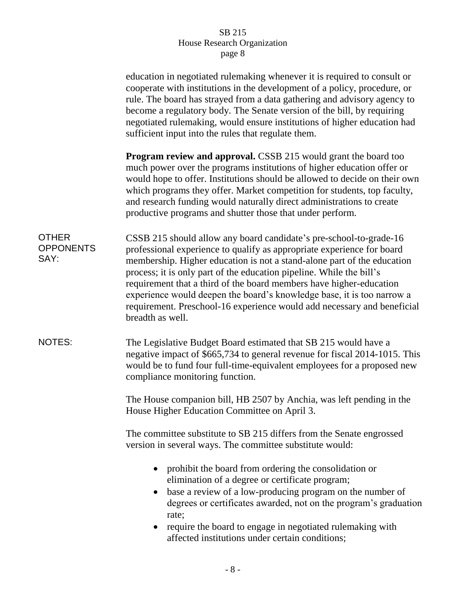|                                          | education in negotiated rulemaking whenever it is required to consult or<br>cooperate with institutions in the development of a policy, procedure, or<br>rule. The board has strayed from a data gathering and advisory agency to<br>become a regulatory body. The Senate version of the bill, by requiring<br>negotiated rulemaking, would ensure institutions of higher education had<br>sufficient input into the rules that regulate them.                                                                                                  |
|------------------------------------------|-------------------------------------------------------------------------------------------------------------------------------------------------------------------------------------------------------------------------------------------------------------------------------------------------------------------------------------------------------------------------------------------------------------------------------------------------------------------------------------------------------------------------------------------------|
|                                          | <b>Program review and approval.</b> CSSB 215 would grant the board too<br>much power over the programs institutions of higher education offer or<br>would hope to offer. Institutions should be allowed to decide on their own<br>which programs they offer. Market competition for students, top faculty,<br>and research funding would naturally direct administrations to create<br>productive programs and shutter those that under perform.                                                                                                |
| <b>OTHER</b><br><b>OPPONENTS</b><br>SAY: | CSSB 215 should allow any board candidate's pre-school-to-grade-16<br>professional experience to qualify as appropriate experience for board<br>membership. Higher education is not a stand-alone part of the education<br>process; it is only part of the education pipeline. While the bill's<br>requirement that a third of the board members have higher-education<br>experience would deepen the board's knowledge base, it is too narrow a<br>requirement. Preschool-16 experience would add necessary and beneficial<br>breadth as well. |
| <b>NOTES:</b>                            | The Legislative Budget Board estimated that SB 215 would have a<br>negative impact of \$665,734 to general revenue for fiscal 2014-1015. This<br>would be to fund four full-time-equivalent employees for a proposed new<br>compliance monitoring function.                                                                                                                                                                                                                                                                                     |
|                                          | The House companion bill, HB 2507 by Anchia, was left pending in the<br>House Higher Education Committee on April 3.                                                                                                                                                                                                                                                                                                                                                                                                                            |
|                                          | The committee substitute to SB 215 differs from the Senate engrossed<br>version in several ways. The committee substitute would:                                                                                                                                                                                                                                                                                                                                                                                                                |
|                                          | prohibit the board from ordering the consolidation or<br>elimination of a degree or certificate program;<br>base a review of a low-producing program on the number of<br>degrees or certificates awarded, not on the program's graduation<br>rate;<br>require the board to engage in negotiated rulemaking with<br>affected institutions under certain conditions;                                                                                                                                                                              |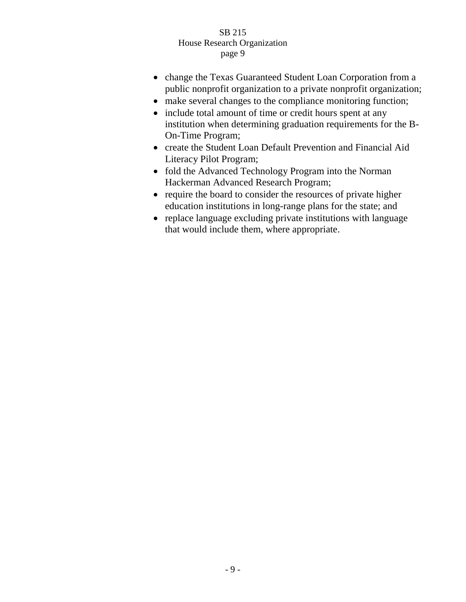- change the Texas Guaranteed Student Loan Corporation from a public nonprofit organization to a private nonprofit organization;
- make several changes to the compliance monitoring function;
- include total amount of time or credit hours spent at any institution when determining graduation requirements for the B-On-Time Program;
- create the Student Loan Default Prevention and Financial Aid Literacy Pilot Program;
- fold the Advanced Technology Program into the Norman Hackerman Advanced Research Program;
- require the board to consider the resources of private higher education institutions in long-range plans for the state; and
- replace language excluding private institutions with language that would include them, where appropriate.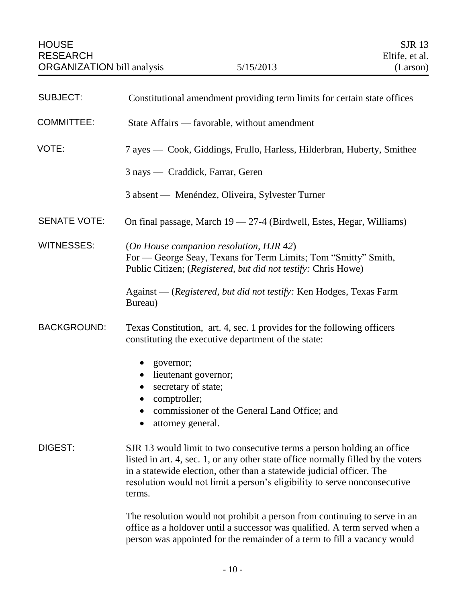<span id="page-11-0"></span>

| <b>SUBJECT:</b>     | Constitutional amendment providing term limits for certain state offices                                                                                                                                                                                                                                                    |
|---------------------|-----------------------------------------------------------------------------------------------------------------------------------------------------------------------------------------------------------------------------------------------------------------------------------------------------------------------------|
| <b>COMMITTEE:</b>   | State Affairs — favorable, without amendment                                                                                                                                                                                                                                                                                |
| VOTE:               | 7 ayes — Cook, Giddings, Frullo, Harless, Hilderbran, Huberty, Smithee                                                                                                                                                                                                                                                      |
|                     | 3 nays — Craddick, Farrar, Geren                                                                                                                                                                                                                                                                                            |
|                     | 3 absent — Menéndez, Oliveira, Sylvester Turner                                                                                                                                                                                                                                                                             |
| <b>SENATE VOTE:</b> | On final passage, March 19 - 27-4 (Birdwell, Estes, Hegar, Williams)                                                                                                                                                                                                                                                        |
| <b>WITNESSES:</b>   | (On House companion resolution, HJR 42)<br>For — George Seay, Texans for Term Limits; Tom "Smitty" Smith,<br>Public Citizen; (Registered, but did not testify: Chris Howe)                                                                                                                                                  |
|                     | Against — (Registered, but did not testify: Ken Hodges, Texas Farm<br>Bureau)                                                                                                                                                                                                                                               |
| <b>BACKGROUND:</b>  | Texas Constitution, art. 4, sec. 1 provides for the following officers<br>constituting the executive department of the state:                                                                                                                                                                                               |
|                     | governor;<br>$\bullet$<br>lieutenant governor;<br>$\bullet$<br>secretary of state;<br>$\bullet$<br>comptroller;<br>$\bullet$<br>commissioner of the General Land Office; and<br>attorney general.                                                                                                                           |
| DIGEST:             | SJR 13 would limit to two consecutive terms a person holding an office<br>listed in art. 4, sec. 1, or any other state office normally filled by the voters<br>in a statewide election, other than a statewide judicial officer. The<br>resolution would not limit a person's eligibility to serve nonconsecutive<br>terms. |
|                     | The resolution would not prohibit a person from continuing to serve in an<br>$1: \mathcal{L}$ and $\Lambda$ taken as<br>a haldayan watil a guaggagan waa a                                                                                                                                                                  |

office as a holdover until a successor was qualified. A term served when a person was appointed for the remainder of a term to fill a vacancy would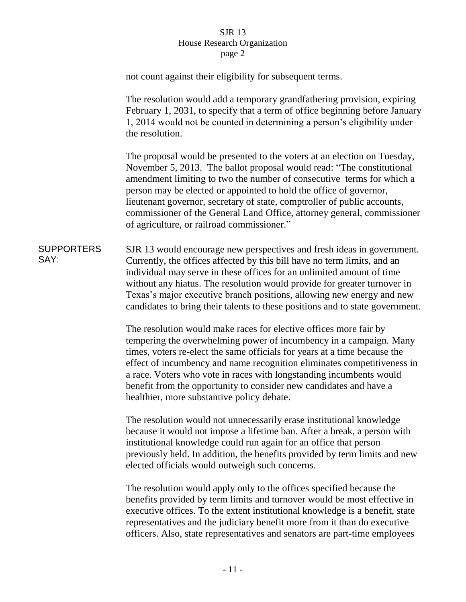|                           | not count against their eligibility for subsequent terms.                                                                                                                                                                                                                                                                                                                                                                                                                                             |
|---------------------------|-------------------------------------------------------------------------------------------------------------------------------------------------------------------------------------------------------------------------------------------------------------------------------------------------------------------------------------------------------------------------------------------------------------------------------------------------------------------------------------------------------|
|                           | The resolution would add a temporary grandfathering provision, expiring<br>February 1, 2031, to specify that a term of office beginning before January<br>1, 2014 would not be counted in determining a person's eligibility under<br>the resolution.                                                                                                                                                                                                                                                 |
|                           | The proposal would be presented to the voters at an election on Tuesday,<br>November 5, 2013. The ballot proposal would read: "The constitutional<br>amendment limiting to two the number of consecutive terms for which a<br>person may be elected or appointed to hold the office of governor,<br>lieutenant governor, secretary of state, comptroller of public accounts,<br>commissioner of the General Land Office, attorney general, commissioner<br>of agriculture, or railroad commissioner." |
| <b>SUPPORTERS</b><br>SAY: | SJR 13 would encourage new perspectives and fresh ideas in government.<br>Currently, the offices affected by this bill have no term limits, and an<br>individual may serve in these offices for an unlimited amount of time<br>without any hiatus. The resolution would provide for greater turnover in<br>Texas's major executive branch positions, allowing new energy and new<br>candidates to bring their talents to these positions and to state government.                                     |
|                           | The resolution would make races for elective offices more fair by<br>tempering the overwhelming power of incumbency in a campaign. Many<br>times, voters re-elect the same officials for years at a time because the<br>effect of incumbency and name recognition eliminates competitiveness in<br>a race. Voters who vote in races with longstanding incumbents would<br>benefit from the opportunity to consider new candidates and have a<br>healthier, more substantive policy debate.            |
|                           | The resolution would not unnecessarily erase institutional knowledge<br>because it would not impose a lifetime ban. After a break, a person with<br>institutional knowledge could run again for an office that person<br>previously held. In addition, the benefits provided by term limits and new<br>elected officials would outweigh such concerns.                                                                                                                                                |
|                           | The resolution would apply only to the offices specified because the<br>benefits provided by term limits and turnover would be most effective in<br>executive offices. To the extent institutional knowledge is a benefit, state<br>representatives and the judiciary benefit more from it than do executive                                                                                                                                                                                          |

officers. Also, state representatives and senators are part-time employees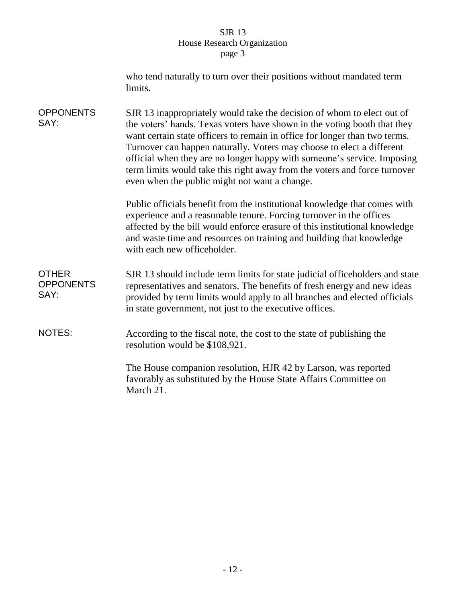|                                          | who tend naturally to turn over their positions without mandated term<br>limits.                                                                                                                                                                                                                                                                                                                                                                                                                                   |  |
|------------------------------------------|--------------------------------------------------------------------------------------------------------------------------------------------------------------------------------------------------------------------------------------------------------------------------------------------------------------------------------------------------------------------------------------------------------------------------------------------------------------------------------------------------------------------|--|
| <b>OPPONENTS</b><br>SAY:                 | SJR 13 inappropriately would take the decision of whom to elect out of<br>the voters' hands. Texas voters have shown in the voting booth that they<br>want certain state officers to remain in office for longer than two terms.<br>Turnover can happen naturally. Voters may choose to elect a different<br>official when they are no longer happy with someone's service. Imposing<br>term limits would take this right away from the voters and force turnover<br>even when the public might not want a change. |  |
|                                          | Public officials benefit from the institutional knowledge that comes with<br>experience and a reasonable tenure. Forcing turnover in the offices<br>affected by the bill would enforce erasure of this institutional knowledge<br>and waste time and resources on training and building that knowledge<br>with each new officeholder.                                                                                                                                                                              |  |
| <b>OTHER</b><br><b>OPPONENTS</b><br>SAY: | SJR 13 should include term limits for state judicial officeholders and state<br>representatives and senators. The benefits of fresh energy and new ideas<br>provided by term limits would apply to all branches and elected officials<br>in state government, not just to the executive offices.                                                                                                                                                                                                                   |  |
| <b>NOTES:</b>                            | According to the fiscal note, the cost to the state of publishing the<br>resolution would be \$108,921.                                                                                                                                                                                                                                                                                                                                                                                                            |  |
|                                          | The House companion resolution, HJR 42 by Larson, was reported<br>favorably as substituted by the House State Affairs Committee on<br>March 21.                                                                                                                                                                                                                                                                                                                                                                    |  |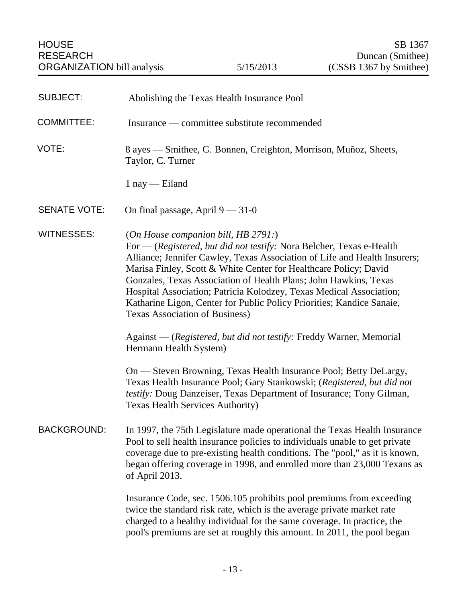<span id="page-14-0"></span>

| <b>SUBJECT:</b>     | Abolishing the Texas Health Insurance Pool                                                                                                                                                                                                                                                                                                                                                                                                                                                                                |
|---------------------|---------------------------------------------------------------------------------------------------------------------------------------------------------------------------------------------------------------------------------------------------------------------------------------------------------------------------------------------------------------------------------------------------------------------------------------------------------------------------------------------------------------------------|
| <b>COMMITTEE:</b>   | Insurance — committee substitute recommended                                                                                                                                                                                                                                                                                                                                                                                                                                                                              |
| VOTE:               | 8 ayes — Smithee, G. Bonnen, Creighton, Morrison, Muñoz, Sheets,<br>Taylor, C. Turner                                                                                                                                                                                                                                                                                                                                                                                                                                     |
|                     | $1$ nay — Eiland                                                                                                                                                                                                                                                                                                                                                                                                                                                                                                          |
| <b>SENATE VOTE:</b> | On final passage, April $9 - 31 - 0$                                                                                                                                                                                                                                                                                                                                                                                                                                                                                      |
| <b>WITNESSES:</b>   | (On House companion bill, HB 2791:)<br>For — (Registered, but did not testify: Nora Belcher, Texas e-Health<br>Alliance; Jennifer Cawley, Texas Association of Life and Health Insurers;<br>Marisa Finley, Scott & White Center for Healthcare Policy; David<br>Gonzales, Texas Association of Health Plans; John Hawkins, Texas<br>Hospital Association; Patricia Kolodzey, Texas Medical Association;<br>Katharine Ligon, Center for Public Policy Priorities; Kandice Sanaie,<br><b>Texas Association of Business)</b> |
|                     | Against — (Registered, but did not testify: Freddy Warner, Memorial<br>Hermann Health System)                                                                                                                                                                                                                                                                                                                                                                                                                             |
|                     | On — Steven Browning, Texas Health Insurance Pool; Betty DeLargy,<br>Texas Health Insurance Pool; Gary Stankowski; (Registered, but did not<br>testify: Doug Danzeiser, Texas Department of Insurance; Tony Gilman,<br><b>Texas Health Services Authority)</b>                                                                                                                                                                                                                                                            |
| <b>BACKGROUND:</b>  | In 1997, the 75th Legislature made operational the Texas Health Insurance<br>Pool to sell health insurance policies to individuals unable to get private<br>coverage due to pre-existing health conditions. The "pool," as it is known,<br>began offering coverage in 1998, and enrolled more than 23,000 Texans as<br>of April 2013.                                                                                                                                                                                     |
|                     | Insurance Code, sec. 1506.105 prohibits pool premiums from exceeding<br>twice the standard risk rate, which is the average private market rate<br>charged to a healthy individual for the same coverage. In practice, the<br>pool's premiums are set at roughly this amount. In 2011, the pool began                                                                                                                                                                                                                      |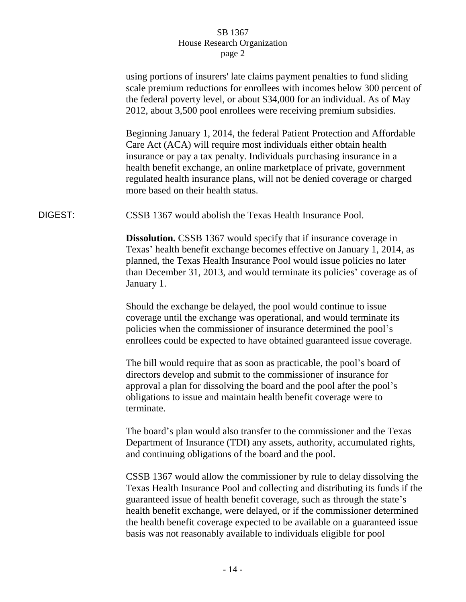|         | using portions of insurers' late claims payment penalties to fund sliding<br>scale premium reductions for enrollees with incomes below 300 percent of<br>the federal poverty level, or about \$34,000 for an individual. As of May<br>2012, about 3,500 pool enrollees were receiving premium subsidies.<br>Beginning January 1, 2014, the federal Patient Protection and Affordable<br>Care Act (ACA) will require most individuals either obtain health<br>insurance or pay a tax penalty. Individuals purchasing insurance in a<br>health benefit exchange, an online marketplace of private, government<br>regulated health insurance plans, will not be denied coverage or charged<br>more based on their health status. |
|---------|-------------------------------------------------------------------------------------------------------------------------------------------------------------------------------------------------------------------------------------------------------------------------------------------------------------------------------------------------------------------------------------------------------------------------------------------------------------------------------------------------------------------------------------------------------------------------------------------------------------------------------------------------------------------------------------------------------------------------------|
| DIGEST: | CSSB 1367 would abolish the Texas Health Insurance Pool.                                                                                                                                                                                                                                                                                                                                                                                                                                                                                                                                                                                                                                                                      |
|         | <b>Dissolution.</b> CSSB 1367 would specify that if insurance coverage in<br>Texas' health benefit exchange becomes effective on January 1, 2014, as<br>planned, the Texas Health Insurance Pool would issue policies no later<br>than December 31, 2013, and would terminate its policies' coverage as of<br>January 1.                                                                                                                                                                                                                                                                                                                                                                                                      |
|         | Should the exchange be delayed, the pool would continue to issue<br>coverage until the exchange was operational, and would terminate its<br>policies when the commissioner of insurance determined the pool's<br>enrollees could be expected to have obtained guaranteed issue coverage.                                                                                                                                                                                                                                                                                                                                                                                                                                      |
|         | The bill would require that as soon as practicable, the pool's board of<br>directors develop and submit to the commissioner of insurance for<br>approval a plan for dissolving the board and the pool after the pool's<br>obligations to issue and maintain health benefit coverage were to<br>terminate.                                                                                                                                                                                                                                                                                                                                                                                                                     |
|         | The board's plan would also transfer to the commissioner and the Texas<br>Department of Insurance (TDI) any assets, authority, accumulated rights,<br>and continuing obligations of the board and the pool.                                                                                                                                                                                                                                                                                                                                                                                                                                                                                                                   |
|         | CSSB 1367 would allow the commissioner by rule to delay dissolving the<br>Texas Health Insurance Pool and collecting and distributing its funds if the<br>guaranteed issue of health benefit coverage, such as through the state's<br>health benefit exchange, were delayed, or if the commissioner determined<br>the health benefit coverage expected to be available on a guaranteed issue<br>basis was not reasonably available to individuals eligible for pool                                                                                                                                                                                                                                                           |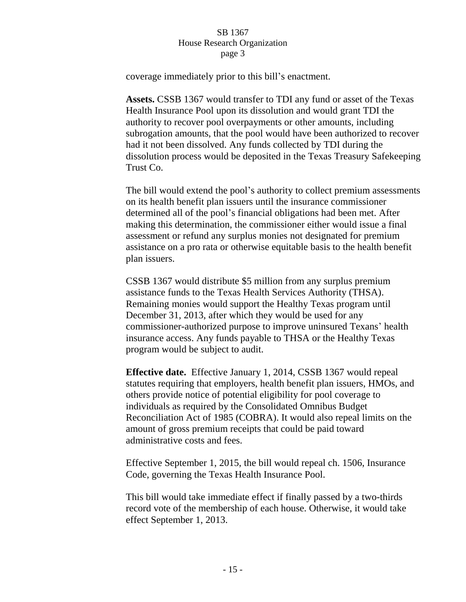coverage immediately prior to this bill's enactment.

**Assets.** CSSB 1367 would transfer to TDI any fund or asset of the Texas Health Insurance Pool upon its dissolution and would grant TDI the authority to recover pool overpayments or other amounts, including subrogation amounts, that the pool would have been authorized to recover had it not been dissolved. Any funds collected by TDI during the dissolution process would be deposited in the Texas Treasury Safekeeping Trust Co.

The bill would extend the pool's authority to collect premium assessments on its health benefit plan issuers until the insurance commissioner determined all of the pool's financial obligations had been met. After making this determination, the commissioner either would issue a final assessment or refund any surplus monies not designated for premium assistance on a pro rata or otherwise equitable basis to the health benefit plan issuers.

CSSB 1367 would distribute \$5 million from any surplus premium assistance funds to the Texas Health Services Authority (THSA). Remaining monies would support the Healthy Texas program until December 31, 2013, after which they would be used for any commissioner-authorized purpose to improve uninsured Texans' health insurance access. Any funds payable to THSA or the Healthy Texas program would be subject to audit.

**Effective date.** Effective January 1, 2014, CSSB 1367 would repeal statutes requiring that employers, health benefit plan issuers, HMOs, and others provide notice of potential eligibility for pool coverage to individuals as required by the Consolidated Omnibus Budget Reconciliation Act of 1985 (COBRA). It would also repeal limits on the amount of gross premium receipts that could be paid toward administrative costs and fees.

Effective September 1, 2015, the bill would repeal ch. 1506, Insurance Code, governing the Texas Health Insurance Pool.

This bill would take immediate effect if finally passed by a two-thirds record vote of the membership of each house. Otherwise, it would take effect September 1, 2013.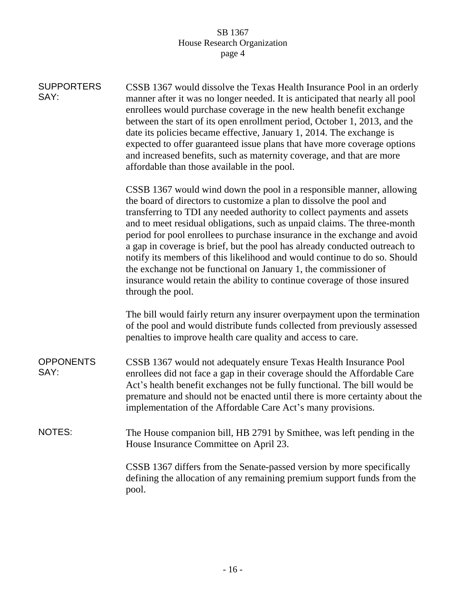| <b>SUPPORTERS</b><br>SAY: | CSSB 1367 would dissolve the Texas Health Insurance Pool in an orderly<br>manner after it was no longer needed. It is anticipated that nearly all pool<br>enrollees would purchase coverage in the new health benefit exchange<br>between the start of its open enrollment period, October 1, 2013, and the<br>date its policies became effective, January 1, 2014. The exchange is<br>expected to offer guaranteed issue plans that have more coverage options<br>and increased benefits, such as maternity coverage, and that are more<br>affordable than those available in the pool.                                                                                                                        |
|---------------------------|-----------------------------------------------------------------------------------------------------------------------------------------------------------------------------------------------------------------------------------------------------------------------------------------------------------------------------------------------------------------------------------------------------------------------------------------------------------------------------------------------------------------------------------------------------------------------------------------------------------------------------------------------------------------------------------------------------------------|
|                           | CSSB 1367 would wind down the pool in a responsible manner, allowing<br>the board of directors to customize a plan to dissolve the pool and<br>transferring to TDI any needed authority to collect payments and assets<br>and to meet residual obligations, such as unpaid claims. The three-month<br>period for pool enrollees to purchase insurance in the exchange and avoid<br>a gap in coverage is brief, but the pool has already conducted outreach to<br>notify its members of this likelihood and would continue to do so. Should<br>the exchange not be functional on January 1, the commissioner of<br>insurance would retain the ability to continue coverage of those insured<br>through the pool. |
|                           | The bill would fairly return any insurer overpayment upon the termination<br>of the pool and would distribute funds collected from previously assessed<br>penalties to improve health care quality and access to care.                                                                                                                                                                                                                                                                                                                                                                                                                                                                                          |
| <b>OPPONENTS</b><br>SAY:  | CSSB 1367 would not adequately ensure Texas Health Insurance Pool<br>enrollees did not face a gap in their coverage should the Affordable Care<br>Act's health benefit exchanges not be fully functional. The bill would be<br>premature and should not be enacted until there is more certainty about the<br>implementation of the Affordable Care Act's many provisions.                                                                                                                                                                                                                                                                                                                                      |
| NOTES:                    | The House companion bill, HB 2791 by Smithee, was left pending in the<br>House Insurance Committee on April 23.                                                                                                                                                                                                                                                                                                                                                                                                                                                                                                                                                                                                 |
|                           | CSSB 1367 differs from the Senate-passed version by more specifically<br>defining the allocation of any remaining premium support funds from the<br>pool.                                                                                                                                                                                                                                                                                                                                                                                                                                                                                                                                                       |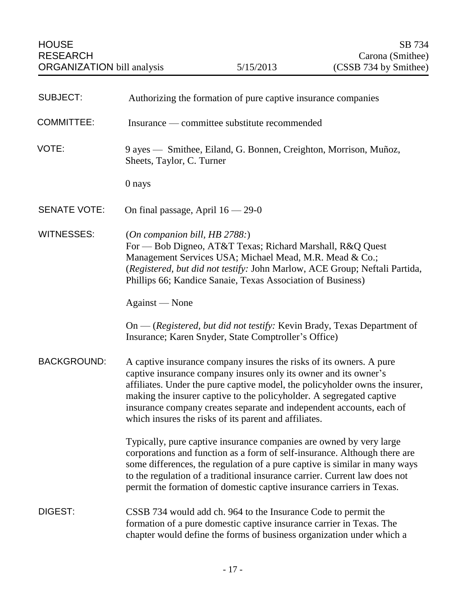<span id="page-18-0"></span>

| <b>SUBJECT:</b>     | Authorizing the formation of pure captive insurance companies                                                                                                                                                                                                                                                                                                                                                                    |
|---------------------|----------------------------------------------------------------------------------------------------------------------------------------------------------------------------------------------------------------------------------------------------------------------------------------------------------------------------------------------------------------------------------------------------------------------------------|
| <b>COMMITTEE:</b>   | Insurance — committee substitute recommended                                                                                                                                                                                                                                                                                                                                                                                     |
| VOTE:               | 9 ayes — Smithee, Eiland, G. Bonnen, Creighton, Morrison, Muñoz,<br>Sheets, Taylor, C. Turner                                                                                                                                                                                                                                                                                                                                    |
|                     | 0 nays                                                                                                                                                                                                                                                                                                                                                                                                                           |
| <b>SENATE VOTE:</b> | On final passage, April $16 - 29 - 0$                                                                                                                                                                                                                                                                                                                                                                                            |
| <b>WITNESSES:</b>   | (On companion bill, HB 2788.)<br>For — Bob Digneo, AT&T Texas; Richard Marshall, R&Q Quest<br>Management Services USA; Michael Mead, M.R. Mead & Co.;<br>(Registered, but did not testify: John Marlow, ACE Group; Neftali Partida,<br>Phillips 66; Kandice Sanaie, Texas Association of Business)                                                                                                                               |
|                     | Against — None                                                                                                                                                                                                                                                                                                                                                                                                                   |
|                     | On — (Registered, but did not testify: Kevin Brady, Texas Department of<br>Insurance; Karen Snyder, State Comptroller's Office)                                                                                                                                                                                                                                                                                                  |
| <b>BACKGROUND:</b>  | A captive insurance company insures the risks of its owners. A pure<br>captive insurance company insures only its owner and its owner's<br>affiliates. Under the pure captive model, the policyholder owns the insurer,<br>making the insurer captive to the policyholder. A segregated captive<br>insurance company creates separate and independent accounts, each of<br>which insures the risks of its parent and affiliates. |
|                     | Typically, pure captive insurance companies are owned by very large<br>corporations and function as a form of self-insurance. Although there are<br>some differences, the regulation of a pure captive is similar in many ways<br>to the regulation of a traditional insurance carrier. Current law does not<br>permit the formation of domestic captive insurance carriers in Texas.                                            |
| DIGEST:             | CSSB 734 would add ch. 964 to the Insurance Code to permit the<br>formation of a pure domestic captive insurance carrier in Texas. The<br>chapter would define the forms of business organization under which a                                                                                                                                                                                                                  |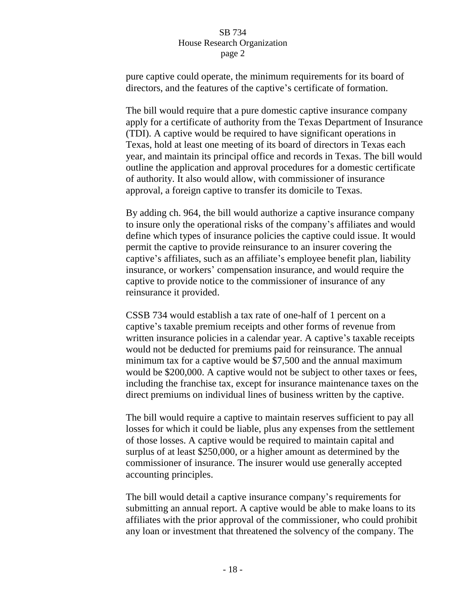pure captive could operate, the minimum requirements for its board of directors, and the features of the captive's certificate of formation.

The bill would require that a pure domestic captive insurance company apply for a certificate of authority from the Texas Department of Insurance (TDI). A captive would be required to have significant operations in Texas, hold at least one meeting of its board of directors in Texas each year, and maintain its principal office and records in Texas. The bill would outline the application and approval procedures for a domestic certificate of authority. It also would allow, with commissioner of insurance approval, a foreign captive to transfer its domicile to Texas.

By adding ch. 964, the bill would authorize a captive insurance company to insure only the operational risks of the company's affiliates and would define which types of insurance policies the captive could issue. It would permit the captive to provide reinsurance to an insurer covering the captive's affiliates, such as an affiliate's employee benefit plan, liability insurance, or workers' compensation insurance, and would require the captive to provide notice to the commissioner of insurance of any reinsurance it provided.

CSSB 734 would establish a tax rate of one-half of 1 percent on a captive's taxable premium receipts and other forms of revenue from written insurance policies in a calendar year. A captive's taxable receipts would not be deducted for premiums paid for reinsurance. The annual minimum tax for a captive would be \$7,500 and the annual maximum would be \$200,000. A captive would not be subject to other taxes or fees, including the franchise tax, except for insurance maintenance taxes on the direct premiums on individual lines of business written by the captive.

The bill would require a captive to maintain reserves sufficient to pay all losses for which it could be liable, plus any expenses from the settlement of those losses. A captive would be required to maintain capital and surplus of at least \$250,000, or a higher amount as determined by the commissioner of insurance. The insurer would use generally accepted accounting principles.

The bill would detail a captive insurance company's requirements for submitting an annual report. A captive would be able to make loans to its affiliates with the prior approval of the commissioner, who could prohibit any loan or investment that threatened the solvency of the company. The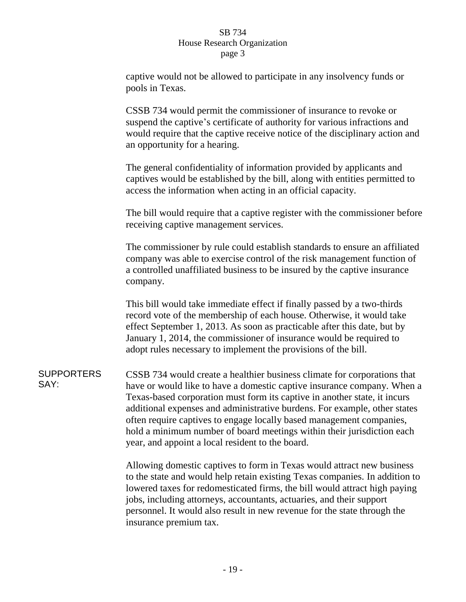captive would not be allowed to participate in any insolvency funds or pools in Texas.

CSSB 734 would permit the commissioner of insurance to revoke or suspend the captive's certificate of authority for various infractions and would require that the captive receive notice of the disciplinary action and an opportunity for a hearing.

The general confidentiality of information provided by applicants and captives would be established by the bill, along with entities permitted to access the information when acting in an official capacity.

The bill would require that a captive register with the commissioner before receiving captive management services.

The commissioner by rule could establish standards to ensure an affiliated company was able to exercise control of the risk management function of a controlled unaffiliated business to be insured by the captive insurance company.

This bill would take immediate effect if finally passed by a two-thirds record vote of the membership of each house. Otherwise, it would take effect September 1, 2013. As soon as practicable after this date, but by January 1, 2014, the commissioner of insurance would be required to adopt rules necessary to implement the provisions of the bill.

**SUPPORTERS** SAY: CSSB 734 would create a healthier business climate for corporations that have or would like to have a domestic captive insurance company. When a Texas-based corporation must form its captive in another state, it incurs additional expenses and administrative burdens. For example, other states often require captives to engage locally based management companies, hold a minimum number of board meetings within their jurisdiction each year, and appoint a local resident to the board.

> Allowing domestic captives to form in Texas would attract new business to the state and would help retain existing Texas companies. In addition to lowered taxes for redomesticated firms, the bill would attract high paying jobs, including attorneys, accountants, actuaries, and their support personnel. It would also result in new revenue for the state through the insurance premium tax.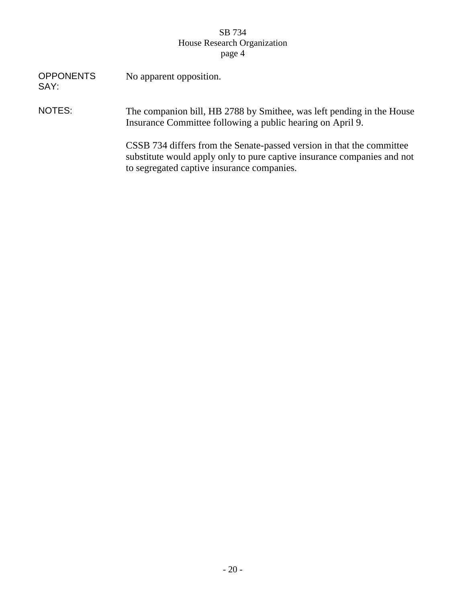| <b>OPPONENTS</b><br>SAY: | No apparent opposition.                                                                                                                                                                        |
|--------------------------|------------------------------------------------------------------------------------------------------------------------------------------------------------------------------------------------|
| NOTES:                   | The companion bill, HB 2788 by Smithee, was left pending in the House<br>Insurance Committee following a public hearing on April 9.                                                            |
|                          | CSSB 734 differs from the Senate-passed version in that the committee<br>substitute would apply only to pure captive insurance companies and not<br>to segregated captive insurance companies. |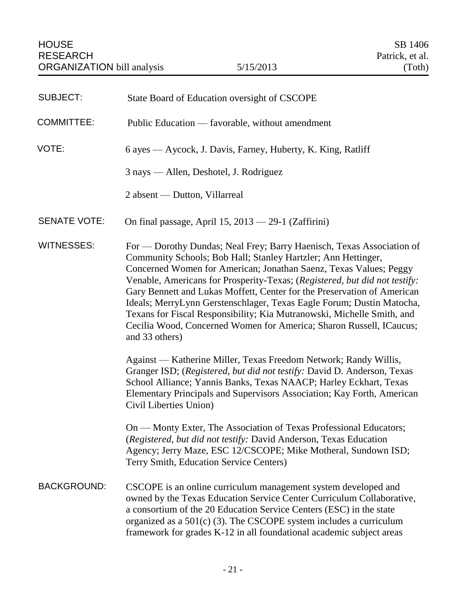<span id="page-22-0"></span>

| <b>SUBJECT:</b>     | State Board of Education oversight of CSCOPE                                                                                                                                                                                                                                                                                                                                                                                                                                                                                                                                                                     |
|---------------------|------------------------------------------------------------------------------------------------------------------------------------------------------------------------------------------------------------------------------------------------------------------------------------------------------------------------------------------------------------------------------------------------------------------------------------------------------------------------------------------------------------------------------------------------------------------------------------------------------------------|
| <b>COMMITTEE:</b>   | Public Education — favorable, without amendment                                                                                                                                                                                                                                                                                                                                                                                                                                                                                                                                                                  |
| VOTE:               | 6 ayes — Aycock, J. Davis, Farney, Huberty, K. King, Ratliff                                                                                                                                                                                                                                                                                                                                                                                                                                                                                                                                                     |
|                     | 3 nays — Allen, Deshotel, J. Rodriguez                                                                                                                                                                                                                                                                                                                                                                                                                                                                                                                                                                           |
|                     | 2 absent — Dutton, Villarreal                                                                                                                                                                                                                                                                                                                                                                                                                                                                                                                                                                                    |
| <b>SENATE VOTE:</b> | On final passage, April $15, 2013 - 29-1$ (Zaffirini)                                                                                                                                                                                                                                                                                                                                                                                                                                                                                                                                                            |
| <b>WITNESSES:</b>   | For — Dorothy Dundas; Neal Frey; Barry Haenisch, Texas Association of<br>Community Schools; Bob Hall; Stanley Hartzler; Ann Hettinger,<br>Concerned Women for American; Jonathan Saenz, Texas Values; Peggy<br>Venable, Americans for Prosperity-Texas; (Registered, but did not testify:<br>Gary Bennett and Lukas Moffett, Center for the Preservation of American<br>Ideals; MerryLynn Gerstenschlager, Texas Eagle Forum; Dustin Matocha,<br>Texans for Fiscal Responsibility; Kia Mutranowski, Michelle Smith, and<br>Cecilia Wood, Concerned Women for America; Sharon Russell, ICaucus;<br>and 33 others) |
|                     | Against — Katherine Miller, Texas Freedom Network; Randy Willis,<br>Granger ISD; (Registered, but did not testify: David D. Anderson, Texas<br>School Alliance; Yannis Banks, Texas NAACP; Harley Eckhart, Texas<br>Elementary Principals and Supervisors Association; Kay Forth, American<br>Civil Liberties Union)                                                                                                                                                                                                                                                                                             |
|                     | On — Monty Exter, The Association of Texas Professional Educators;<br>(Registered, but did not testify: David Anderson, Texas Education<br>Agency; Jerry Maze, ESC 12/CSCOPE; Mike Motheral, Sundown ISD;<br>Terry Smith, Education Service Centers)                                                                                                                                                                                                                                                                                                                                                             |
| <b>BACKGROUND:</b>  | CSCOPE is an online curriculum management system developed and<br>owned by the Texas Education Service Center Curriculum Collaborative,<br>a consortium of the 20 Education Service Centers (ESC) in the state<br>organized as a $501(c)$ (3). The CSCOPE system includes a curriculum<br>framework for grades K-12 in all foundational academic subject areas                                                                                                                                                                                                                                                   |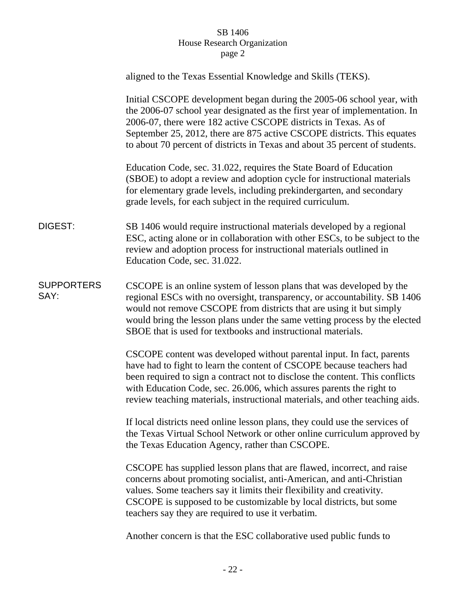|                           | aligned to the Texas Essential Knowledge and Skills (TEKS).                                                                                                                                                                                                                                                                                                                            |
|---------------------------|----------------------------------------------------------------------------------------------------------------------------------------------------------------------------------------------------------------------------------------------------------------------------------------------------------------------------------------------------------------------------------------|
|                           | Initial CSCOPE development began during the 2005-06 school year, with<br>the 2006-07 school year designated as the first year of implementation. In<br>2006-07, there were 182 active CSCOPE districts in Texas. As of<br>September 25, 2012, there are 875 active CSCOPE districts. This equates<br>to about 70 percent of districts in Texas and about 35 percent of students.       |
|                           | Education Code, sec. 31.022, requires the State Board of Education<br>(SBOE) to adopt a review and adoption cycle for instructional materials<br>for elementary grade levels, including prekindergarten, and secondary<br>grade levels, for each subject in the required curriculum.                                                                                                   |
| <b>DIGEST:</b>            | SB 1406 would require instructional materials developed by a regional<br>ESC, acting alone or in collaboration with other ESCs, to be subject to the<br>review and adoption process for instructional materials outlined in<br>Education Code, sec. 31.022.                                                                                                                            |
| <b>SUPPORTERS</b><br>SAY: | CSCOPE is an online system of lesson plans that was developed by the<br>regional ESCs with no oversight, transparency, or accountability. SB 1406<br>would not remove CSCOPE from districts that are using it but simply<br>would bring the lesson plans under the same vetting process by the elected<br>SBOE that is used for textbooks and instructional materials.                 |
|                           | CSCOPE content was developed without parental input. In fact, parents<br>have had to fight to learn the content of CSCOPE because teachers had<br>been required to sign a contract not to disclose the content. This conflicts<br>with Education Code, sec. 26.006, which assures parents the right to<br>review teaching materials, instructional materials, and other teaching aids. |
|                           | If local districts need online lesson plans, they could use the services of<br>the Texas Virtual School Network or other online curriculum approved by<br>the Texas Education Agency, rather than CSCOPE.                                                                                                                                                                              |
|                           | CSCOPE has supplied lesson plans that are flawed, incorrect, and raise<br>concerns about promoting socialist, anti-American, and anti-Christian<br>values. Some teachers say it limits their flexibility and creativity.<br>CSCOPE is supposed to be customizable by local districts, but some<br>teachers say they are required to use it verbatim.                                   |
|                           | Another concern is that the ESC collaborative used public funds to                                                                                                                                                                                                                                                                                                                     |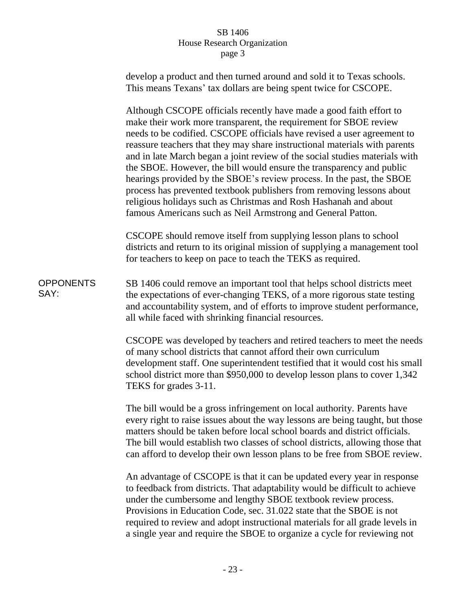|                          | develop a product and then turned around and sold it to Texas schools.<br>This means Texans' tax dollars are being spent twice for CSCOPE.                                                                                                                                                                                                                                                                                                                                                                                                                                                                                                                                                                                                    |
|--------------------------|-----------------------------------------------------------------------------------------------------------------------------------------------------------------------------------------------------------------------------------------------------------------------------------------------------------------------------------------------------------------------------------------------------------------------------------------------------------------------------------------------------------------------------------------------------------------------------------------------------------------------------------------------------------------------------------------------------------------------------------------------|
|                          | Although CSCOPE officials recently have made a good faith effort to<br>make their work more transparent, the requirement for SBOE review<br>needs to be codified. CSCOPE officials have revised a user agreement to<br>reassure teachers that they may share instructional materials with parents<br>and in late March began a joint review of the social studies materials with<br>the SBOE. However, the bill would ensure the transparency and public<br>hearings provided by the SBOE's review process. In the past, the SBOE<br>process has prevented textbook publishers from removing lessons about<br>religious holidays such as Christmas and Rosh Hashanah and about<br>famous Americans such as Neil Armstrong and General Patton. |
|                          | CSCOPE should remove itself from supplying lesson plans to school<br>districts and return to its original mission of supplying a management tool<br>for teachers to keep on pace to teach the TEKS as required.                                                                                                                                                                                                                                                                                                                                                                                                                                                                                                                               |
| <b>OPPONENTS</b><br>SAY: | SB 1406 could remove an important tool that helps school districts meet<br>the expectations of ever-changing TEKS, of a more rigorous state testing<br>and accountability system, and of efforts to improve student performance,<br>all while faced with shrinking financial resources.                                                                                                                                                                                                                                                                                                                                                                                                                                                       |
|                          | CSCOPE was developed by teachers and retired teachers to meet the needs<br>of many school districts that cannot afford their own curriculum<br>development staff. One superintendent testified that it would cost his small<br>school district more than \$950,000 to develop lesson plans to cover 1,342<br>TEKS for grades 3-11.                                                                                                                                                                                                                                                                                                                                                                                                            |
|                          | The bill would be a gross infringement on local authority. Parents have<br>every right to raise issues about the way lessons are being taught, but those<br>matters should be taken before local school boards and district officials.<br>The bill would establish two classes of school districts, allowing those that<br>can afford to develop their own lesson plans to be free from SBOE review.                                                                                                                                                                                                                                                                                                                                          |
|                          | An advantage of CSCOPE is that it can be updated every year in response<br>to feedback from districts. That adaptability would be difficult to achieve<br>under the cumbersome and lengthy SBOE textbook review process.<br>Provisions in Education Code, sec. 31.022 state that the SBOE is not<br>required to review and adopt instructional materials for all grade levels in<br>a single year and require the SBOE to organize a cycle for reviewing not                                                                                                                                                                                                                                                                                  |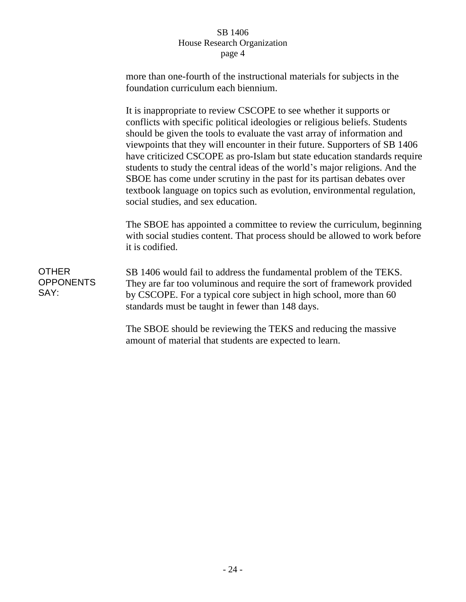more than one-fourth of the instructional materials for subjects in the foundation curriculum each biennium.

It is inappropriate to review CSCOPE to see whether it supports or conflicts with specific political ideologies or religious beliefs. Students should be given the tools to evaluate the vast array of information and viewpoints that they will encounter in their future. Supporters of SB 1406 have criticized CSCOPE as pro-Islam but state education standards require students to study the central ideas of the world's major religions. And the SBOE has come under scrutiny in the past for its partisan debates over textbook language on topics such as evolution, environmental regulation, social studies, and sex education.

The SBOE has appointed a committee to review the curriculum, beginning with social studies content. That process should be allowed to work before it is codified.

**OTHER OPPONENTS** SAY: SB 1406 would fail to address the fundamental problem of the TEKS. They are far too voluminous and require the sort of framework provided by CSCOPE. For a typical core subject in high school, more than 60 standards must be taught in fewer than 148 days.

> The SBOE should be reviewing the TEKS and reducing the massive amount of material that students are expected to learn.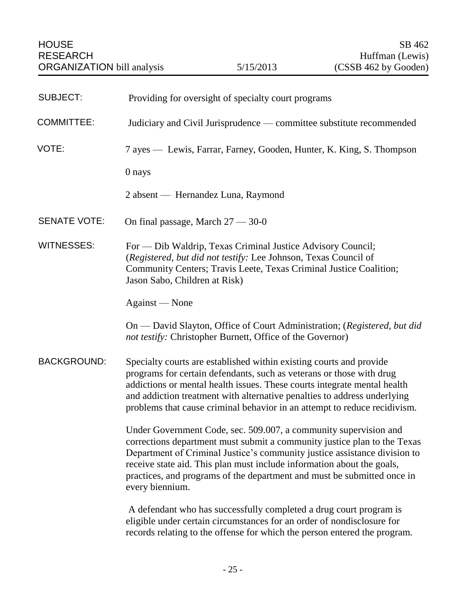<span id="page-26-0"></span>

| <b>SUBJECT:</b>     | Providing for oversight of specialty court programs                                                                                                                                                                                                                                                                                                                                               |
|---------------------|---------------------------------------------------------------------------------------------------------------------------------------------------------------------------------------------------------------------------------------------------------------------------------------------------------------------------------------------------------------------------------------------------|
| <b>COMMITTEE:</b>   | Judiciary and Civil Jurisprudence — committee substitute recommended                                                                                                                                                                                                                                                                                                                              |
| VOTE:               | 7 ayes — Lewis, Farrar, Farney, Gooden, Hunter, K. King, S. Thompson                                                                                                                                                                                                                                                                                                                              |
|                     | 0 nays                                                                                                                                                                                                                                                                                                                                                                                            |
|                     | 2 absent — Hernandez Luna, Raymond                                                                                                                                                                                                                                                                                                                                                                |
| <b>SENATE VOTE:</b> | On final passage, March $27 - 30 - 0$                                                                                                                                                                                                                                                                                                                                                             |
| <b>WITNESSES:</b>   | For - Dib Waldrip, Texas Criminal Justice Advisory Council;<br>(Registered, but did not testify: Lee Johnson, Texas Council of<br>Community Centers; Travis Leete, Texas Criminal Justice Coalition;<br>Jason Sabo, Children at Risk)                                                                                                                                                             |
|                     | Against — None                                                                                                                                                                                                                                                                                                                                                                                    |
|                     | On — David Slayton, Office of Court Administration; (Registered, but did<br>not testify: Christopher Burnett, Office of the Governor)                                                                                                                                                                                                                                                             |
| <b>BACKGROUND:</b>  | Specialty courts are established within existing courts and provide<br>programs for certain defendants, such as veterans or those with drug<br>addictions or mental health issues. These courts integrate mental health<br>and addiction treatment with alternative penalties to address underlying<br>problems that cause criminal behavior in an attempt to reduce recidivism.                  |
|                     | Under Government Code, sec. 509.007, a community supervision and<br>corrections department must submit a community justice plan to the Texas<br>Department of Criminal Justice's community justice assistance division to<br>receive state aid. This plan must include information about the goals,<br>practices, and programs of the department and must be submitted once in<br>every biennium. |
|                     | A defendant who has successfully completed a drug court program is<br>eligible under certain circumstances for an order of nondisclosure for<br>records relating to the offense for which the person entered the program.                                                                                                                                                                         |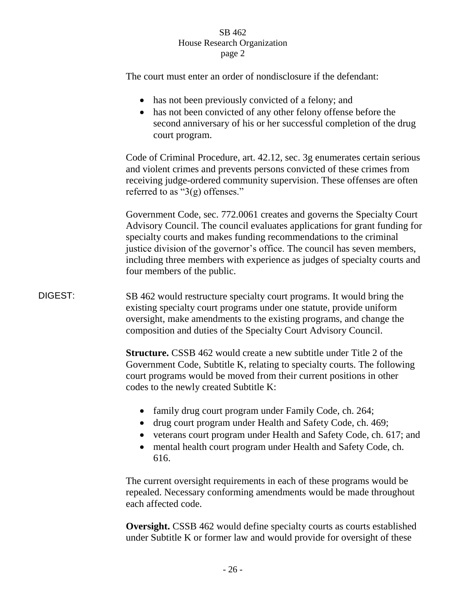|         | The court must enter an order of nondisclosure if the defendant:                                                                                                                                                                                                                                                                                                                                                    |
|---------|---------------------------------------------------------------------------------------------------------------------------------------------------------------------------------------------------------------------------------------------------------------------------------------------------------------------------------------------------------------------------------------------------------------------|
|         | has not been previously convicted of a felony; and<br>has not been convicted of any other felony offense before the<br>second anniversary of his or her successful completion of the drug<br>court program.                                                                                                                                                                                                         |
|         | Code of Criminal Procedure, art. 42.12, sec. 3g enumerates certain serious<br>and violent crimes and prevents persons convicted of these crimes from<br>receiving judge-ordered community supervision. These offenses are often<br>referred to as " $3(g)$ offenses."                                                                                                                                               |
|         | Government Code, sec. 772.0061 creates and governs the Specialty Court<br>Advisory Council. The council evaluates applications for grant funding for<br>specialty courts and makes funding recommendations to the criminal<br>justice division of the governor's office. The council has seven members,<br>including three members with experience as judges of specialty courts and<br>four members of the public. |
| DIGEST: | SB 462 would restructure specialty court programs. It would bring the<br>existing specialty court programs under one statute, provide uniform<br>oversight, make amendments to the existing programs, and change the<br>composition and duties of the Specialty Court Advisory Council.                                                                                                                             |
|         | <b>Structure.</b> CSSB 462 would create a new subtitle under Title 2 of the<br>Government Code, Subtitle K, relating to specialty courts. The following<br>court programs would be moved from their current positions in other<br>codes to the newly created Subtitle K:                                                                                                                                            |
|         | family drug court program under Family Code, ch. 264;<br>drug court program under Health and Safety Code, ch. 469;<br>veterans court program under Health and Safety Code, ch. 617; and<br>mental health court program under Health and Safety Code, ch.<br>$\bullet$<br>616.                                                                                                                                       |
|         | The current oversight requirements in each of these programs would be<br>repealed. Necessary conforming amendments would be made throughout<br>each affected code.                                                                                                                                                                                                                                                  |
|         | <b>Oversight.</b> CSSB 462 would define specialty courts as courts established                                                                                                                                                                                                                                                                                                                                      |

under Subtitle K or former law and would provide for oversight of these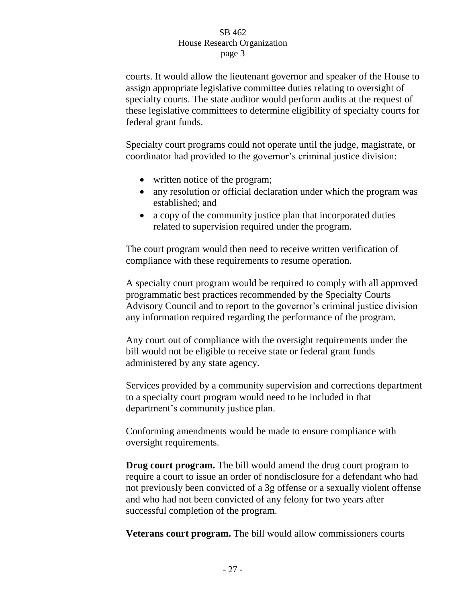courts. It would allow the lieutenant governor and speaker of the House to assign appropriate legislative committee duties relating to oversight of specialty courts. The state auditor would perform audits at the request of these legislative committees to determine eligibility of specialty courts for federal grant funds.

Specialty court programs could not operate until the judge, magistrate, or coordinator had provided to the governor's criminal justice division:

- written notice of the program;
- any resolution or official declaration under which the program was established; and
- a copy of the community justice plan that incorporated duties related to supervision required under the program.

The court program would then need to receive written verification of compliance with these requirements to resume operation.

A specialty court program would be required to comply with all approved programmatic best practices recommended by the Specialty Courts Advisory Council and to report to the governor's criminal justice division any information required regarding the performance of the program.

Any court out of compliance with the oversight requirements under the bill would not be eligible to receive state or federal grant funds administered by any state agency.

Services provided by a community supervision and corrections department to a specialty court program would need to be included in that department's community justice plan.

Conforming amendments would be made to ensure compliance with oversight requirements.

**Drug court program.** The bill would amend the drug court program to require a court to issue an order of nondisclosure for a defendant who had not previously been convicted of a 3g offense or a sexually violent offense and who had not been convicted of any felony for two years after successful completion of the program.

**Veterans court program.** The bill would allow commissioners courts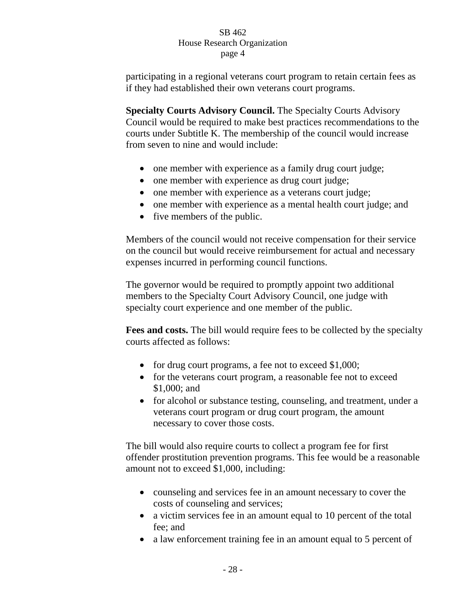participating in a regional veterans court program to retain certain fees as if they had established their own veterans court programs.

**Specialty Courts Advisory Council.** The Specialty Courts Advisory Council would be required to make best practices recommendations to the courts under Subtitle K. The membership of the council would increase from seven to nine and would include:

- one member with experience as a family drug court judge;
- one member with experience as drug court judge;
- one member with experience as a veterans court judge;
- one member with experience as a mental health court judge; and
- five members of the public.

Members of the council would not receive compensation for their service on the council but would receive reimbursement for actual and necessary expenses incurred in performing council functions.

The governor would be required to promptly appoint two additional members to the Specialty Court Advisory Council, one judge with specialty court experience and one member of the public.

**Fees and costs.** The bill would require fees to be collected by the specialty courts affected as follows:

- for drug court programs, a fee not to exceed \$1,000;
- for the veterans court program, a reasonable fee not to exceed \$1,000; and
- for alcohol or substance testing, counseling, and treatment, under a veterans court program or drug court program, the amount necessary to cover those costs.

The bill would also require courts to collect a program fee for first offender prostitution prevention programs. This fee would be a reasonable amount not to exceed \$1,000, including:

- counseling and services fee in an amount necessary to cover the costs of counseling and services;
- a victim services fee in an amount equal to 10 percent of the total fee; and
- a law enforcement training fee in an amount equal to 5 percent of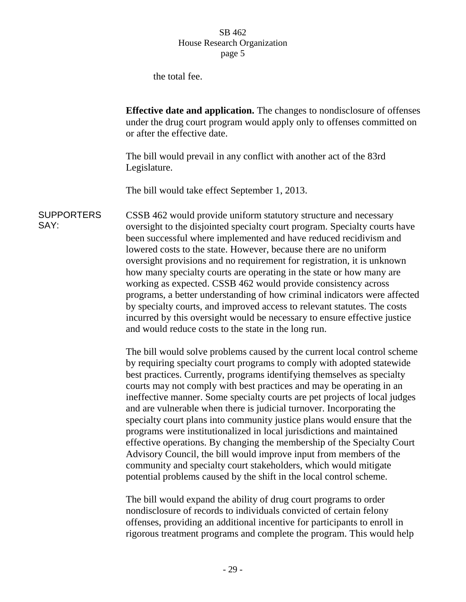the total fee.

**Effective date and application.** The changes to nondisclosure of offenses under the drug court program would apply only to offenses committed on or after the effective date.

The bill would prevail in any conflict with another act of the 83rd Legislature.

The bill would take effect September 1, 2013.

**SUPPORTERS** SAY: CSSB 462 would provide uniform statutory structure and necessary oversight to the disjointed specialty court program. Specialty courts have been successful where implemented and have reduced recidivism and lowered costs to the state. However, because there are no uniform oversight provisions and no requirement for registration, it is unknown how many specialty courts are operating in the state or how many are working as expected. CSSB 462 would provide consistency across programs, a better understanding of how criminal indicators were affected by specialty courts, and improved access to relevant statutes. The costs incurred by this oversight would be necessary to ensure effective justice and would reduce costs to the state in the long run.

> The bill would solve problems caused by the current local control scheme by requiring specialty court programs to comply with adopted statewide best practices. Currently, programs identifying themselves as specialty courts may not comply with best practices and may be operating in an ineffective manner. Some specialty courts are pet projects of local judges and are vulnerable when there is judicial turnover. Incorporating the specialty court plans into community justice plans would ensure that the programs were institutionalized in local jurisdictions and maintained effective operations. By changing the membership of the Specialty Court Advisory Council, the bill would improve input from members of the community and specialty court stakeholders, which would mitigate potential problems caused by the shift in the local control scheme.

The bill would expand the ability of drug court programs to order nondisclosure of records to individuals convicted of certain felony offenses, providing an additional incentive for participants to enroll in rigorous treatment programs and complete the program. This would help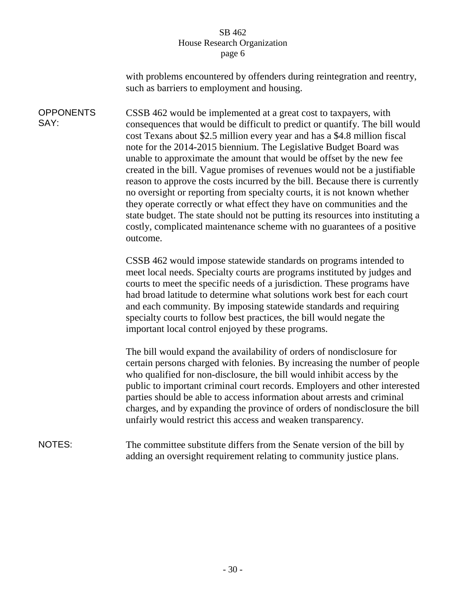with problems encountered by offenders during reintegration and reentry, such as barriers to employment and housing.

**OPPONENTS** SAY: CSSB 462 would be implemented at a great cost to taxpayers, with consequences that would be difficult to predict or quantify. The bill would cost Texans about \$2.5 million every year and has a \$4.8 million fiscal note for the 2014-2015 biennium. The Legislative Budget Board was unable to approximate the amount that would be offset by the new fee created in the bill. Vague promises of revenues would not be a justifiable reason to approve the costs incurred by the bill. Because there is currently no oversight or reporting from specialty courts, it is not known whether they operate correctly or what effect they have on communities and the state budget. The state should not be putting its resources into instituting a costly, complicated maintenance scheme with no guarantees of a positive outcome.

> CSSB 462 would impose statewide standards on programs intended to meet local needs. Specialty courts are programs instituted by judges and courts to meet the specific needs of a jurisdiction. These programs have had broad latitude to determine what solutions work best for each court and each community. By imposing statewide standards and requiring specialty courts to follow best practices, the bill would negate the important local control enjoyed by these programs.

The bill would expand the availability of orders of nondisclosure for certain persons charged with felonies. By increasing the number of people who qualified for non-disclosure, the bill would inhibit access by the public to important criminal court records. Employers and other interested parties should be able to access information about arrests and criminal charges, and by expanding the province of orders of nondisclosure the bill unfairly would restrict this access and weaken transparency.

NOTES: The committee substitute differs from the Senate version of the bill by adding an oversight requirement relating to community justice plans.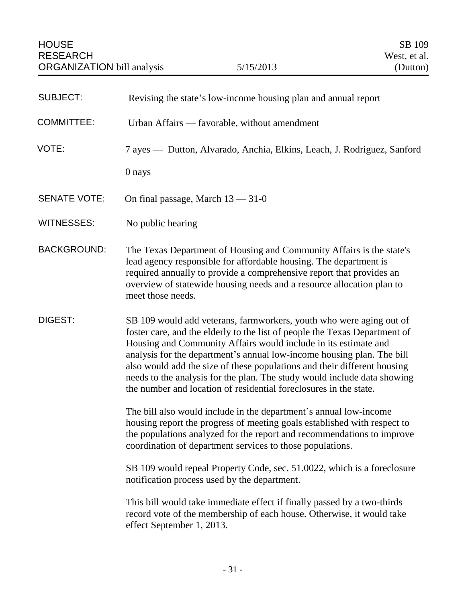<span id="page-32-0"></span>

| <b>SUBJECT:</b>     | Revising the state's low-income housing plan and annual report                                                                                                                                                                                                                                                                                                                                                                                                                                                              |
|---------------------|-----------------------------------------------------------------------------------------------------------------------------------------------------------------------------------------------------------------------------------------------------------------------------------------------------------------------------------------------------------------------------------------------------------------------------------------------------------------------------------------------------------------------------|
| <b>COMMITTEE:</b>   | Urban Affairs — favorable, without amendment                                                                                                                                                                                                                                                                                                                                                                                                                                                                                |
| VOTE:               | 7 ayes — Dutton, Alvarado, Anchia, Elkins, Leach, J. Rodriguez, Sanford                                                                                                                                                                                                                                                                                                                                                                                                                                                     |
|                     | 0 nays                                                                                                                                                                                                                                                                                                                                                                                                                                                                                                                      |
| <b>SENATE VOTE:</b> | On final passage, March $13 - 31 - 0$                                                                                                                                                                                                                                                                                                                                                                                                                                                                                       |
| WITNESSES:          | No public hearing                                                                                                                                                                                                                                                                                                                                                                                                                                                                                                           |
| <b>BACKGROUND:</b>  | The Texas Department of Housing and Community Affairs is the state's<br>lead agency responsible for affordable housing. The department is<br>required annually to provide a comprehensive report that provides an<br>overview of statewide housing needs and a resource allocation plan to<br>meet those needs.                                                                                                                                                                                                             |
| DIGEST:             | SB 109 would add veterans, farmworkers, youth who were aging out of<br>foster care, and the elderly to the list of people the Texas Department of<br>Housing and Community Affairs would include in its estimate and<br>analysis for the department's annual low-income housing plan. The bill<br>also would add the size of these populations and their different housing<br>needs to the analysis for the plan. The study would include data showing<br>the number and location of residential foreclosures in the state. |
|                     | The bill also would include in the department's annual low-income<br>housing report the progress of meeting goals established with respect to<br>the populations analyzed for the report and recommendations to improve<br>coordination of department services to those populations.                                                                                                                                                                                                                                        |
|                     | SB 109 would repeal Property Code, sec. 51.0022, which is a foreclosure<br>notification process used by the department.                                                                                                                                                                                                                                                                                                                                                                                                     |
|                     | This bill would take immediate effect if finally passed by a two-thirds<br>record vote of the membership of each house. Otherwise, it would take<br>effect September 1, 2013.                                                                                                                                                                                                                                                                                                                                               |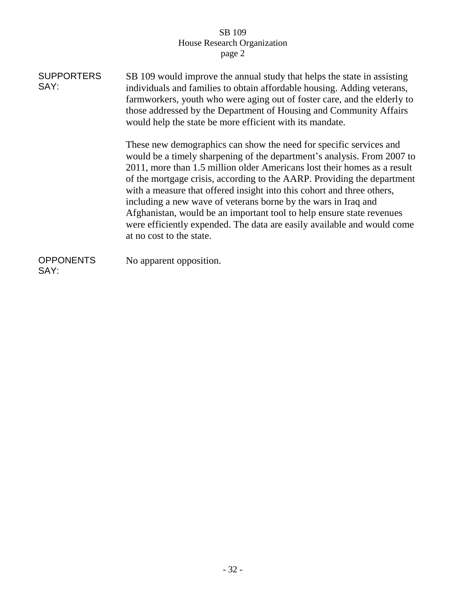| <b>SUPPORTERS</b><br>SAY: | SB 109 would improve the annual study that helps the state in assisting<br>individuals and families to obtain affordable housing. Adding veterans,<br>farmworkers, youth who were aging out of foster care, and the elderly to<br>those addressed by the Department of Housing and Community Affairs<br>would help the state be more efficient with its mandate.                                                                                                                                                                                                                                                                 |
|---------------------------|----------------------------------------------------------------------------------------------------------------------------------------------------------------------------------------------------------------------------------------------------------------------------------------------------------------------------------------------------------------------------------------------------------------------------------------------------------------------------------------------------------------------------------------------------------------------------------------------------------------------------------|
|                           | These new demographics can show the need for specific services and<br>would be a timely sharpening of the department's analysis. From 2007 to<br>2011, more than 1.5 million older Americans lost their homes as a result<br>of the mortgage crisis, according to the AARP. Providing the department<br>with a measure that offered insight into this cohort and three others,<br>including a new wave of veterans borne by the wars in Iraq and<br>Afghanistan, would be an important tool to help ensure state revenues<br>were efficiently expended. The data are easily available and would come<br>at no cost to the state. |
| <b>OPPONENTS</b><br>SAY:  | No apparent opposition.                                                                                                                                                                                                                                                                                                                                                                                                                                                                                                                                                                                                          |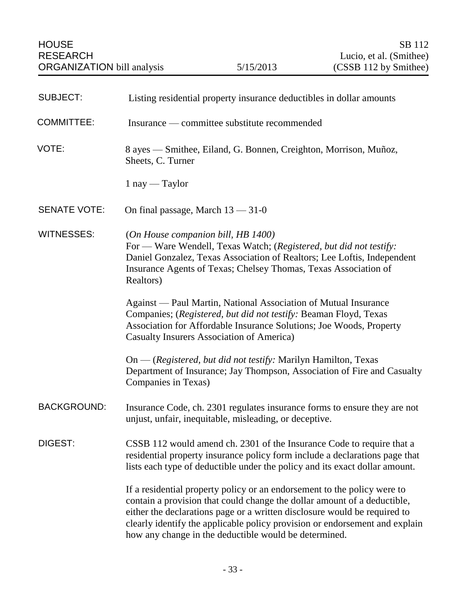<span id="page-34-0"></span>

| <b>SUBJECT:</b>     | Listing residential property insurance deductibles in dollar amounts                                                                                                                                                                                                                                                                                                      |
|---------------------|---------------------------------------------------------------------------------------------------------------------------------------------------------------------------------------------------------------------------------------------------------------------------------------------------------------------------------------------------------------------------|
| <b>COMMITTEE:</b>   | Insurance — committee substitute recommended                                                                                                                                                                                                                                                                                                                              |
| VOTE:               | 8 ayes — Smithee, Eiland, G. Bonnen, Creighton, Morrison, Muñoz,<br>Sheets, C. Turner                                                                                                                                                                                                                                                                                     |
|                     | $1$ nay — Taylor                                                                                                                                                                                                                                                                                                                                                          |
| <b>SENATE VOTE:</b> | On final passage, March $13 - 31 - 0$                                                                                                                                                                                                                                                                                                                                     |
| <b>WITNESSES:</b>   | (On House companion bill, HB 1400)<br>For — Ware Wendell, Texas Watch; (Registered, but did not testify:<br>Daniel Gonzalez, Texas Association of Realtors; Lee Loftis, Independent<br>Insurance Agents of Texas; Chelsey Thomas, Texas Association of<br>Realtors)                                                                                                       |
|                     | Against — Paul Martin, National Association of Mutual Insurance<br>Companies; (Registered, but did not testify: Beaman Floyd, Texas<br>Association for Affordable Insurance Solutions; Joe Woods, Property<br>Casualty Insurers Association of America)                                                                                                                   |
|                     | On — (Registered, but did not testify: Marilyn Hamilton, Texas<br>Department of Insurance; Jay Thompson, Association of Fire and Casualty<br>Companies in Texas)                                                                                                                                                                                                          |
| <b>BACKGROUND:</b>  | Insurance Code, ch. 2301 regulates insurance forms to ensure they are not<br>unjust, unfair, inequitable, misleading, or deceptive.                                                                                                                                                                                                                                       |
| DIGEST:             | CSSB 112 would amend ch. 2301 of the Insurance Code to require that a<br>residential property insurance policy form include a declarations page that<br>lists each type of deductible under the policy and its exact dollar amount.                                                                                                                                       |
|                     | If a residential property policy or an endorsement to the policy were to<br>contain a provision that could change the dollar amount of a deductible,<br>either the declarations page or a written disclosure would be required to<br>clearly identify the applicable policy provision or endorsement and explain<br>how any change in the deductible would be determined. |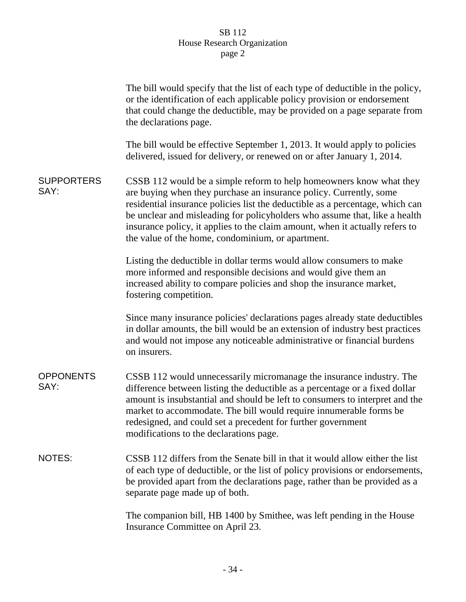|                           | The bill would specify that the list of each type of deductible in the policy,<br>or the identification of each applicable policy provision or endorsement<br>that could change the deductible, may be provided on a page separate from<br>the declarations page.                                                                                                                                                                             |
|---------------------------|-----------------------------------------------------------------------------------------------------------------------------------------------------------------------------------------------------------------------------------------------------------------------------------------------------------------------------------------------------------------------------------------------------------------------------------------------|
|                           | The bill would be effective September 1, 2013. It would apply to policies<br>delivered, issued for delivery, or renewed on or after January 1, 2014.                                                                                                                                                                                                                                                                                          |
| <b>SUPPORTERS</b><br>SAY: | CSSB 112 would be a simple reform to help homeowners know what they<br>are buying when they purchase an insurance policy. Currently, some<br>residential insurance policies list the deductible as a percentage, which can<br>be unclear and misleading for policyholders who assume that, like a health<br>insurance policy, it applies to the claim amount, when it actually refers to<br>the value of the home, condominium, or apartment. |
|                           | Listing the deductible in dollar terms would allow consumers to make<br>more informed and responsible decisions and would give them an<br>increased ability to compare policies and shop the insurance market,<br>fostering competition.                                                                                                                                                                                                      |
|                           | Since many insurance policies' declarations pages already state deductibles<br>in dollar amounts, the bill would be an extension of industry best practices<br>and would not impose any noticeable administrative or financial burdens<br>on insurers.                                                                                                                                                                                        |
| <b>OPPONENTS</b><br>SAY:  | CSSB 112 would unnecessarily micromanage the insurance industry. The<br>difference between listing the deductible as a percentage or a fixed dollar<br>amount is insubstantial and should be left to consumers to interpret and the<br>market to accommodate. The bill would require innumerable forms be<br>redesigned, and could set a precedent for further government<br>modifications to the declarations page.                          |
| <b>NOTES:</b>             | CSSB 112 differs from the Senate bill in that it would allow either the list<br>of each type of deductible, or the list of policy provisions or endorsements,<br>be provided apart from the declarations page, rather than be provided as a<br>separate page made up of both.                                                                                                                                                                 |
|                           | The companion bill, HB 1400 by Smithee, was left pending in the House<br>Insurance Committee on April 23.                                                                                                                                                                                                                                                                                                                                     |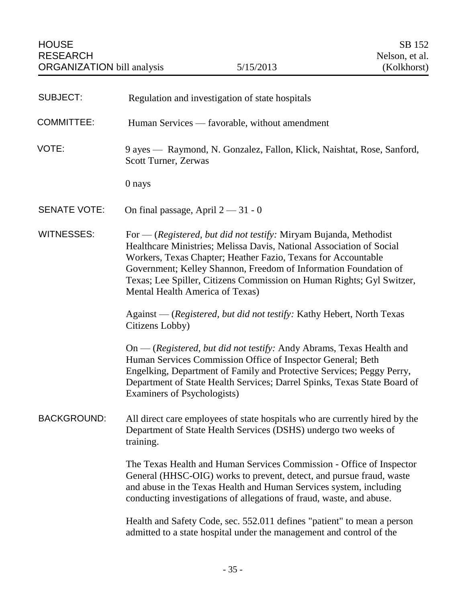| <b>SUBJECT:</b>     | Regulation and investigation of state hospitals                                                                                                                                                                                                                                                                                                                                            |
|---------------------|--------------------------------------------------------------------------------------------------------------------------------------------------------------------------------------------------------------------------------------------------------------------------------------------------------------------------------------------------------------------------------------------|
| <b>COMMITTEE:</b>   | Human Services — favorable, without amendment                                                                                                                                                                                                                                                                                                                                              |
| VOTE:               | 9 ayes — Raymond, N. Gonzalez, Fallon, Klick, Naishtat, Rose, Sanford,<br>Scott Turner, Zerwas                                                                                                                                                                                                                                                                                             |
|                     | 0 nays                                                                                                                                                                                                                                                                                                                                                                                     |
| <b>SENATE VOTE:</b> | On final passage, April $2 - 31 - 0$                                                                                                                                                                                                                                                                                                                                                       |
| <b>WITNESSES:</b>   | For — (Registered, but did not testify: Miryam Bujanda, Methodist<br>Healthcare Ministries; Melissa Davis, National Association of Social<br>Workers, Texas Chapter; Heather Fazio, Texans for Accountable<br>Government; Kelley Shannon, Freedom of Information Foundation of<br>Texas; Lee Spiller, Citizens Commission on Human Rights; Gyl Switzer,<br>Mental Health America of Texas) |
|                     | Against — (Registered, but did not testify: Kathy Hebert, North Texas<br>Citizens Lobby)                                                                                                                                                                                                                                                                                                   |
|                     | On — (Registered, but did not testify: Andy Abrams, Texas Health and<br>Human Services Commission Office of Inspector General; Beth<br>Engelking, Department of Family and Protective Services; Peggy Perry,<br>Department of State Health Services; Darrel Spinks, Texas State Board of<br>Examiners of Psychologists)                                                                    |
| <b>BACKGROUND:</b>  | All direct care employees of state hospitals who are currently hired by the<br>Department of State Health Services (DSHS) undergo two weeks of<br>training.                                                                                                                                                                                                                                |
|                     | The Texas Health and Human Services Commission - Office of Inspector<br>General (HHSC-OIG) works to prevent, detect, and pursue fraud, waste<br>and abuse in the Texas Health and Human Services system, including<br>conducting investigations of allegations of fraud, waste, and abuse.                                                                                                 |
|                     | Health and Safety Code, sec. 552.011 defines "patient" to mean a person<br>admitted to a state hospital under the management and control of the                                                                                                                                                                                                                                            |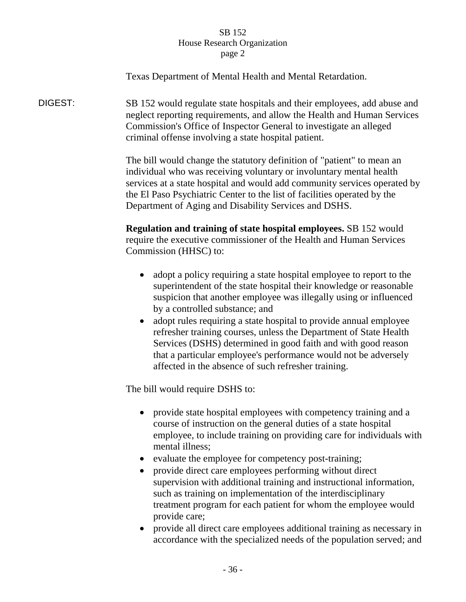Texas Department of Mental Health and Mental Retardation.

DIGEST: SB 152 would regulate state hospitals and their employees, add abuse and neglect reporting requirements, and allow the Health and Human Services Commission's Office of Inspector General to investigate an alleged criminal offense involving a state hospital patient.

> The bill would change the statutory definition of "patient" to mean an individual who was receiving voluntary or involuntary mental health services at a state hospital and would add community services operated by the El Paso Psychiatric Center to the list of facilities operated by the Department of Aging and Disability Services and DSHS.

**Regulation and training of state hospital employees.** SB 152 would require the executive commissioner of the Health and Human Services Commission (HHSC) to:

- adopt a policy requiring a state hospital employee to report to the superintendent of the state hospital their knowledge or reasonable suspicion that another employee was illegally using or influenced by a controlled substance; and
- adopt rules requiring a state hospital to provide annual employee refresher training courses, unless the Department of State Health Services (DSHS) determined in good faith and with good reason that a particular employee's performance would not be adversely affected in the absence of such refresher training.

The bill would require DSHS to:

- provide state hospital employees with competency training and a course of instruction on the general duties of a state hospital employee, to include training on providing care for individuals with mental illness;
- evaluate the employee for competency post-training;
- provide direct care employees performing without direct supervision with additional training and instructional information, such as training on implementation of the interdisciplinary treatment program for each patient for whom the employee would provide care;
- provide all direct care employees additional training as necessary in accordance with the specialized needs of the population served; and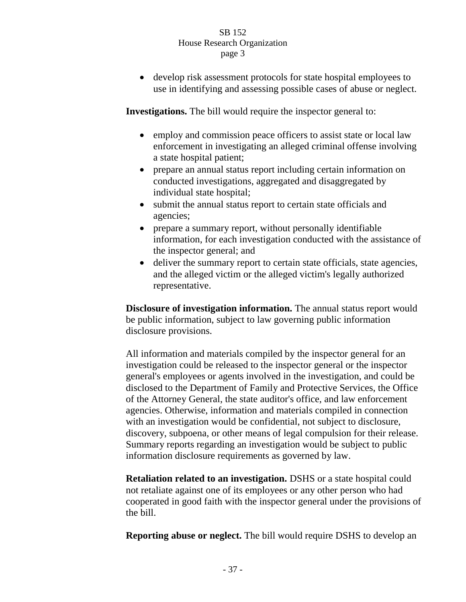develop risk assessment protocols for state hospital employees to use in identifying and assessing possible cases of abuse or neglect.

**Investigations.** The bill would require the inspector general to:

- employ and commission peace officers to assist state or local law enforcement in investigating an alleged criminal offense involving a state hospital patient;
- prepare an annual status report including certain information on conducted investigations, aggregated and disaggregated by individual state hospital;
- submit the annual status report to certain state officials and agencies;
- prepare a summary report, without personally identifiable information, for each investigation conducted with the assistance of the inspector general; and
- deliver the summary report to certain state officials, state agencies, and the alleged victim or the alleged victim's legally authorized representative.

**Disclosure of investigation information.** The annual status report would be public information, subject to law governing public information disclosure provisions.

All information and materials compiled by the inspector general for an investigation could be released to the inspector general or the inspector general's employees or agents involved in the investigation, and could be disclosed to the Department of Family and Protective Services, the Office of the Attorney General, the state auditor's office, and law enforcement agencies. Otherwise, information and materials compiled in connection with an investigation would be confidential, not subject to disclosure, discovery, subpoena, or other means of legal compulsion for their release. Summary reports regarding an investigation would be subject to public information disclosure requirements as governed by law.

**Retaliation related to an investigation.** DSHS or a state hospital could not retaliate against one of its employees or any other person who had cooperated in good faith with the inspector general under the provisions of the bill.

**Reporting abuse or neglect.** The bill would require DSHS to develop an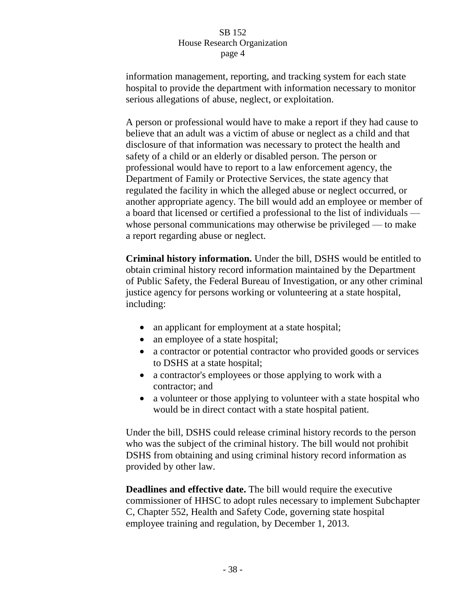information management, reporting, and tracking system for each state hospital to provide the department with information necessary to monitor serious allegations of abuse, neglect, or exploitation.

A person or professional would have to make a report if they had cause to believe that an adult was a victim of abuse or neglect as a child and that disclosure of that information was necessary to protect the health and safety of a child or an elderly or disabled person. The person or professional would have to report to a law enforcement agency, the Department of Family or Protective Services, the state agency that regulated the facility in which the alleged abuse or neglect occurred, or another appropriate agency. The bill would add an employee or member of a board that licensed or certified a professional to the list of individuals whose personal communications may otherwise be privileged — to make a report regarding abuse or neglect.

**Criminal history information.** Under the bill, DSHS would be entitled to obtain criminal history record information maintained by the Department of Public Safety, the Federal Bureau of Investigation, or any other criminal justice agency for persons working or volunteering at a state hospital, including:

- an applicant for employment at a state hospital;
- an employee of a state hospital;
- a contractor or potential contractor who provided goods or services to DSHS at a state hospital;
- a contractor's employees or those applying to work with a contractor; and
- a volunteer or those applying to volunteer with a state hospital who would be in direct contact with a state hospital patient.

Under the bill, DSHS could release criminal history records to the person who was the subject of the criminal history. The bill would not prohibit DSHS from obtaining and using criminal history record information as provided by other law.

**Deadlines and effective date.** The bill would require the executive commissioner of HHSC to adopt rules necessary to implement Subchapter C, Chapter 552, Health and Safety Code, governing state hospital employee training and regulation, by December 1, 2013.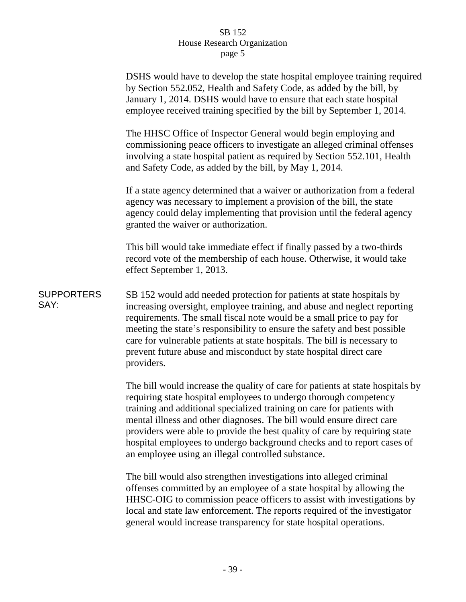|                           | DSHS would have to develop the state hospital employee training required<br>by Section 552.052, Health and Safety Code, as added by the bill, by<br>January 1, 2014. DSHS would have to ensure that each state hospital<br>employee received training specified by the bill by September 1, 2014.                                                                                                                                                                                                                    |
|---------------------------|----------------------------------------------------------------------------------------------------------------------------------------------------------------------------------------------------------------------------------------------------------------------------------------------------------------------------------------------------------------------------------------------------------------------------------------------------------------------------------------------------------------------|
|                           | The HHSC Office of Inspector General would begin employing and<br>commissioning peace officers to investigate an alleged criminal offenses<br>involving a state hospital patient as required by Section 552.101, Health<br>and Safety Code, as added by the bill, by May 1, 2014.                                                                                                                                                                                                                                    |
|                           | If a state agency determined that a waiver or authorization from a federal<br>agency was necessary to implement a provision of the bill, the state<br>agency could delay implementing that provision until the federal agency<br>granted the waiver or authorization.                                                                                                                                                                                                                                                |
|                           | This bill would take immediate effect if finally passed by a two-thirds<br>record vote of the membership of each house. Otherwise, it would take<br>effect September 1, 2013.                                                                                                                                                                                                                                                                                                                                        |
| <b>SUPPORTERS</b><br>SAY: | SB 152 would add needed protection for patients at state hospitals by<br>increasing oversight, employee training, and abuse and neglect reporting<br>requirements. The small fiscal note would be a small price to pay for<br>meeting the state's responsibility to ensure the safety and best possible<br>care for vulnerable patients at state hospitals. The bill is necessary to<br>prevent future abuse and misconduct by state hospital direct care<br>providers.                                              |
|                           | The bill would increase the quality of care for patients at state hospitals by<br>requiring state hospital employees to undergo thorough competency<br>training and additional specialized training on care for patients with<br>mental illness and other diagnoses. The bill would ensure direct care<br>providers were able to provide the best quality of care by requiring state<br>hospital employees to undergo background checks and to report cases of<br>an employee using an illegal controlled substance. |
|                           | The bill would also strengthen investigations into alleged criminal                                                                                                                                                                                                                                                                                                                                                                                                                                                  |

offenses committed by an employee of a state hospital by allowing the HHSC-OIG to commission peace officers to assist with investigations by local and state law enforcement. The reports required of the investigator general would increase transparency for state hospital operations.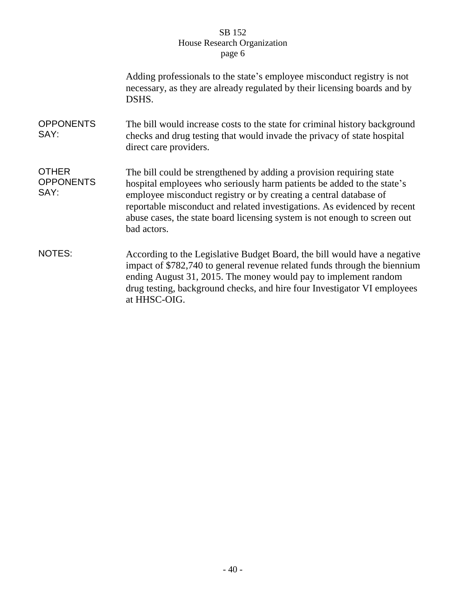|                                          | Adding professionals to the state's employee misconduct registry is not<br>necessary, as they are already regulated by their licensing boards and by<br>DSHS.                                                                                                                                                                                                                               |
|------------------------------------------|---------------------------------------------------------------------------------------------------------------------------------------------------------------------------------------------------------------------------------------------------------------------------------------------------------------------------------------------------------------------------------------------|
| <b>OPPONENTS</b><br>SAY:                 | The bill would increase costs to the state for criminal history background<br>checks and drug testing that would invade the privacy of state hospital<br>direct care providers.                                                                                                                                                                                                             |
| <b>OTHER</b><br><b>OPPONENTS</b><br>SAY: | The bill could be strengthened by adding a provision requiring state<br>hospital employees who seriously harm patients be added to the state's<br>employee misconduct registry or by creating a central database of<br>reportable misconduct and related investigations. As evidenced by recent<br>abuse cases, the state board licensing system is not enough to screen out<br>bad actors. |
| <b>NOTES:</b>                            | According to the Legislative Budget Board, the bill would have a negative<br>impact of \$782,740 to general revenue related funds through the biennium<br>ending August 31, 2015. The money would pay to implement random<br>drug testing, background checks, and hire four Investigator VI employees<br>at HHSC-OIG.                                                                       |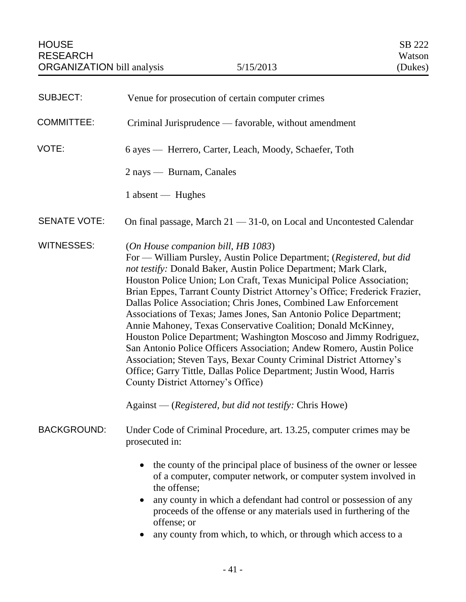| <b>SUBJECT:</b>     | Venue for prosecution of certain computer crimes                                                                                                                                                                                                                                                                                                                                                                                                                                                                                                                                                                                                                                                                                                                                                                                                                                                                                              |
|---------------------|-----------------------------------------------------------------------------------------------------------------------------------------------------------------------------------------------------------------------------------------------------------------------------------------------------------------------------------------------------------------------------------------------------------------------------------------------------------------------------------------------------------------------------------------------------------------------------------------------------------------------------------------------------------------------------------------------------------------------------------------------------------------------------------------------------------------------------------------------------------------------------------------------------------------------------------------------|
| <b>COMMITTEE:</b>   | Criminal Jurisprudence — favorable, without amendment                                                                                                                                                                                                                                                                                                                                                                                                                                                                                                                                                                                                                                                                                                                                                                                                                                                                                         |
| VOTE:               | 6 ayes — Herrero, Carter, Leach, Moody, Schaefer, Toth                                                                                                                                                                                                                                                                                                                                                                                                                                                                                                                                                                                                                                                                                                                                                                                                                                                                                        |
|                     | 2 nays — Burnam, Canales                                                                                                                                                                                                                                                                                                                                                                                                                                                                                                                                                                                                                                                                                                                                                                                                                                                                                                                      |
|                     | 1 absent — Hughes                                                                                                                                                                                                                                                                                                                                                                                                                                                                                                                                                                                                                                                                                                                                                                                                                                                                                                                             |
| <b>SENATE VOTE:</b> | On final passage, March $21 - 31 - 0$ , on Local and Uncontested Calendar                                                                                                                                                                                                                                                                                                                                                                                                                                                                                                                                                                                                                                                                                                                                                                                                                                                                     |
| <b>WITNESSES:</b>   | (On House companion bill, HB 1083)<br>For — William Pursley, Austin Police Department; (Registered, but did<br>not testify: Donald Baker, Austin Police Department; Mark Clark,<br>Houston Police Union; Lon Craft, Texas Municipal Police Association;<br>Brian Eppes, Tarrant County District Attorney's Office; Frederick Frazier,<br>Dallas Police Association; Chris Jones, Combined Law Enforcement<br>Associations of Texas; James Jones, San Antonio Police Department;<br>Annie Mahoney, Texas Conservative Coalition; Donald McKinney,<br>Houston Police Department; Washington Moscoso and Jimmy Rodriguez,<br>San Antonio Police Officers Association; Andew Romero, Austin Police<br>Association; Steven Tays, Bexar County Criminal District Attorney's<br>Office; Garry Tittle, Dallas Police Department; Justin Wood, Harris<br>County District Attorney's Office)<br>Against — (Registered, but did not testify: Chris Howe) |
| <b>BACKGROUND:</b>  | Under Code of Criminal Procedure, art. 13.25, computer crimes may be<br>prosecuted in:                                                                                                                                                                                                                                                                                                                                                                                                                                                                                                                                                                                                                                                                                                                                                                                                                                                        |
|                     | the county of the principal place of business of the owner or lessee<br>$\bullet$<br>of a computer, computer network, or computer system involved in<br>the offense;<br>any county in which a defendant had control or possession of any<br>$\bullet$<br>proceeds of the offense or any materials used in furthering of the<br>offense; or<br>any county from which, to which, or through which access to a                                                                                                                                                                                                                                                                                                                                                                                                                                                                                                                                   |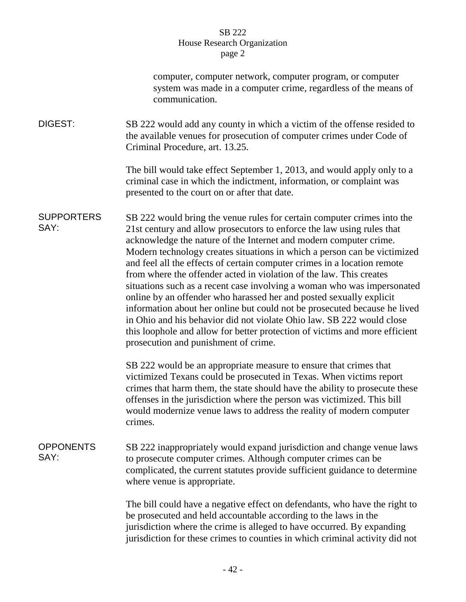|                           | computer, computer network, computer program, or computer<br>system was made in a computer crime, regardless of the means of<br>communication.                                                                                                                                                                                                                                                                                                                                                                                                                                                                                                                                                                                                                                                                                                                                       |
|---------------------------|--------------------------------------------------------------------------------------------------------------------------------------------------------------------------------------------------------------------------------------------------------------------------------------------------------------------------------------------------------------------------------------------------------------------------------------------------------------------------------------------------------------------------------------------------------------------------------------------------------------------------------------------------------------------------------------------------------------------------------------------------------------------------------------------------------------------------------------------------------------------------------------|
| DIGEST:                   | SB 222 would add any county in which a victim of the offense resided to<br>the available venues for prosecution of computer crimes under Code of<br>Criminal Procedure, art. 13.25.                                                                                                                                                                                                                                                                                                                                                                                                                                                                                                                                                                                                                                                                                                  |
|                           | The bill would take effect September 1, 2013, and would apply only to a<br>criminal case in which the indictment, information, or complaint was<br>presented to the court on or after that date.                                                                                                                                                                                                                                                                                                                                                                                                                                                                                                                                                                                                                                                                                     |
| <b>SUPPORTERS</b><br>SAY: | SB 222 would bring the venue rules for certain computer crimes into the<br>21st century and allow prosecutors to enforce the law using rules that<br>acknowledge the nature of the Internet and modern computer crime.<br>Modern technology creates situations in which a person can be victimized<br>and feel all the effects of certain computer crimes in a location remote<br>from where the offender acted in violation of the law. This creates<br>situations such as a recent case involving a woman who was impersonated<br>online by an offender who harassed her and posted sexually explicit<br>information about her online but could not be prosecuted because he lived<br>in Ohio and his behavior did not violate Ohio law. SB 222 would close<br>this loophole and allow for better protection of victims and more efficient<br>prosecution and punishment of crime. |
|                           | SB 222 would be an appropriate measure to ensure that crimes that<br>victimized Texans could be prosecuted in Texas. When victims report<br>crimes that harm them, the state should have the ability to prosecute these<br>offenses in the jurisdiction where the person was victimized. This bill<br>would modernize venue laws to address the reality of modern computer<br>crimes.                                                                                                                                                                                                                                                                                                                                                                                                                                                                                                |
| <b>OPPONENTS</b><br>SAY:  | SB 222 inappropriately would expand jurisdiction and change venue laws<br>to prosecute computer crimes. Although computer crimes can be<br>complicated, the current statutes provide sufficient guidance to determine<br>where venue is appropriate.                                                                                                                                                                                                                                                                                                                                                                                                                                                                                                                                                                                                                                 |
|                           | The bill could have a negative effect on defendants, who have the right to<br>be prosecuted and held accountable according to the laws in the<br>jurisdiction where the crime is alleged to have occurred. By expanding<br>jurisdiction for these crimes to counties in which criminal activity did not                                                                                                                                                                                                                                                                                                                                                                                                                                                                                                                                                                              |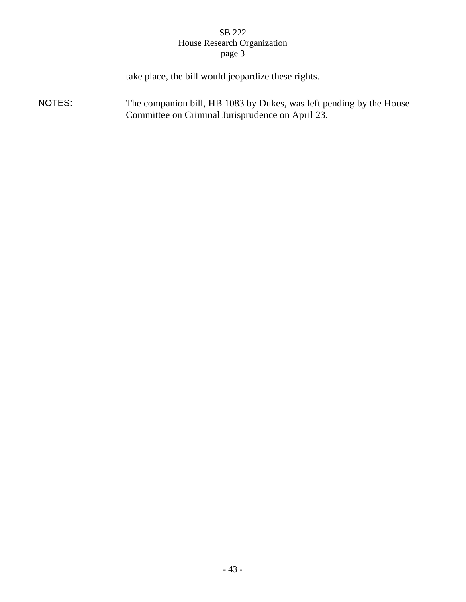take place, the bill would jeopardize these rights.

NOTES: The companion bill, HB 1083 by Dukes, was left pending by the House Committee on Criminal Jurisprudence on April 23.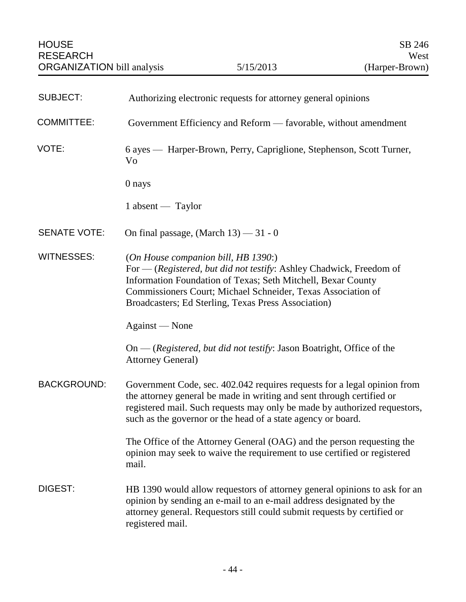| <b>SUBJECT:</b>     | Authorizing electronic requests for attorney general opinions                                                                                                                                                                                                                                     |
|---------------------|---------------------------------------------------------------------------------------------------------------------------------------------------------------------------------------------------------------------------------------------------------------------------------------------------|
| <b>COMMITTEE:</b>   | Government Efficiency and Reform — favorable, without amendment                                                                                                                                                                                                                                   |
| VOTE:               | 6 ayes — Harper-Brown, Perry, Capriglione, Stephenson, Scott Turner,<br>Vo                                                                                                                                                                                                                        |
|                     | 0 nays                                                                                                                                                                                                                                                                                            |
|                     | 1 absent — Taylor                                                                                                                                                                                                                                                                                 |
| <b>SENATE VOTE:</b> | On final passage, (March 13) - 31 - 0                                                                                                                                                                                                                                                             |
| <b>WITNESSES:</b>   | (On House companion bill, HB 1390:)<br>For — (Registered, but did not testify: Ashley Chadwick, Freedom of<br>Information Foundation of Texas; Seth Mitchell, Bexar County<br>Commissioners Court; Michael Schneider, Texas Association of<br>Broadcasters; Ed Sterling, Texas Press Association) |
|                     | Against — None                                                                                                                                                                                                                                                                                    |
|                     | $On - (registered, but did not testify: Jason Boatriight, Office of the)$<br><b>Attorney General</b> )                                                                                                                                                                                            |
| <b>BACKGROUND:</b>  | Government Code, sec. 402.042 requires requests for a legal opinion from<br>the attorney general be made in writing and sent through certified or<br>registered mail. Such requests may only be made by authorized requestors,<br>such as the governor or the head of a state agency or board.    |
|                     | The Office of the Attorney General (OAG) and the person requesting the<br>opinion may seek to waive the requirement to use certified or registered<br>mail.                                                                                                                                       |
| DIGEST:             | HB 1390 would allow requestors of attorney general opinions to ask for an<br>opinion by sending an e-mail to an e-mail address designated by the<br>attorney general. Requestors still could submit requests by certified or<br>registered mail.                                                  |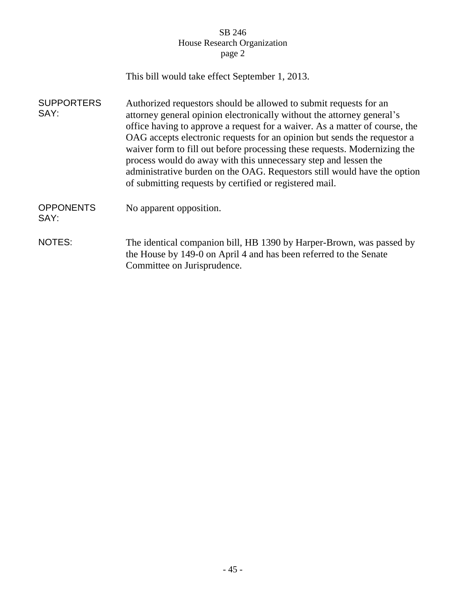|                           | This bill would take effect September 1, 2013.                                                                                                                                                                                                                                                                                                                                                                                                                                                                                                                                                |
|---------------------------|-----------------------------------------------------------------------------------------------------------------------------------------------------------------------------------------------------------------------------------------------------------------------------------------------------------------------------------------------------------------------------------------------------------------------------------------------------------------------------------------------------------------------------------------------------------------------------------------------|
| <b>SUPPORTERS</b><br>SAY: | Authorized requestors should be allowed to submit requests for an<br>attorney general opinion electronically without the attorney general's<br>office having to approve a request for a waiver. As a matter of course, the<br>OAG accepts electronic requests for an opinion but sends the requestor a<br>waiver form to fill out before processing these requests. Modernizing the<br>process would do away with this unnecessary step and lessen the<br>administrative burden on the OAG. Requestors still would have the option<br>of submitting requests by certified or registered mail. |
| <b>OPPONENTS</b><br>SAY:  | No apparent opposition.                                                                                                                                                                                                                                                                                                                                                                                                                                                                                                                                                                       |
| NOTES:                    | The identical companion bill, HB 1390 by Harper-Brown, was passed by<br>the House by 149-0 on April 4 and has been referred to the Senate<br>Committee on Jurisprudence.                                                                                                                                                                                                                                                                                                                                                                                                                      |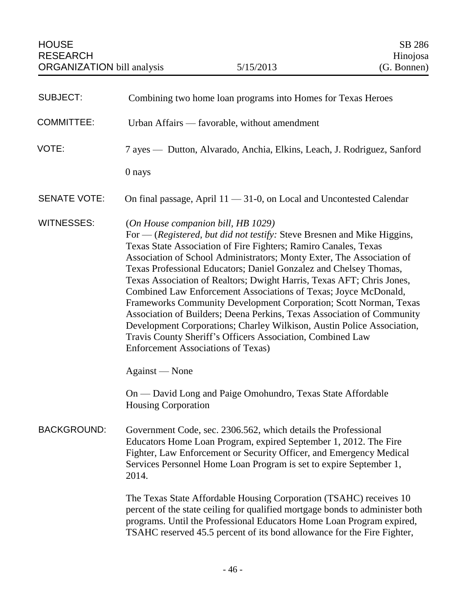| <b>SUBJECT:</b>     | Combining two home loan programs into Homes for Texas Heroes                                                                                                                                                                                                                                                                                                                                                                                                                                                                                                                                                                                                                                                                                                                                                     |
|---------------------|------------------------------------------------------------------------------------------------------------------------------------------------------------------------------------------------------------------------------------------------------------------------------------------------------------------------------------------------------------------------------------------------------------------------------------------------------------------------------------------------------------------------------------------------------------------------------------------------------------------------------------------------------------------------------------------------------------------------------------------------------------------------------------------------------------------|
| <b>COMMITTEE:</b>   | Urban Affairs — favorable, without amendment                                                                                                                                                                                                                                                                                                                                                                                                                                                                                                                                                                                                                                                                                                                                                                     |
| VOTE:               | 7 ayes — Dutton, Alvarado, Anchia, Elkins, Leach, J. Rodriguez, Sanford                                                                                                                                                                                                                                                                                                                                                                                                                                                                                                                                                                                                                                                                                                                                          |
|                     | 0 nays                                                                                                                                                                                                                                                                                                                                                                                                                                                                                                                                                                                                                                                                                                                                                                                                           |
| <b>SENATE VOTE:</b> | On final passage, April $11 - 31 - 0$ , on Local and Uncontested Calendar                                                                                                                                                                                                                                                                                                                                                                                                                                                                                                                                                                                                                                                                                                                                        |
| <b>WITNESSES:</b>   | (On House companion bill, HB 1029)<br>For $-$ (Registered, but did not testify: Steve Bresnen and Mike Higgins,<br>Texas State Association of Fire Fighters; Ramiro Canales, Texas<br>Association of School Administrators; Monty Exter, The Association of<br>Texas Professional Educators; Daniel Gonzalez and Chelsey Thomas,<br>Texas Association of Realtors; Dwight Harris, Texas AFT; Chris Jones,<br>Combined Law Enforcement Associations of Texas; Joyce McDonald,<br>Frameworks Community Development Corporation; Scott Norman, Texas<br>Association of Builders; Deena Perkins, Texas Association of Community<br>Development Corporations; Charley Wilkison, Austin Police Association,<br>Travis County Sheriff's Officers Association, Combined Law<br><b>Enforcement Associations of Texas)</b> |
|                     | Against — None                                                                                                                                                                                                                                                                                                                                                                                                                                                                                                                                                                                                                                                                                                                                                                                                   |
|                     | On — David Long and Paige Omohundro, Texas State Affordable<br><b>Housing Corporation</b>                                                                                                                                                                                                                                                                                                                                                                                                                                                                                                                                                                                                                                                                                                                        |
| <b>BACKGROUND:</b>  | Government Code, sec. 2306.562, which details the Professional<br>Educators Home Loan Program, expired September 1, 2012. The Fire<br>Fighter, Law Enforcement or Security Officer, and Emergency Medical<br>Services Personnel Home Loan Program is set to expire September 1,<br>2014.                                                                                                                                                                                                                                                                                                                                                                                                                                                                                                                         |
|                     | The Texas State Affordable Housing Corporation (TSAHC) receives 10<br>percent of the state ceiling for qualified mortgage bonds to administer both<br>programs. Until the Professional Educators Home Loan Program expired,<br>TSAHC reserved 45.5 percent of its bond allowance for the Fire Fighter,                                                                                                                                                                                                                                                                                                                                                                                                                                                                                                           |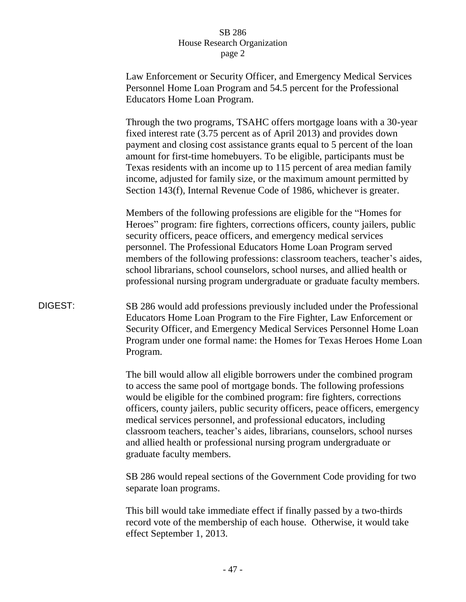|         | Law Enforcement or Security Officer, and Emergency Medical Services<br>Personnel Home Loan Program and 54.5 percent for the Professional<br>Educators Home Loan Program.                                                                                                                                                                                                                                                                                                                                                                                        |
|---------|-----------------------------------------------------------------------------------------------------------------------------------------------------------------------------------------------------------------------------------------------------------------------------------------------------------------------------------------------------------------------------------------------------------------------------------------------------------------------------------------------------------------------------------------------------------------|
|         | Through the two programs, TSAHC offers mortgage loans with a 30-year<br>fixed interest rate (3.75 percent as of April 2013) and provides down<br>payment and closing cost assistance grants equal to 5 percent of the loan<br>amount for first-time homebuyers. To be eligible, participants must be<br>Texas residents with an income up to 115 percent of area median family<br>income, adjusted for family size, or the maximum amount permitted by<br>Section 143(f), Internal Revenue Code of 1986, whichever is greater.                                  |
|         | Members of the following professions are eligible for the "Homes for<br>Heroes" program: fire fighters, corrections officers, county jailers, public<br>security officers, peace officers, and emergency medical services<br>personnel. The Professional Educators Home Loan Program served<br>members of the following professions: classroom teachers, teacher's aides,<br>school librarians, school counselors, school nurses, and allied health or<br>professional nursing program undergraduate or graduate faculty members.                               |
| DIGEST: | SB 286 would add professions previously included under the Professional<br>Educators Home Loan Program to the Fire Fighter, Law Enforcement or<br>Security Officer, and Emergency Medical Services Personnel Home Loan<br>Program under one formal name: the Homes for Texas Heroes Home Loan<br>Program.                                                                                                                                                                                                                                                       |
|         | The bill would allow all eligible borrowers under the combined program<br>to access the same pool of mortgage bonds. The following professions<br>would be eligible for the combined program: fire fighters, corrections<br>officers, county jailers, public security officers, peace officers, emergency<br>medical services personnel, and professional educators, including<br>classroom teachers, teacher's aides, librarians, counselors, school nurses<br>and allied health or professional nursing program undergraduate or<br>graduate faculty members. |
|         | SB 286 would repeal sections of the Government Code providing for two<br>separate loan programs.                                                                                                                                                                                                                                                                                                                                                                                                                                                                |
|         | This bill would take immediate effect if finally passed by a two-thirds<br>record vote of the membership of each house. Otherwise, it would take                                                                                                                                                                                                                                                                                                                                                                                                                |

effect September 1, 2013.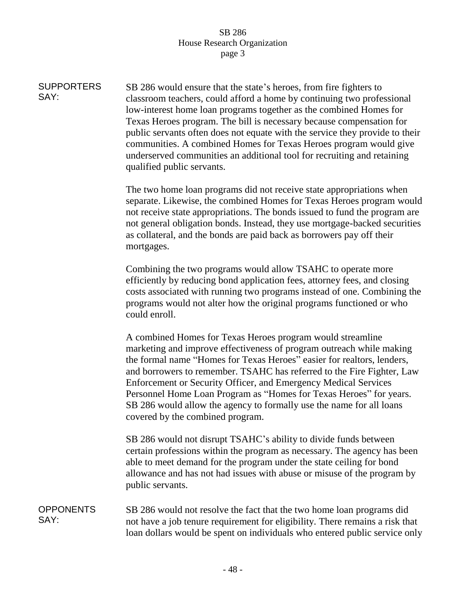| <b>SUPPORTERS</b><br>SAY: | SB 286 would ensure that the state's heroes, from fire fighters to<br>classroom teachers, could afford a home by continuing two professional<br>low-interest home loan programs together as the combined Homes for<br>Texas Heroes program. The bill is necessary because compensation for<br>public servants often does not equate with the service they provide to their<br>communities. A combined Homes for Texas Heroes program would give<br>underserved communities an additional tool for recruiting and retaining<br>qualified public servants. |
|---------------------------|----------------------------------------------------------------------------------------------------------------------------------------------------------------------------------------------------------------------------------------------------------------------------------------------------------------------------------------------------------------------------------------------------------------------------------------------------------------------------------------------------------------------------------------------------------|
|                           | The two home loan programs did not receive state appropriations when<br>separate. Likewise, the combined Homes for Texas Heroes program would<br>not receive state appropriations. The bonds issued to fund the program are<br>not general obligation bonds. Instead, they use mortgage-backed securities<br>as collateral, and the bonds are paid back as borrowers pay off their<br>mortgages.                                                                                                                                                         |
|                           | Combining the two programs would allow TSAHC to operate more<br>efficiently by reducing bond application fees, attorney fees, and closing<br>costs associated with running two programs instead of one. Combining the<br>programs would not alter how the original programs functioned or who<br>could enroll.                                                                                                                                                                                                                                           |
|                           | A combined Homes for Texas Heroes program would streamline<br>marketing and improve effectiveness of program outreach while making<br>the formal name "Homes for Texas Heroes" easier for realtors, lenders,<br>and borrowers to remember. TSAHC has referred to the Fire Fighter, Law<br>Enforcement or Security Officer, and Emergency Medical Services<br>Personnel Home Loan Program as "Homes for Texas Heroes" for years.<br>SB 286 would allow the agency to formally use the name for all loans<br>covered by the combined program.              |
|                           | SB 286 would not disrupt TSAHC's ability to divide funds between<br>certain professions within the program as necessary. The agency has been<br>able to meet demand for the program under the state ceiling for bond<br>allowance and has not had issues with abuse or misuse of the program by<br>public servants.                                                                                                                                                                                                                                      |
| <b>OPPONENTS</b><br>SAY:  | SB 286 would not resolve the fact that the two home loan programs did<br>not have a job tenure requirement for eligibility. There remains a risk that<br>loan dollars would be spent on individuals who entered public service only                                                                                                                                                                                                                                                                                                                      |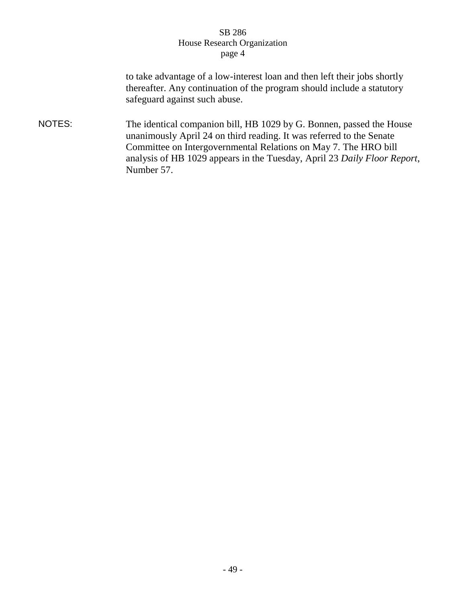to take advantage of a low-interest loan and then left their jobs shortly thereafter. Any continuation of the program should include a statutory safeguard against such abuse.

NOTES: The identical companion bill, HB 1029 by G. Bonnen, passed the House unanimously April 24 on third reading. It was referred to the Senate Committee on Intergovernmental Relations on May 7. The HRO bill analysis of HB 1029 appears in the Tuesday, April 23 *Daily Floor Report*, Number 57.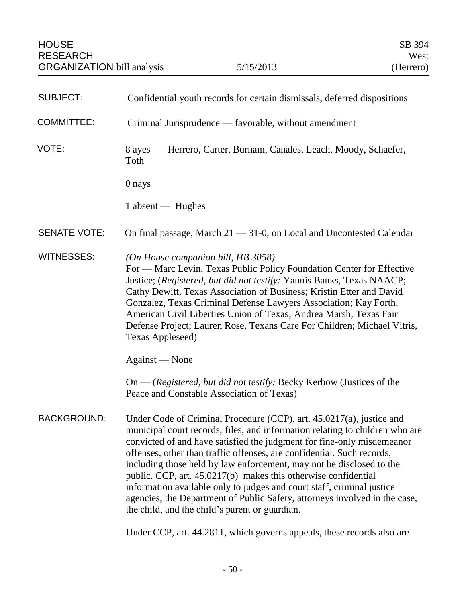| <b>SUBJECT:</b>     | Confidential youth records for certain dismissals, deferred dispositions                                                                                                                                                                                                                                                                                                                                                                                                                                                                                                                                                                                     |
|---------------------|--------------------------------------------------------------------------------------------------------------------------------------------------------------------------------------------------------------------------------------------------------------------------------------------------------------------------------------------------------------------------------------------------------------------------------------------------------------------------------------------------------------------------------------------------------------------------------------------------------------------------------------------------------------|
| <b>COMMITTEE:</b>   | Criminal Jurisprudence — favorable, without amendment                                                                                                                                                                                                                                                                                                                                                                                                                                                                                                                                                                                                        |
| VOTE:               | 8 ayes — Herrero, Carter, Burnam, Canales, Leach, Moody, Schaefer,<br>Toth                                                                                                                                                                                                                                                                                                                                                                                                                                                                                                                                                                                   |
|                     | 0 nays                                                                                                                                                                                                                                                                                                                                                                                                                                                                                                                                                                                                                                                       |
|                     | 1 absent — Hughes                                                                                                                                                                                                                                                                                                                                                                                                                                                                                                                                                                                                                                            |
| <b>SENATE VOTE:</b> | On final passage, March $21 - 31 - 0$ , on Local and Uncontested Calendar                                                                                                                                                                                                                                                                                                                                                                                                                                                                                                                                                                                    |
| <b>WITNESSES:</b>   | (On House companion bill, HB 3058)<br>For — Marc Levin, Texas Public Policy Foundation Center for Effective<br>Justice; (Registered, but did not testify: Yannis Banks, Texas NAACP;<br>Cathy Dewitt, Texas Association of Business; Kristin Etter and David<br>Gonzalez, Texas Criminal Defense Lawyers Association; Kay Forth,<br>American Civil Liberties Union of Texas; Andrea Marsh, Texas Fair<br>Defense Project; Lauren Rose, Texans Care For Children; Michael Vitris,<br>Texas Appleseed)                                                                                                                                                         |
|                     | Against — None                                                                                                                                                                                                                                                                                                                                                                                                                                                                                                                                                                                                                                               |
|                     | $On - (registered, but did not testify: Becky Kerbow (Justices of the$<br>Peace and Constable Association of Texas)                                                                                                                                                                                                                                                                                                                                                                                                                                                                                                                                          |
| <b>BACKGROUND:</b>  | Under Code of Criminal Procedure (CCP), art. 45.0217(a), justice and<br>municipal court records, files, and information relating to children who are<br>convicted of and have satisfied the judgment for fine-only misdemeanor<br>offenses, other than traffic offenses, are confidential. Such records,<br>including those held by law enforcement, may not be disclosed to the<br>public. CCP, art. 45.0217(b) makes this otherwise confidential<br>information available only to judges and court staff, criminal justice<br>agencies, the Department of Public Safety, attorneys involved in the case,<br>the child, and the child's parent or guardian. |

Under CCP, art. 44.2811, which governs appeals, these records also are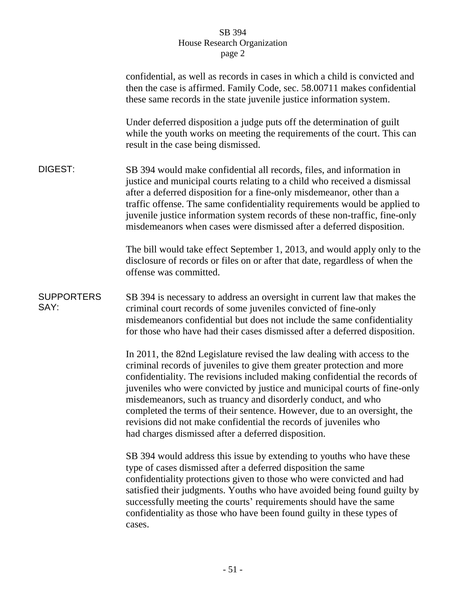|                           | confidential, as well as records in cases in which a child is convicted and<br>then the case is affirmed. Family Code, sec. 58.00711 makes confidential<br>these same records in the state juvenile justice information system.                                                                                                                                                                                                                                                                                                                                                       |
|---------------------------|---------------------------------------------------------------------------------------------------------------------------------------------------------------------------------------------------------------------------------------------------------------------------------------------------------------------------------------------------------------------------------------------------------------------------------------------------------------------------------------------------------------------------------------------------------------------------------------|
|                           | Under deferred disposition a judge puts off the determination of guilt<br>while the youth works on meeting the requirements of the court. This can<br>result in the case being dismissed.                                                                                                                                                                                                                                                                                                                                                                                             |
| DIGEST:                   | SB 394 would make confidential all records, files, and information in<br>justice and municipal courts relating to a child who received a dismissal<br>after a deferred disposition for a fine-only misdemeanor, other than a<br>traffic offense. The same confidentiality requirements would be applied to<br>juvenile justice information system records of these non-traffic, fine-only<br>misdemeanors when cases were dismissed after a deferred disposition.                                                                                                                     |
|                           | The bill would take effect September 1, 2013, and would apply only to the<br>disclosure of records or files on or after that date, regardless of when the<br>offense was committed.                                                                                                                                                                                                                                                                                                                                                                                                   |
| <b>SUPPORTERS</b><br>SAY: | SB 394 is necessary to address an oversight in current law that makes the<br>criminal court records of some juveniles convicted of fine-only<br>misdemeanors confidential but does not include the same confidentiality<br>for those who have had their cases dismissed after a deferred disposition.                                                                                                                                                                                                                                                                                 |
|                           | In 2011, the 82nd Legislature revised the law dealing with access to the<br>criminal records of juveniles to give them greater protection and more<br>confidentiality. The revisions included making confidential the records of<br>juveniles who were convicted by justice and municipal courts of fine-only<br>misdemeanors, such as truancy and disorderly conduct, and who<br>completed the terms of their sentence. However, due to an oversight, the<br>revisions did not make confidential the records of juveniles who<br>had charges dismissed after a deferred disposition. |
|                           | SB 394 would address this issue by extending to youths who have these<br>type of cases dismissed after a deferred disposition the same<br>confidentiality protections given to those who were convicted and had<br>satisfied their judgments. Youths who have avoided being found guilty by<br>successfully meeting the courts' requirements should have the same<br>confidentiality as those who have been found guilty in these types of<br>cases.                                                                                                                                  |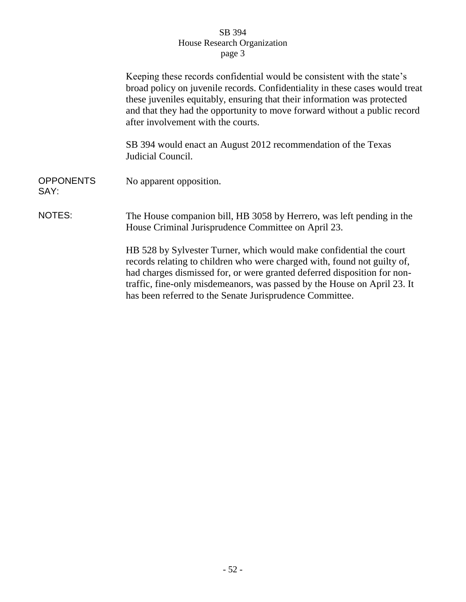|                          | Keeping these records confidential would be consistent with the state's<br>broad policy on juvenile records. Confidentiality in these cases would treat<br>these juveniles equitably, ensuring that their information was protected<br>and that they had the opportunity to move forward without a public record<br>after involvement with the courts.              |
|--------------------------|---------------------------------------------------------------------------------------------------------------------------------------------------------------------------------------------------------------------------------------------------------------------------------------------------------------------------------------------------------------------|
|                          | SB 394 would enact an August 2012 recommendation of the Texas<br>Judicial Council.                                                                                                                                                                                                                                                                                  |
| <b>OPPONENTS</b><br>SAY: | No apparent opposition.                                                                                                                                                                                                                                                                                                                                             |
| NOTES:                   | The House companion bill, HB 3058 by Herrero, was left pending in the<br>House Criminal Jurisprudence Committee on April 23.                                                                                                                                                                                                                                        |
|                          | HB 528 by Sylvester Turner, which would make confidential the court<br>records relating to children who were charged with, found not guilty of,<br>had charges dismissed for, or were granted deferred disposition for non-<br>traffic, fine-only misdemeanors, was passed by the House on April 23. It<br>has been referred to the Senate Jurisprudence Committee. |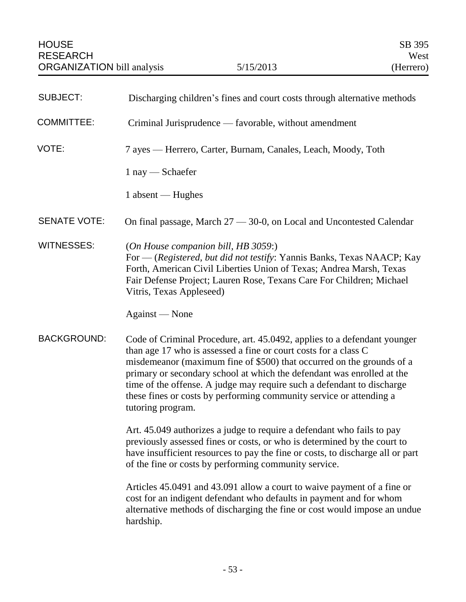| <b>SUBJECT:</b>     | Discharging children's fines and court costs through alternative methods                                                                                                                                                                                                                                                                                                                                                                                             |
|---------------------|----------------------------------------------------------------------------------------------------------------------------------------------------------------------------------------------------------------------------------------------------------------------------------------------------------------------------------------------------------------------------------------------------------------------------------------------------------------------|
| <b>COMMITTEE:</b>   | Criminal Jurisprudence — favorable, without amendment                                                                                                                                                                                                                                                                                                                                                                                                                |
| VOTE:               | 7 ayes — Herrero, Carter, Burnam, Canales, Leach, Moody, Toth                                                                                                                                                                                                                                                                                                                                                                                                        |
|                     | $1$ nay $-$ Schaefer                                                                                                                                                                                                                                                                                                                                                                                                                                                 |
|                     | 1 absent — Hughes                                                                                                                                                                                                                                                                                                                                                                                                                                                    |
| <b>SENATE VOTE:</b> | On final passage, March $27 - 30 - 0$ , on Local and Uncontested Calendar                                                                                                                                                                                                                                                                                                                                                                                            |
| <b>WITNESSES:</b>   | (On House companion bill, HB 3059:)<br>For — (Registered, but did not testify: Yannis Banks, Texas NAACP; Kay<br>Forth, American Civil Liberties Union of Texas; Andrea Marsh, Texas<br>Fair Defense Project; Lauren Rose, Texans Care For Children; Michael<br>Vitris, Texas Appleseed)                                                                                                                                                                             |
|                     | Against — None                                                                                                                                                                                                                                                                                                                                                                                                                                                       |
| <b>BACKGROUND:</b>  | Code of Criminal Procedure, art. 45.0492, applies to a defendant younger<br>than age 17 who is assessed a fine or court costs for a class C<br>misdemeanor (maximum fine of \$500) that occurred on the grounds of a<br>primary or secondary school at which the defendant was enrolled at the<br>time of the offense. A judge may require such a defendant to discharge<br>these fines or costs by performing community service or attending a<br>tutoring program. |
|                     | Art. 45.049 authorizes a judge to require a defendant who fails to pay<br>previously assessed fines or costs, or who is determined by the court to<br>have insufficient resources to pay the fine or costs, to discharge all or part<br>of the fine or costs by performing community service.                                                                                                                                                                        |
|                     | Articles 45.0491 and 43.091 allow a court to waive payment of a fine or<br>cost for an indigent defendant who defaults in payment and for whom<br>alternative methods of discharging the fine or cost would impose an undue<br>hardship.                                                                                                                                                                                                                             |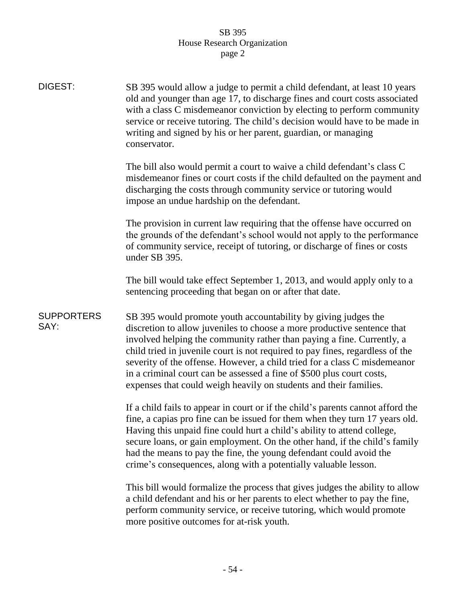| DIGEST:                   | SB 395 would allow a judge to permit a child defendant, at least 10 years<br>old and younger than age 17, to discharge fines and court costs associated<br>with a class C misdemeanor conviction by electing to perform community<br>service or receive tutoring. The child's decision would have to be made in<br>writing and signed by his or her parent, guardian, or managing<br>conservator.                                                                                                                               |
|---------------------------|---------------------------------------------------------------------------------------------------------------------------------------------------------------------------------------------------------------------------------------------------------------------------------------------------------------------------------------------------------------------------------------------------------------------------------------------------------------------------------------------------------------------------------|
|                           | The bill also would permit a court to waive a child defendant's class C<br>misdemeanor fines or court costs if the child defaulted on the payment and<br>discharging the costs through community service or tutoring would<br>impose an undue hardship on the defendant.                                                                                                                                                                                                                                                        |
|                           | The provision in current law requiring that the offense have occurred on<br>the grounds of the defendant's school would not apply to the performance<br>of community service, receipt of tutoring, or discharge of fines or costs<br>under SB 395.                                                                                                                                                                                                                                                                              |
|                           | The bill would take effect September 1, 2013, and would apply only to a<br>sentencing proceeding that began on or after that date.                                                                                                                                                                                                                                                                                                                                                                                              |
| <b>SUPPORTERS</b><br>SAY: | SB 395 would promote youth accountability by giving judges the<br>discretion to allow juveniles to choose a more productive sentence that<br>involved helping the community rather than paying a fine. Currently, a<br>child tried in juvenile court is not required to pay fines, regardless of the<br>severity of the offense. However, a child tried for a class C misdemeanor<br>in a criminal court can be assessed a fine of \$500 plus court costs,<br>expenses that could weigh heavily on students and their families. |
|                           | If a child fails to appear in court or if the child's parents cannot afford the<br>fine, a capias pro fine can be issued for them when they turn 17 years old.<br>Having this unpaid fine could hurt a child's ability to attend college,<br>secure loans, or gain employment. On the other hand, if the child's family<br>had the means to pay the fine, the young defendant could avoid the<br>crime's consequences, along with a potentially valuable lesson.                                                                |
|                           | This bill would formalize the process that gives judges the ability to allow<br>a child defendant and his or her parents to elect whether to pay the fine,<br>perform community service, or receive tutoring, which would promote<br>more positive outcomes for at-risk youth.                                                                                                                                                                                                                                                  |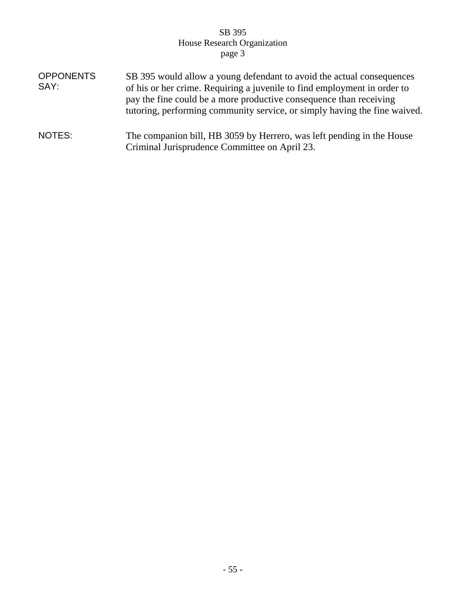| <b>OPPONENTS</b><br>SAY: | SB 395 would allow a young defendant to avoid the actual consequences<br>of his or her crime. Requiring a juvenile to find employment in order to<br>pay the fine could be a more productive consequence than receiving<br>tutoring, performing community service, or simply having the fine waived. |
|--------------------------|------------------------------------------------------------------------------------------------------------------------------------------------------------------------------------------------------------------------------------------------------------------------------------------------------|
| NOTES:                   | The companion bill, HB 3059 by Herrero, was left pending in the House<br>Criminal Jurisprudence Committee on April 23.                                                                                                                                                                               |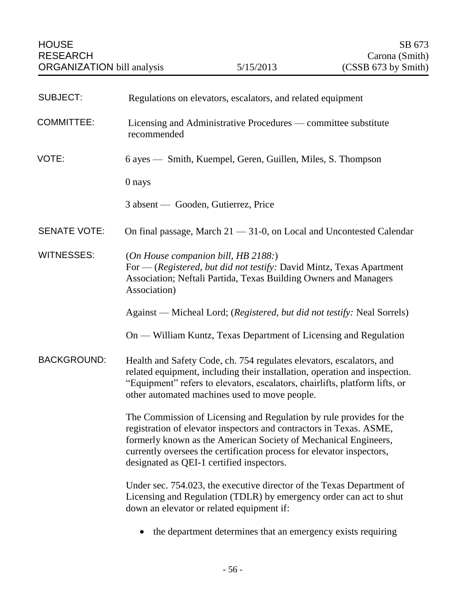| <b>SUBJECT:</b>     | Regulations on elevators, escalators, and related equipment                                                                                                                                                                                                                                                                        |
|---------------------|------------------------------------------------------------------------------------------------------------------------------------------------------------------------------------------------------------------------------------------------------------------------------------------------------------------------------------|
| <b>COMMITTEE:</b>   | Licensing and Administrative Procedures — committee substitute<br>recommended                                                                                                                                                                                                                                                      |
| VOTE:               | 6 ayes — Smith, Kuempel, Geren, Guillen, Miles, S. Thompson                                                                                                                                                                                                                                                                        |
|                     | 0 nays                                                                                                                                                                                                                                                                                                                             |
|                     | 3 absent — Gooden, Gutierrez, Price                                                                                                                                                                                                                                                                                                |
| <b>SENATE VOTE:</b> | On final passage, March $21 - 31 - 0$ , on Local and Uncontested Calendar                                                                                                                                                                                                                                                          |
| <b>WITNESSES:</b>   | (On House companion bill, HB 2188:)<br>For — (Registered, but did not testify: David Mintz, Texas Apartment<br>Association; Neftali Partida, Texas Building Owners and Managers<br>Association)                                                                                                                                    |
|                     | Against — Micheal Lord; (Registered, but did not testify: Neal Sorrels)                                                                                                                                                                                                                                                            |
|                     | On — William Kuntz, Texas Department of Licensing and Regulation                                                                                                                                                                                                                                                                   |
| <b>BACKGROUND:</b>  | Health and Safety Code, ch. 754 regulates elevators, escalators, and<br>related equipment, including their installation, operation and inspection.<br>"Equipment" refers to elevators, escalators, chairlifts, platform lifts, or<br>other automated machines used to move people.                                                 |
|                     | The Commission of Licensing and Regulation by rule provides for the<br>registration of elevator inspectors and contractors in Texas. ASME<br>formerly known as the American Society of Mechanical Engineers,<br>currently oversees the certification process for elevator inspectors,<br>designated as QEI-1 certified inspectors. |
|                     | Under sec. 754.023, the executive director of the Texas Department of<br>Licensing and Regulation (TDLR) by emergency order can act to shut<br>down an elevator or related equipment if:                                                                                                                                           |

• the department determines that an emergency exists requiring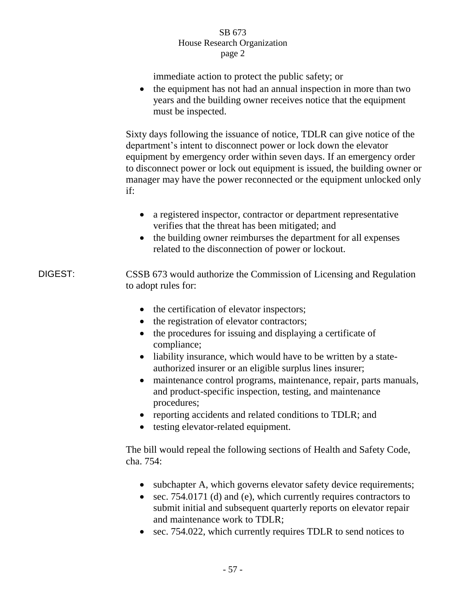immediate action to protect the public safety; or

• the equipment has not had an annual inspection in more than two years and the building owner receives notice that the equipment must be inspected.

Sixty days following the issuance of notice, TDLR can give notice of the department's intent to disconnect power or lock down the elevator equipment by emergency order within seven days. If an emergency order to disconnect power or lock out equipment is issued, the building owner or manager may have the power reconnected or the equipment unlocked only if:

- a registered inspector, contractor or department representative verifies that the threat has been mitigated; and
- the building owner reimburses the department for all expenses related to the disconnection of power or lockout.

DIGEST: CSSB 673 would authorize the Commission of Licensing and Regulation to adopt rules for:

- the certification of elevator inspectors;
- the registration of elevator contractors;
- the procedures for issuing and displaying a certificate of compliance;
- liability insurance, which would have to be written by a stateauthorized insurer or an eligible surplus lines insurer;
- maintenance control programs, maintenance, repair, parts manuals, and product-specific inspection, testing, and maintenance procedures;
- reporting accidents and related conditions to TDLR; and
- testing elevator-related equipment.

The bill would repeal the following sections of Health and Safety Code, cha. 754:

- subchapter A, which governs elevator safety device requirements;
- sec. 754.0171 (d) and (e), which currently requires contractors to submit initial and subsequent quarterly reports on elevator repair and maintenance work to TDLR;
- sec. 754.022, which currently requires TDLR to send notices to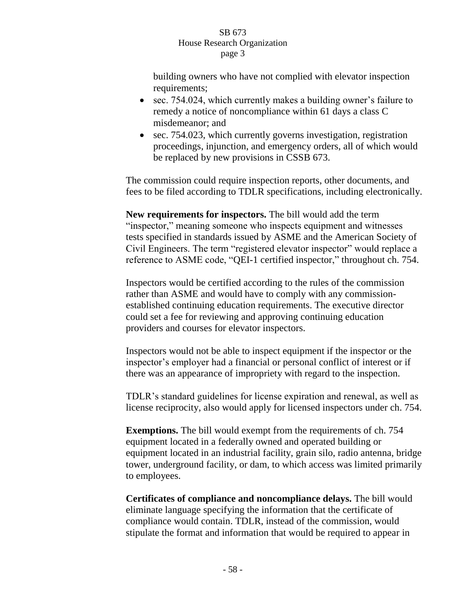building owners who have not complied with elevator inspection requirements;

- sec. 754.024, which currently makes a building owner's failure to remedy a notice of noncompliance within 61 days a class C misdemeanor; and
- sec. 754.023, which currently governs investigation, registration proceedings, injunction, and emergency orders, all of which would be replaced by new provisions in CSSB 673.

The commission could require inspection reports, other documents, and fees to be filed according to TDLR specifications, including electronically.

**New requirements for inspectors.** The bill would add the term "inspector," meaning someone who inspects equipment and witnesses tests specified in standards issued by ASME and the American Society of Civil Engineers. The term "registered elevator inspector" would replace a reference to ASME code, "QEI-1 certified inspector," throughout ch. 754.

Inspectors would be certified according to the rules of the commission rather than ASME and would have to comply with any commissionestablished continuing education requirements. The executive director could set a fee for reviewing and approving continuing education providers and courses for elevator inspectors.

Inspectors would not be able to inspect equipment if the inspector or the inspector's employer had a financial or personal conflict of interest or if there was an appearance of impropriety with regard to the inspection.

TDLR's standard guidelines for license expiration and renewal, as well as license reciprocity, also would apply for licensed inspectors under ch. 754.

**Exemptions.** The bill would exempt from the requirements of ch. 754 equipment located in a federally owned and operated building or equipment located in an industrial facility, grain silo, radio antenna, bridge tower, underground facility, or dam, to which access was limited primarily to employees.

**Certificates of compliance and noncompliance delays.** The bill would eliminate language specifying the information that the certificate of compliance would contain. TDLR, instead of the commission, would stipulate the format and information that would be required to appear in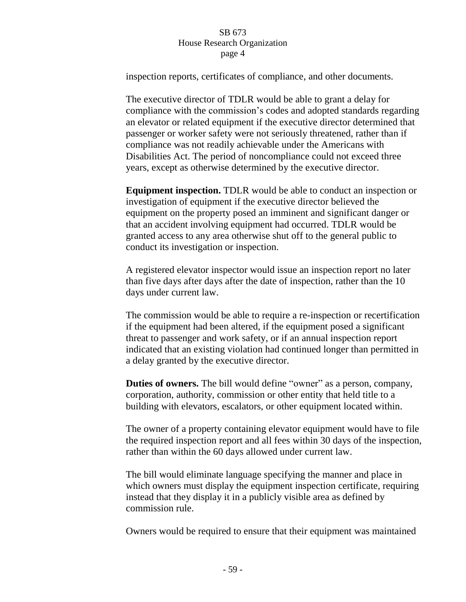inspection reports, certificates of compliance, and other documents.

The executive director of TDLR would be able to grant a delay for compliance with the commission's codes and adopted standards regarding an elevator or related equipment if the executive director determined that passenger or worker safety were not seriously threatened, rather than if compliance was not readily achievable under the Americans with Disabilities Act. The period of noncompliance could not exceed three years, except as otherwise determined by the executive director.

**Equipment inspection.** TDLR would be able to conduct an inspection or investigation of equipment if the executive director believed the equipment on the property posed an imminent and significant danger or that an accident involving equipment had occurred. TDLR would be granted access to any area otherwise shut off to the general public to conduct its investigation or inspection.

A registered elevator inspector would issue an inspection report no later than five days after days after the date of inspection, rather than the 10 days under current law.

The commission would be able to require a re-inspection or recertification if the equipment had been altered, if the equipment posed a significant threat to passenger and work safety, or if an annual inspection report indicated that an existing violation had continued longer than permitted in a delay granted by the executive director.

**Duties of owners.** The bill would define "owner" as a person, company, corporation, authority, commission or other entity that held title to a building with elevators, escalators, or other equipment located within.

The owner of a property containing elevator equipment would have to file the required inspection report and all fees within 30 days of the inspection, rather than within the 60 days allowed under current law.

The bill would eliminate language specifying the manner and place in which owners must display the equipment inspection certificate, requiring instead that they display it in a publicly visible area as defined by commission rule.

Owners would be required to ensure that their equipment was maintained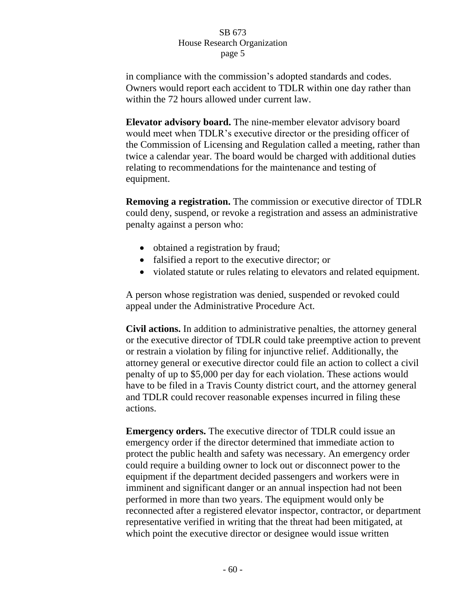in compliance with the commission's adopted standards and codes. Owners would report each accident to TDLR within one day rather than within the 72 hours allowed under current law.

**Elevator advisory board.** The nine-member elevator advisory board would meet when TDLR's executive director or the presiding officer of the Commission of Licensing and Regulation called a meeting, rather than twice a calendar year. The board would be charged with additional duties relating to recommendations for the maintenance and testing of equipment.

**Removing a registration.** The commission or executive director of TDLR could deny, suspend, or revoke a registration and assess an administrative penalty against a person who:

- obtained a registration by fraud;
- falsified a report to the executive director; or
- violated statute or rules relating to elevators and related equipment.

A person whose registration was denied, suspended or revoked could appeal under the Administrative Procedure Act.

**Civil actions.** In addition to administrative penalties, the attorney general or the executive director of TDLR could take preemptive action to prevent or restrain a violation by filing for injunctive relief. Additionally, the attorney general or executive director could file an action to collect a civil penalty of up to \$5,000 per day for each violation. These actions would have to be filed in a Travis County district court, and the attorney general and TDLR could recover reasonable expenses incurred in filing these actions.

**Emergency orders.** The executive director of TDLR could issue an emergency order if the director determined that immediate action to protect the public health and safety was necessary. An emergency order could require a building owner to lock out or disconnect power to the equipment if the department decided passengers and workers were in imminent and significant danger or an annual inspection had not been performed in more than two years. The equipment would only be reconnected after a registered elevator inspector, contractor, or department representative verified in writing that the threat had been mitigated, at which point the executive director or designee would issue written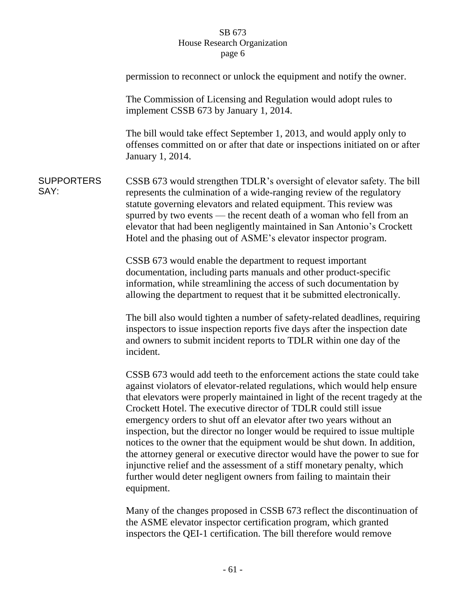|                           | permission to reconnect or unlock the equipment and notify the owner.                                                                                                                                                                                                                                                                                                                                                                                                                                                                                                                                                                                                                                                                                                                      |
|---------------------------|--------------------------------------------------------------------------------------------------------------------------------------------------------------------------------------------------------------------------------------------------------------------------------------------------------------------------------------------------------------------------------------------------------------------------------------------------------------------------------------------------------------------------------------------------------------------------------------------------------------------------------------------------------------------------------------------------------------------------------------------------------------------------------------------|
|                           | The Commission of Licensing and Regulation would adopt rules to<br>implement CSSB 673 by January 1, 2014.                                                                                                                                                                                                                                                                                                                                                                                                                                                                                                                                                                                                                                                                                  |
|                           | The bill would take effect September 1, 2013, and would apply only to<br>offenses committed on or after that date or inspections initiated on or after<br>January 1, 2014.                                                                                                                                                                                                                                                                                                                                                                                                                                                                                                                                                                                                                 |
| <b>SUPPORTERS</b><br>SAY: | CSSB 673 would strengthen TDLR's oversight of elevator safety. The bill<br>represents the culmination of a wide-ranging review of the regulatory<br>statute governing elevators and related equipment. This review was<br>spurred by two events — the recent death of a woman who fell from an<br>elevator that had been negligently maintained in San Antonio's Crockett<br>Hotel and the phasing out of ASME's elevator inspector program.                                                                                                                                                                                                                                                                                                                                               |
|                           | CSSB 673 would enable the department to request important<br>documentation, including parts manuals and other product-specific<br>information, while streamlining the access of such documentation by<br>allowing the department to request that it be submitted electronically.                                                                                                                                                                                                                                                                                                                                                                                                                                                                                                           |
|                           | The bill also would tighten a number of safety-related deadlines, requiring<br>inspectors to issue inspection reports five days after the inspection date<br>and owners to submit incident reports to TDLR within one day of the<br>incident.                                                                                                                                                                                                                                                                                                                                                                                                                                                                                                                                              |
|                           | CSSB 673 would add teeth to the enforcement actions the state could take<br>against violators of elevator-related regulations, which would help ensure<br>that elevators were properly maintained in light of the recent tragedy at the<br>Crockett Hotel. The executive director of TDLR could still issue<br>emergency orders to shut off an elevator after two years without an<br>inspection, but the director no longer would be required to issue multiple<br>notices to the owner that the equipment would be shut down. In addition,<br>the attorney general or executive director would have the power to sue for<br>injunctive relief and the assessment of a stiff monetary penalty, which<br>further would deter negligent owners from failing to maintain their<br>equipment. |
|                           | Many of the changes proposed in CSSB 673 reflect the discontinuation of<br>the ASME elevator inspector certification program, which granted                                                                                                                                                                                                                                                                                                                                                                                                                                                                                                                                                                                                                                                |

inspectors the QEI-1 certification. The bill therefore would remove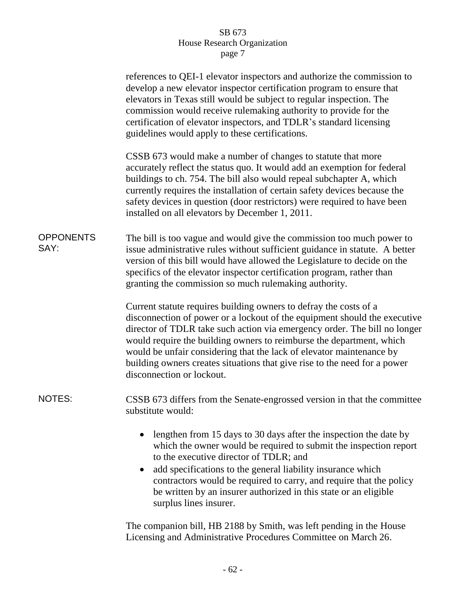|                          | references to QEI-1 elevator inspectors and authorize the commission to<br>develop a new elevator inspector certification program to ensure that<br>elevators in Texas still would be subject to regular inspection. The<br>commission would receive rulemaking authority to provide for the<br>certification of elevator inspectors, and TDLR's standard licensing<br>guidelines would apply to these certifications.                                                                |
|--------------------------|---------------------------------------------------------------------------------------------------------------------------------------------------------------------------------------------------------------------------------------------------------------------------------------------------------------------------------------------------------------------------------------------------------------------------------------------------------------------------------------|
|                          | CSSB 673 would make a number of changes to statute that more<br>accurately reflect the status quo. It would add an exemption for federal<br>buildings to ch. 754. The bill also would repeal subchapter A, which<br>currently requires the installation of certain safety devices because the<br>safety devices in question (door restrictors) were required to have been<br>installed on all elevators by December 1, 2011.                                                          |
| <b>OPPONENTS</b><br>SAY: | The bill is too vague and would give the commission too much power to<br>issue administrative rules without sufficient guidance in statute. A better<br>version of this bill would have allowed the Legislature to decide on the<br>specifics of the elevator inspector certification program, rather than<br>granting the commission so much rulemaking authority.                                                                                                                   |
|                          | Current statute requires building owners to defray the costs of a<br>disconnection of power or a lockout of the equipment should the executive<br>director of TDLR take such action via emergency order. The bill no longer<br>would require the building owners to reimburse the department, which<br>would be unfair considering that the lack of elevator maintenance by<br>building owners creates situations that give rise to the need for a power<br>disconnection or lockout. |
| <b>NOTES:</b>            | CSSB 673 differs from the Senate-engrossed version in that the committee<br>substitute would:                                                                                                                                                                                                                                                                                                                                                                                         |
|                          | lengthen from 15 days to 30 days after the inspection the date by<br>which the owner would be required to submit the inspection report<br>to the executive director of TDLR; and<br>add specifications to the general liability insurance which<br>contractors would be required to carry, and require that the policy<br>be written by an insurer authorized in this state or an eligible<br>surplus lines insurer.                                                                  |
|                          | The companion bill, HB 2188 by Smith, was left pending in the House<br>Licensing and Administrative Procedures Committee on March 26.                                                                                                                                                                                                                                                                                                                                                 |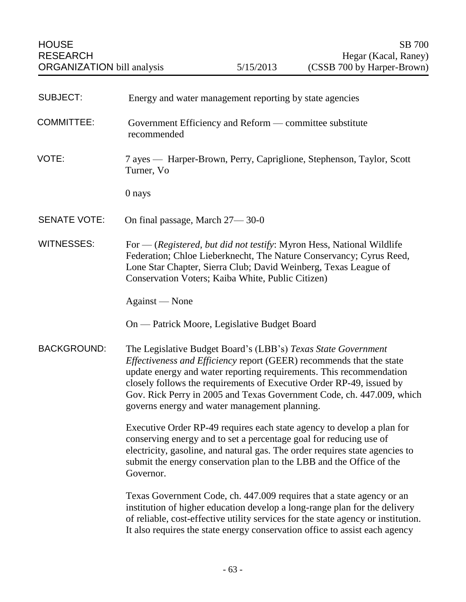| <b>SUBJECT:</b>     | Energy and water management reporting by state agencies                                                                                                                                                                                                                                                                                                                                                        |
|---------------------|----------------------------------------------------------------------------------------------------------------------------------------------------------------------------------------------------------------------------------------------------------------------------------------------------------------------------------------------------------------------------------------------------------------|
| <b>COMMITTEE:</b>   | Government Efficiency and Reform — committee substitute<br>recommended                                                                                                                                                                                                                                                                                                                                         |
| VOTE:               | 7 ayes — Harper-Brown, Perry, Capriglione, Stephenson, Taylor, Scott<br>Turner, Vo                                                                                                                                                                                                                                                                                                                             |
|                     | 0 nays                                                                                                                                                                                                                                                                                                                                                                                                         |
| <b>SENATE VOTE:</b> | On final passage, March 27-30-0                                                                                                                                                                                                                                                                                                                                                                                |
| <b>WITNESSES:</b>   | For — (Registered, but did not testify: Myron Hess, National Wildlife<br>Federation; Chloe Lieberknecht, The Nature Conservancy; Cyrus Reed,<br>Lone Star Chapter, Sierra Club; David Weinberg, Texas League of<br>Conservation Voters; Kaiba White, Public Citizen)                                                                                                                                           |
|                     | Against — None                                                                                                                                                                                                                                                                                                                                                                                                 |
|                     | On — Patrick Moore, Legislative Budget Board                                                                                                                                                                                                                                                                                                                                                                   |
| <b>BACKGROUND:</b>  | The Legislative Budget Board's (LBB's) Texas State Government<br>Effectiveness and Efficiency report (GEER) recommends that the state<br>update energy and water reporting requirements. This recommendation<br>closely follows the requirements of Executive Order RP-49, issued by<br>Gov. Rick Perry in 2005 and Texas Government Code, ch. 447.009, which<br>governs energy and water management planning. |
|                     | Executive Order RP-49 requires each state agency to develop a plan for<br>conserving energy and to set a percentage goal for reducing use of<br>electricity, gasoline, and natural gas. The order requires state agencies to<br>submit the energy conservation plan to the LBB and the Office of the<br>Governor.                                                                                              |
|                     | Texas Government Code, ch. 447.009 requires that a state agency or an<br>institution of higher education develop a long-range plan for the delivery<br>of reliable, cost-effective utility services for the state agency or institution.<br>It also requires the state energy conservation office to assist each agency                                                                                        |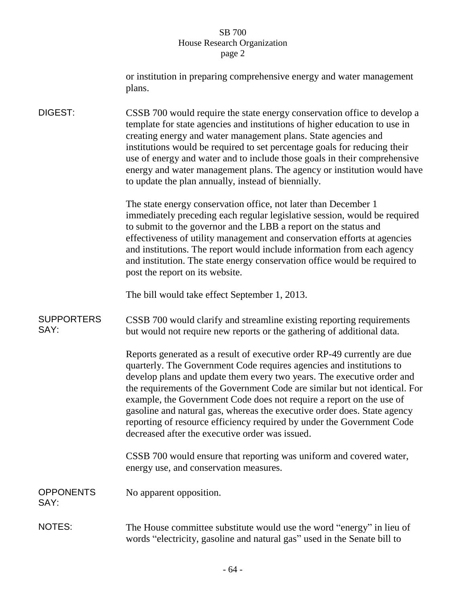|                           | or institution in preparing comprehensive energy and water management<br>plans.                                                                                                                                                                                                                                                                                                                                                                                                                                                                                                           |
|---------------------------|-------------------------------------------------------------------------------------------------------------------------------------------------------------------------------------------------------------------------------------------------------------------------------------------------------------------------------------------------------------------------------------------------------------------------------------------------------------------------------------------------------------------------------------------------------------------------------------------|
| DIGEST:                   | CSSB 700 would require the state energy conservation office to develop a<br>template for state agencies and institutions of higher education to use in<br>creating energy and water management plans. State agencies and<br>institutions would be required to set percentage goals for reducing their<br>use of energy and water and to include those goals in their comprehensive<br>energy and water management plans. The agency or institution would have<br>to update the plan annually, instead of biennially.                                                                      |
|                           | The state energy conservation office, not later than December 1<br>immediately preceding each regular legislative session, would be required<br>to submit to the governor and the LBB a report on the status and<br>effectiveness of utility management and conservation efforts at agencies<br>and institutions. The report would include information from each agency<br>and institution. The state energy conservation office would be required to<br>post the report on its website.                                                                                                  |
|                           | The bill would take effect September 1, 2013.                                                                                                                                                                                                                                                                                                                                                                                                                                                                                                                                             |
| <b>SUPPORTERS</b><br>SAY: | CSSB 700 would clarify and streamline existing reporting requirements<br>but would not require new reports or the gathering of additional data.                                                                                                                                                                                                                                                                                                                                                                                                                                           |
|                           | Reports generated as a result of executive order RP-49 currently are due<br>quarterly. The Government Code requires agencies and institutions to<br>develop plans and update them every two years. The executive order and<br>the requirements of the Government Code are similar but not identical. For<br>example, the Government Code does not require a report on the use of<br>gasoline and natural gas, whereas the executive order does. State agency<br>reporting of resource efficiency required by under the Government Code<br>decreased after the executive order was issued. |
|                           | CSSB 700 would ensure that reporting was uniform and covered water,<br>energy use, and conservation measures.                                                                                                                                                                                                                                                                                                                                                                                                                                                                             |
| <b>OPPONENTS</b><br>SAY:  | No apparent opposition.                                                                                                                                                                                                                                                                                                                                                                                                                                                                                                                                                                   |
| <b>NOTES:</b>             | The House committee substitute would use the word "energy" in lieu of<br>words "electricity, gasoline and natural gas" used in the Senate bill to                                                                                                                                                                                                                                                                                                                                                                                                                                         |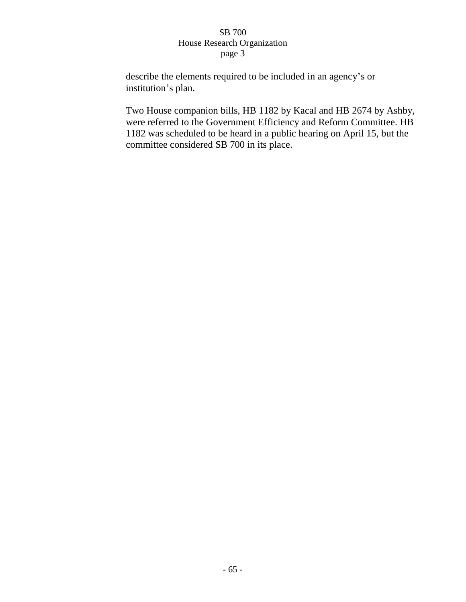describe the elements required to be included in an agency's or institution's plan.

Two House companion bills, HB 1182 by Kacal and HB 2674 by Ashby, were referred to the Government Efficiency and Reform Committee. HB 1182 was scheduled to be heard in a public hearing on April 15, but the committee considered SB 700 in its place.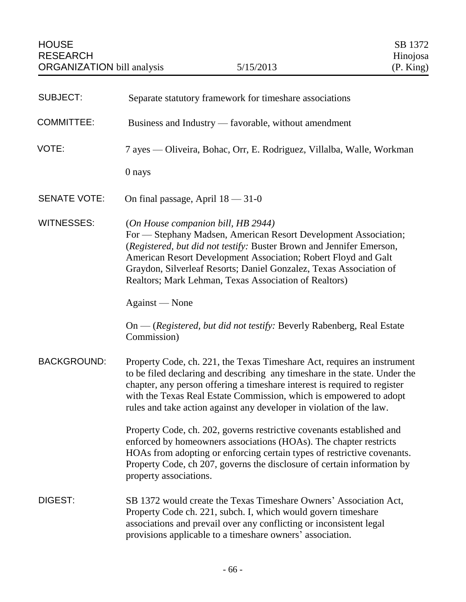| <b>SUBJECT:</b>     | Separate statutory framework for timeshare associations                                                                                                                                                                                                                                                                                                                          |
|---------------------|----------------------------------------------------------------------------------------------------------------------------------------------------------------------------------------------------------------------------------------------------------------------------------------------------------------------------------------------------------------------------------|
| <b>COMMITTEE:</b>   | Business and Industry — favorable, without amendment                                                                                                                                                                                                                                                                                                                             |
| VOTE:               | 7 ayes — Oliveira, Bohac, Orr, E. Rodriguez, Villalba, Walle, Workman                                                                                                                                                                                                                                                                                                            |
|                     | 0 nays                                                                                                                                                                                                                                                                                                                                                                           |
| <b>SENATE VOTE:</b> | On final passage, April $18 - 31 - 0$                                                                                                                                                                                                                                                                                                                                            |
| <b>WITNESSES:</b>   | (On House companion bill, HB 2944)<br>For - Stephany Madsen, American Resort Development Association;<br>(Registered, but did not testify: Buster Brown and Jennifer Emerson,<br>American Resort Development Association; Robert Floyd and Galt<br>Graydon, Silverleaf Resorts; Daniel Gonzalez, Texas Association of<br>Realtors; Mark Lehman, Texas Association of Realtors)   |
|                     | Against — None                                                                                                                                                                                                                                                                                                                                                                   |
|                     | On — (Registered, but did not testify: Beverly Rabenberg, Real Estate<br>Commission)                                                                                                                                                                                                                                                                                             |
| <b>BACKGROUND:</b>  | Property Code, ch. 221, the Texas Timeshare Act, requires an instrument<br>to be filed declaring and describing any timeshare in the state. Under the<br>chapter, any person offering a timeshare interest is required to register<br>with the Texas Real Estate Commission, which is empowered to adopt<br>rules and take action against any developer in violation of the law. |
|                     | Property Code, ch. 202, governs restrictive covenants established and<br>enforced by homeowners associations (HOAs). The chapter restricts<br>HOAs from adopting or enforcing certain types of restrictive covenants.<br>Property Code, ch 207, governs the disclosure of certain information by<br>property associations.                                                       |
| DIGEST:             | SB 1372 would create the Texas Timeshare Owners' Association Act,<br>Property Code ch. 221, subch. I, which would govern timeshare<br>associations and prevail over any conflicting or inconsistent legal<br>provisions applicable to a timeshare owners' association.                                                                                                           |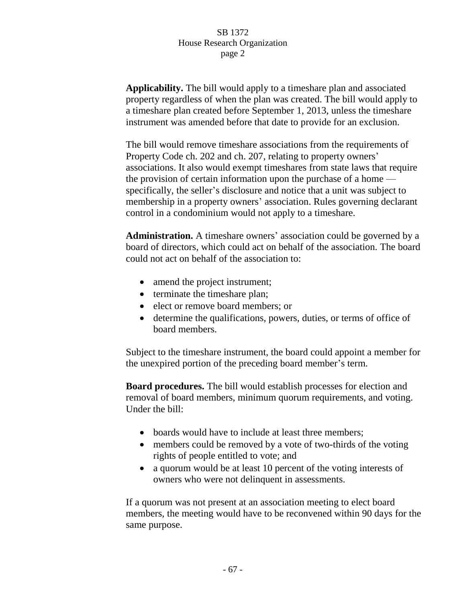**Applicability.** The bill would apply to a timeshare plan and associated property regardless of when the plan was created. The bill would apply to a timeshare plan created before September 1, 2013, unless the timeshare instrument was amended before that date to provide for an exclusion.

The bill would remove timeshare associations from the requirements of Property Code ch. 202 and ch. 207, relating to property owners' associations. It also would exempt timeshares from state laws that require the provision of certain information upon the purchase of a home specifically, the seller's disclosure and notice that a unit was subject to membership in a property owners' association. Rules governing declarant control in a condominium would not apply to a timeshare.

**Administration.** A timeshare owners' association could be governed by a board of directors, which could act on behalf of the association. The board could not act on behalf of the association to:

- amend the project instrument;
- terminate the timeshare plan;
- elect or remove board members; or
- determine the qualifications, powers, duties, or terms of office of board members.

Subject to the timeshare instrument, the board could appoint a member for the unexpired portion of the preceding board member's term.

**Board procedures.** The bill would establish processes for election and removal of board members, minimum quorum requirements, and voting. Under the bill:

- boards would have to include at least three members;
- members could be removed by a vote of two-thirds of the voting rights of people entitled to vote; and
- a quorum would be at least 10 percent of the voting interests of owners who were not delinquent in assessments.

If a quorum was not present at an association meeting to elect board members, the meeting would have to be reconvened within 90 days for the same purpose.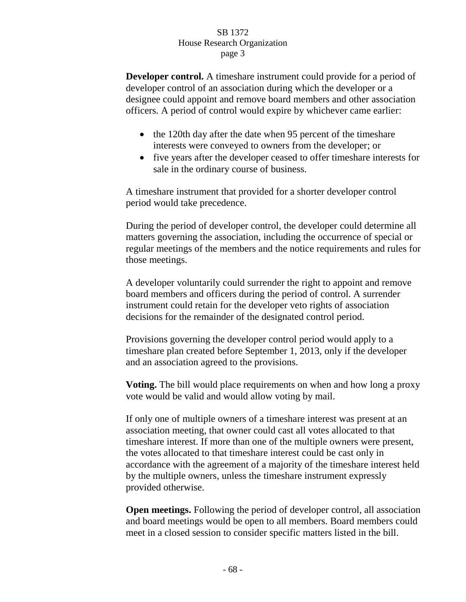**Developer control.** A timeshare instrument could provide for a period of developer control of an association during which the developer or a designee could appoint and remove board members and other association officers. A period of control would expire by whichever came earlier:

- the 120th day after the date when 95 percent of the timeshare interests were conveyed to owners from the developer; or
- five years after the developer ceased to offer timeshare interests for sale in the ordinary course of business.

A timeshare instrument that provided for a shorter developer control period would take precedence.

During the period of developer control, the developer could determine all matters governing the association, including the occurrence of special or regular meetings of the members and the notice requirements and rules for those meetings.

A developer voluntarily could surrender the right to appoint and remove board members and officers during the period of control. A surrender instrument could retain for the developer veto rights of association decisions for the remainder of the designated control period.

Provisions governing the developer control period would apply to a timeshare plan created before September 1, 2013, only if the developer and an association agreed to the provisions.

**Voting.** The bill would place requirements on when and how long a proxy vote would be valid and would allow voting by mail.

If only one of multiple owners of a timeshare interest was present at an association meeting, that owner could cast all votes allocated to that timeshare interest. If more than one of the multiple owners were present, the votes allocated to that timeshare interest could be cast only in accordance with the agreement of a majority of the timeshare interest held by the multiple owners, unless the timeshare instrument expressly provided otherwise.

**Open meetings.** Following the period of developer control, all association and board meetings would be open to all members. Board members could meet in a closed session to consider specific matters listed in the bill.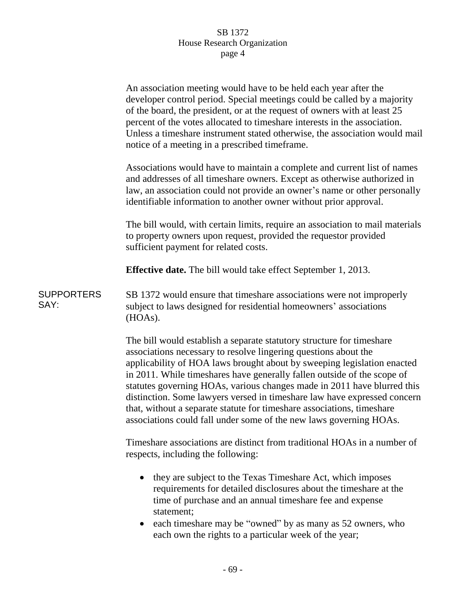|                           | An association meeting would have to be held each year after the<br>developer control period. Special meetings could be called by a majority<br>of the board, the president, or at the request of owners with at least 25<br>percent of the votes allocated to timeshare interests in the association.<br>Unless a timeshare instrument stated otherwise, the association would mail<br>notice of a meeting in a prescribed timeframe.                                                                                                                                                                |
|---------------------------|-------------------------------------------------------------------------------------------------------------------------------------------------------------------------------------------------------------------------------------------------------------------------------------------------------------------------------------------------------------------------------------------------------------------------------------------------------------------------------------------------------------------------------------------------------------------------------------------------------|
|                           | Associations would have to maintain a complete and current list of names<br>and addresses of all timeshare owners. Except as otherwise authorized in<br>law, an association could not provide an owner's name or other personally<br>identifiable information to another owner without prior approval.                                                                                                                                                                                                                                                                                                |
|                           | The bill would, with certain limits, require an association to mail materials<br>to property owners upon request, provided the requestor provided<br>sufficient payment for related costs.                                                                                                                                                                                                                                                                                                                                                                                                            |
|                           | <b>Effective date.</b> The bill would take effect September 1, 2013.                                                                                                                                                                                                                                                                                                                                                                                                                                                                                                                                  |
| <b>SUPPORTERS</b><br>SAY: | SB 1372 would ensure that timeshare associations were not improperly<br>subject to laws designed for residential homeowners' associations<br>(HOAs).                                                                                                                                                                                                                                                                                                                                                                                                                                                  |
|                           | The bill would establish a separate statutory structure for timeshare<br>associations necessary to resolve lingering questions about the<br>applicability of HOA laws brought about by sweeping legislation enacted<br>in 2011. While timeshares have generally fallen outside of the scope of<br>statutes governing HOAs, various changes made in 2011 have blurred this<br>distinction. Some lawyers versed in timeshare law have expressed concern<br>that, without a separate statute for timeshare associations, timeshare<br>associations could fall under some of the new laws governing HOAs. |
|                           | Timeshare associations are distinct from traditional HOAs in a number of<br>respects, including the following:                                                                                                                                                                                                                                                                                                                                                                                                                                                                                        |
|                           | they are subject to the Texas Timeshare Act, which imposes<br>requirements for detailed disclosures about the timeshare at the<br>time of purchase and an annual timeshare fee and expense<br>statement;<br>each timeshare may be "owned" by as many as 52 owners, who<br>each own the rights to a particular week of the year;                                                                                                                                                                                                                                                                       |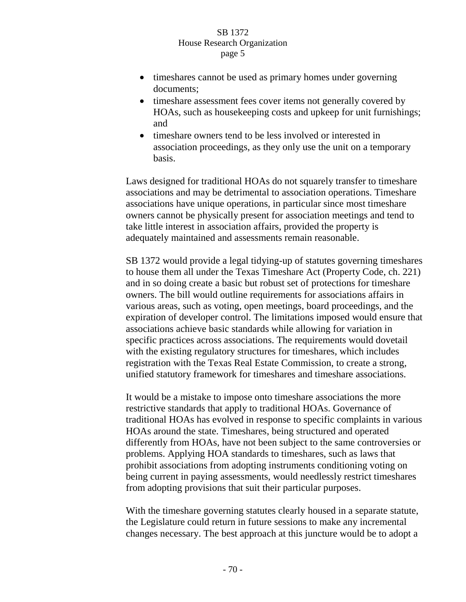- timeshares cannot be used as primary homes under governing documents;
- timeshare assessment fees cover items not generally covered by HOAs, such as housekeeping costs and upkeep for unit furnishings; and
- timeshare owners tend to be less involved or interested in association proceedings, as they only use the unit on a temporary basis.

Laws designed for traditional HOAs do not squarely transfer to timeshare associations and may be detrimental to association operations. Timeshare associations have unique operations, in particular since most timeshare owners cannot be physically present for association meetings and tend to take little interest in association affairs, provided the property is adequately maintained and assessments remain reasonable.

SB 1372 would provide a legal tidying-up of statutes governing timeshares to house them all under the Texas Timeshare Act (Property Code, ch. 221) and in so doing create a basic but robust set of protections for timeshare owners. The bill would outline requirements for associations affairs in various areas, such as voting, open meetings, board proceedings, and the expiration of developer control. The limitations imposed would ensure that associations achieve basic standards while allowing for variation in specific practices across associations. The requirements would dovetail with the existing regulatory structures for timeshares, which includes registration with the Texas Real Estate Commission, to create a strong, unified statutory framework for timeshares and timeshare associations.

It would be a mistake to impose onto timeshare associations the more restrictive standards that apply to traditional HOAs. Governance of traditional HOAs has evolved in response to specific complaints in various HOAs around the state. Timeshares, being structured and operated differently from HOAs, have not been subject to the same controversies or problems. Applying HOA standards to timeshares, such as laws that prohibit associations from adopting instruments conditioning voting on being current in paying assessments, would needlessly restrict timeshares from adopting provisions that suit their particular purposes.

With the timeshare governing statutes clearly housed in a separate statute, the Legislature could return in future sessions to make any incremental changes necessary. The best approach at this juncture would be to adopt a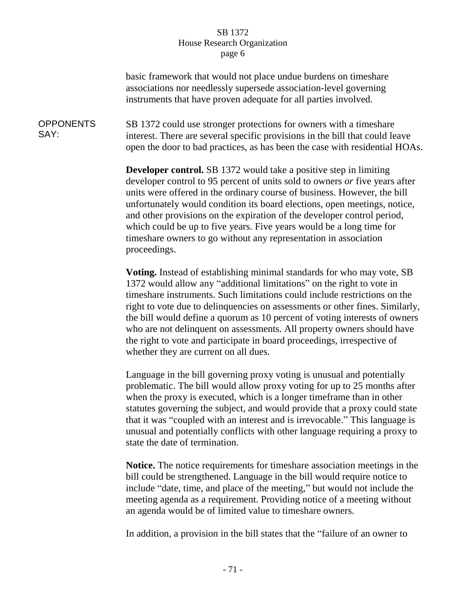### SB 1372 House Research Organization page 6

basic framework that would not place undue burdens on timeshare associations nor needlessly supersede association-level governing instruments that have proven adequate for all parties involved.

**OPPONENTS** SAY: SB 1372 could use stronger protections for owners with a timeshare interest. There are several specific provisions in the bill that could leave open the door to bad practices, as has been the case with residential HOAs.

> **Developer control.** SB 1372 would take a positive step in limiting developer control to 95 percent of units sold to owners *or* five years after units were offered in the ordinary course of business. However, the bill unfortunately would condition its board elections, open meetings, notice, and other provisions on the expiration of the developer control period, which could be up to five years. Five years would be a long time for timeshare owners to go without any representation in association proceedings.

**Voting.** Instead of establishing minimal standards for who may vote, SB 1372 would allow any "additional limitations" on the right to vote in timeshare instruments. Such limitations could include restrictions on the right to vote due to delinquencies on assessments or other fines. Similarly, the bill would define a quorum as 10 percent of voting interests of owners who are not delinquent on assessments. All property owners should have the right to vote and participate in board proceedings, irrespective of whether they are current on all dues.

Language in the bill governing proxy voting is unusual and potentially problematic. The bill would allow proxy voting for up to 25 months after when the proxy is executed, which is a longer timeframe than in other statutes governing the subject, and would provide that a proxy could state that it was "coupled with an interest and is irrevocable." This language is unusual and potentially conflicts with other language requiring a proxy to state the date of termination.

**Notice.** The notice requirements for timeshare association meetings in the bill could be strengthened. Language in the bill would require notice to include "date, time, and place of the meeting," but would not include the meeting agenda as a requirement. Providing notice of a meeting without an agenda would be of limited value to timeshare owners.

In addition, a provision in the bill states that the "failure of an owner to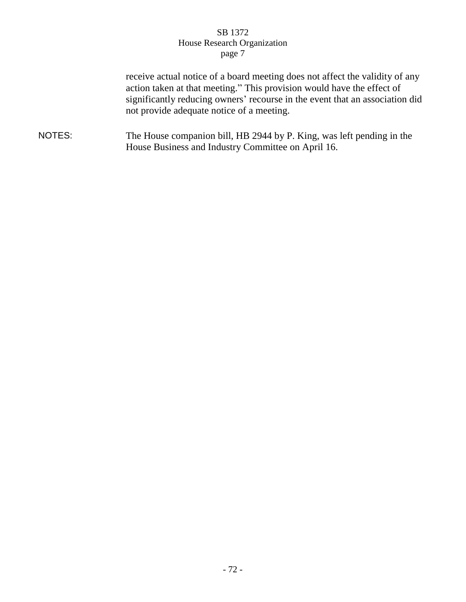### SB 1372 House Research Organization page 7

receive actual notice of a board meeting does not affect the validity of any action taken at that meeting." This provision would have the effect of significantly reducing owners' recourse in the event that an association did not provide adequate notice of a meeting.

NOTES: The House companion bill, HB 2944 by P. King, was left pending in the House Business and Industry Committee on April 16.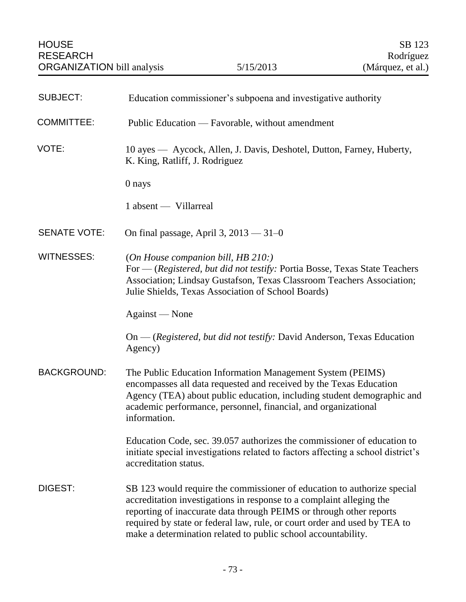| <b>SUBJECT:</b>     | Education commissioner's subpoena and investigative authority                                                                                                                                                                                                                                                                                                        |
|---------------------|----------------------------------------------------------------------------------------------------------------------------------------------------------------------------------------------------------------------------------------------------------------------------------------------------------------------------------------------------------------------|
| <b>COMMITTEE:</b>   | Public Education — Favorable, without amendment                                                                                                                                                                                                                                                                                                                      |
| VOTE:               | 10 ayes — Aycock, Allen, J. Davis, Deshotel, Dutton, Farney, Huberty,<br>K. King, Ratliff, J. Rodriguez                                                                                                                                                                                                                                                              |
|                     | 0 nays                                                                                                                                                                                                                                                                                                                                                               |
|                     | 1 absent — Villarreal                                                                                                                                                                                                                                                                                                                                                |
| <b>SENATE VOTE:</b> | On final passage, April 3, $2013 - 31 - 0$                                                                                                                                                                                                                                                                                                                           |
| <b>WITNESSES:</b>   | (On House companion bill, HB 210:)<br>For — (Registered, but did not testify: Portia Bosse, Texas State Teachers<br>Association; Lindsay Gustafson, Texas Classroom Teachers Association;<br>Julie Shields, Texas Association of School Boards)                                                                                                                      |
|                     | Against — None                                                                                                                                                                                                                                                                                                                                                       |
|                     | On — (Registered, but did not testify: David Anderson, Texas Education<br>Agency)                                                                                                                                                                                                                                                                                    |
| <b>BACKGROUND:</b>  | The Public Education Information Management System (PEIMS)<br>encompasses all data requested and received by the Texas Education<br>Agency (TEA) about public education, including student demographic and<br>academic performance, personnel, financial, and organizational<br>information.                                                                         |
|                     | Education Code, sec. 39.057 authorizes the commissioner of education to<br>initiate special investigations related to factors affecting a school district's<br>accreditation status.                                                                                                                                                                                 |
| DIGEST:             | SB 123 would require the commissioner of education to authorize special<br>accreditation investigations in response to a complaint alleging the<br>reporting of inaccurate data through PEIMS or through other reports<br>required by state or federal law, rule, or court order and used by TEA to<br>make a determination related to public school accountability. |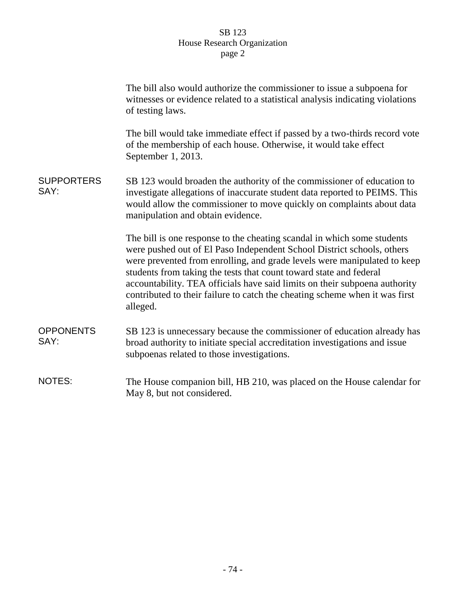# SB 123 House Research Organization page 2

|                           | The bill also would authorize the commissioner to issue a subpoena for<br>witnesses or evidence related to a statistical analysis indicating violations<br>of testing laws.                                                                                                                                                                                                                                                                                                  |
|---------------------------|------------------------------------------------------------------------------------------------------------------------------------------------------------------------------------------------------------------------------------------------------------------------------------------------------------------------------------------------------------------------------------------------------------------------------------------------------------------------------|
|                           | The bill would take immediate effect if passed by a two-thirds record vote<br>of the membership of each house. Otherwise, it would take effect<br>September 1, 2013.                                                                                                                                                                                                                                                                                                         |
| <b>SUPPORTERS</b><br>SAY: | SB 123 would broaden the authority of the commissioner of education to<br>investigate allegations of inaccurate student data reported to PEIMS. This<br>would allow the commissioner to move quickly on complaints about data<br>manipulation and obtain evidence.                                                                                                                                                                                                           |
|                           | The bill is one response to the cheating scandal in which some students<br>were pushed out of El Paso Independent School District schools, others<br>were prevented from enrolling, and grade levels were manipulated to keep<br>students from taking the tests that count toward state and federal<br>accountability. TEA officials have said limits on their subpoena authority<br>contributed to their failure to catch the cheating scheme when it was first<br>alleged. |
| <b>OPPONENTS</b><br>SAY:  | SB 123 is unnecessary because the commissioner of education already has<br>broad authority to initiate special accreditation investigations and issue<br>subpoenas related to those investigations.                                                                                                                                                                                                                                                                          |
| <b>NOTES:</b>             | The House companion bill, HB 210, was placed on the House calendar for<br>May 8, but not considered.                                                                                                                                                                                                                                                                                                                                                                         |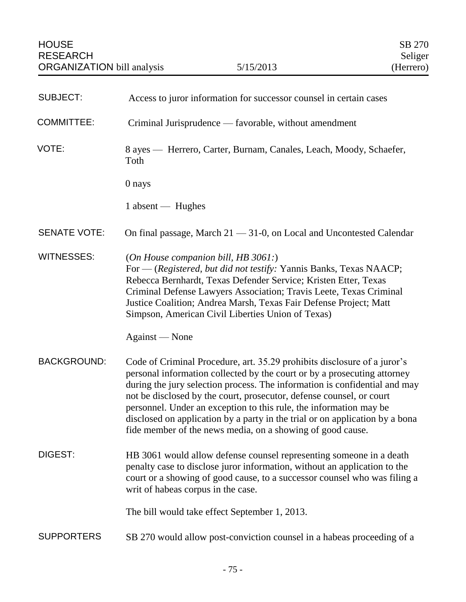| <b>SUBJECT:</b>     | Access to juror information for successor counsel in certain cases                                                                                                                                                                                                                                                                                                                                                                                                                                                             |
|---------------------|--------------------------------------------------------------------------------------------------------------------------------------------------------------------------------------------------------------------------------------------------------------------------------------------------------------------------------------------------------------------------------------------------------------------------------------------------------------------------------------------------------------------------------|
| <b>COMMITTEE:</b>   | Criminal Jurisprudence — favorable, without amendment                                                                                                                                                                                                                                                                                                                                                                                                                                                                          |
| VOTE:               | 8 ayes — Herrero, Carter, Burnam, Canales, Leach, Moody, Schaefer,<br>Toth                                                                                                                                                                                                                                                                                                                                                                                                                                                     |
|                     | 0 nays                                                                                                                                                                                                                                                                                                                                                                                                                                                                                                                         |
|                     | 1 absent — Hughes                                                                                                                                                                                                                                                                                                                                                                                                                                                                                                              |
| <b>SENATE VOTE:</b> | On final passage, March $21 - 31 - 0$ , on Local and Uncontested Calendar                                                                                                                                                                                                                                                                                                                                                                                                                                                      |
| <b>WITNESSES:</b>   | (On House companion bill, HB $3061$ .)<br>For — (Registered, but did not testify: Yannis Banks, Texas NAACP;<br>Rebecca Bernhardt, Texas Defender Service; Kristen Etter, Texas<br>Criminal Defense Lawyers Association; Travis Leete, Texas Criminal<br>Justice Coalition; Andrea Marsh, Texas Fair Defense Project; Matt<br>Simpson, American Civil Liberties Union of Texas)                                                                                                                                                |
|                     | Against — None                                                                                                                                                                                                                                                                                                                                                                                                                                                                                                                 |
| <b>BACKGROUND:</b>  | Code of Criminal Procedure, art. 35.29 prohibits disclosure of a juror's<br>personal information collected by the court or by a prosecuting attorney<br>during the jury selection process. The information is confidential and may<br>not be disclosed by the court, prosecutor, defense counsel, or court<br>personnel. Under an exception to this rule, the information may be<br>disclosed on application by a party in the trial or on application by a bona<br>fide member of the news media, on a showing of good cause. |
| DIGEST:             | HB 3061 would allow defense counsel representing someone in a death<br>penalty case to disclose juror information, without an application to the<br>court or a showing of good cause, to a successor counsel who was filing a<br>writ of habeas corpus in the case.                                                                                                                                                                                                                                                            |
|                     | The bill would take effect September 1, 2013.                                                                                                                                                                                                                                                                                                                                                                                                                                                                                  |
| <b>SUPPORTERS</b>   | SB 270 would allow post-conviction counsel in a habeas proceeding of a                                                                                                                                                                                                                                                                                                                                                                                                                                                         |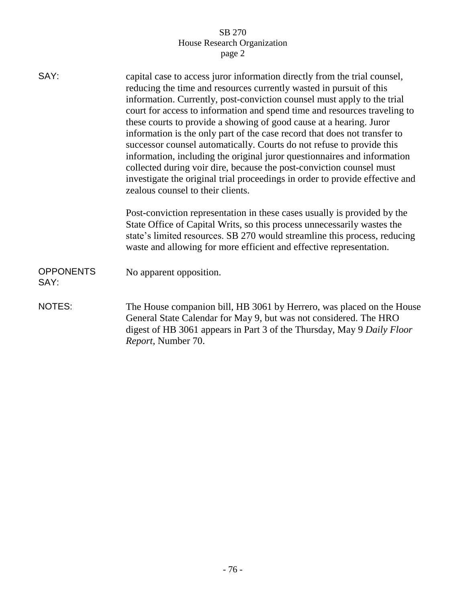# SB 270 House Research Organization page 2

| SAY:                     | capital case to access juror information directly from the trial counsel,<br>reducing the time and resources currently wasted in pursuit of this                                                                                                                                                                                                                                                                                                              |
|--------------------------|---------------------------------------------------------------------------------------------------------------------------------------------------------------------------------------------------------------------------------------------------------------------------------------------------------------------------------------------------------------------------------------------------------------------------------------------------------------|
|                          | information. Currently, post-conviction counsel must apply to the trial<br>court for access to information and spend time and resources traveling to<br>these courts to provide a showing of good cause at a hearing. Juror<br>information is the only part of the case record that does not transfer to<br>successor counsel automatically. Courts do not refuse to provide this<br>information, including the original juror questionnaires and information |
|                          | collected during voir dire, because the post-conviction counsel must<br>investigate the original trial proceedings in order to provide effective and<br>zealous counsel to their clients.                                                                                                                                                                                                                                                                     |
|                          | Post-conviction representation in these cases usually is provided by the<br>State Office of Capital Writs, so this process unnecessarily wastes the<br>state's limited resources. SB 270 would streamline this process, reducing<br>waste and allowing for more efficient and effective representation.                                                                                                                                                       |
| <b>OPPONENTS</b><br>SAY: | No apparent opposition.                                                                                                                                                                                                                                                                                                                                                                                                                                       |
| <b>NOTES:</b>            | The House companion bill, HB 3061 by Herrero, was placed on the House<br>General State Calendar for May 9, but was not considered. The HRO<br>digest of HB 3061 appears in Part 3 of the Thursday, May 9 Daily Floor<br>Report, Number 70.                                                                                                                                                                                                                    |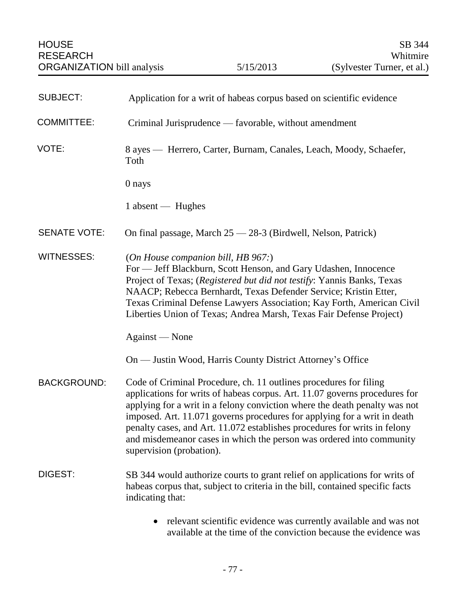| <b>SUBJECT:</b>     | Application for a writ of habeas corpus based on scientific evidence                                                                                                                                                                                                                                                                                                                                                                                                                       |
|---------------------|--------------------------------------------------------------------------------------------------------------------------------------------------------------------------------------------------------------------------------------------------------------------------------------------------------------------------------------------------------------------------------------------------------------------------------------------------------------------------------------------|
| <b>COMMITTEE:</b>   | Criminal Jurisprudence — favorable, without amendment                                                                                                                                                                                                                                                                                                                                                                                                                                      |
| VOTE:               | 8 ayes — Herrero, Carter, Burnam, Canales, Leach, Moody, Schaefer,<br>Toth                                                                                                                                                                                                                                                                                                                                                                                                                 |
|                     | 0 nays                                                                                                                                                                                                                                                                                                                                                                                                                                                                                     |
|                     | 1 absent — Hughes                                                                                                                                                                                                                                                                                                                                                                                                                                                                          |
| <b>SENATE VOTE:</b> | On final passage, March 25 - 28-3 (Birdwell, Nelson, Patrick)                                                                                                                                                                                                                                                                                                                                                                                                                              |
| <b>WITNESSES:</b>   | (On House companion bill, HB 967:)<br>For - Jeff Blackburn, Scott Henson, and Gary Udashen, Innocence<br>Project of Texas; (Registered but did not testify: Yannis Banks, Texas<br>NAACP; Rebecca Bernhardt, Texas Defender Service; Kristin Etter,<br>Texas Criminal Defense Lawyers Association; Kay Forth, American Civil<br>Liberties Union of Texas; Andrea Marsh, Texas Fair Defense Project)                                                                                        |
|                     | Against — None                                                                                                                                                                                                                                                                                                                                                                                                                                                                             |
|                     | On — Justin Wood, Harris County District Attorney's Office                                                                                                                                                                                                                                                                                                                                                                                                                                 |
| <b>BACKGROUND:</b>  | Code of Criminal Procedure, ch. 11 outlines procedures for filing<br>applications for writs of habeas corpus. Art. 11.07 governs procedures for<br>applying for a writ in a felony conviction where the death penalty was not<br>imposed. Art. 11.071 governs procedures for applying for a writ in death<br>penalty cases, and Art. 11.072 establishes procedures for writs in felony<br>and misdemeanor cases in which the person was ordered into community<br>supervision (probation). |
| DIGEST:             | SB 344 would authorize courts to grant relief on applications for writs of<br>habeas corpus that, subject to criteria in the bill, contained specific facts<br>indicating that:                                                                                                                                                                                                                                                                                                            |
|                     | relevant scientific evidence was currently available and was not                                                                                                                                                                                                                                                                                                                                                                                                                           |

available at the time of the conviction because the evidence was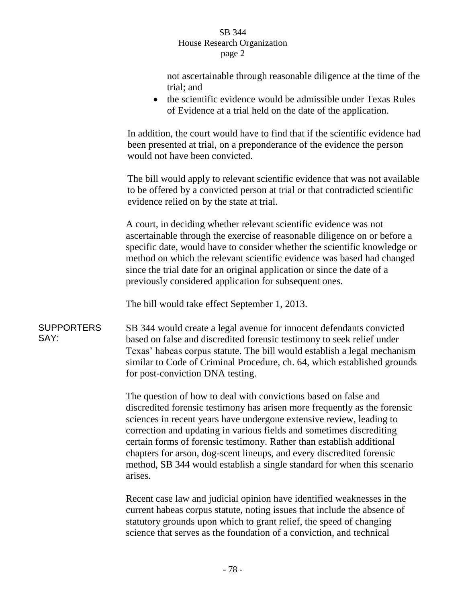| SB 344                      |
|-----------------------------|
| House Research Organization |
| page 2                      |

not ascertainable through reasonable diligence at the time of the trial; and • the scientific evidence would be admissible under Texas Rules of Evidence at a trial held on the date of the application. In addition, the court would have to find that if the scientific evidence had been presented at trial, on a preponderance of the evidence the person would not have been convicted. The bill would apply to relevant scientific evidence that was not available to be offered by a convicted person at trial or that contradicted scientific evidence relied on by the state at trial. A court, in deciding whether relevant scientific evidence was not ascertainable through the exercise of reasonable diligence on or before a specific date, would have to consider whether the scientific knowledge or method on which the relevant scientific evidence was based had changed since the trial date for an original application or since the date of a previously considered application for subsequent ones. The bill would take effect September 1, 2013. **SUPPORTERS** SAY: SB 344 would create a legal avenue for innocent defendants convicted based on false and discredited forensic testimony to seek relief under Texas' habeas corpus statute. The bill would establish a legal mechanism similar to Code of Criminal Procedure, ch. 64, which established grounds for post-conviction DNA testing. The question of how to deal with convictions based on false and discredited forensic testimony has arisen more frequently as the forensic sciences in recent years have undergone extensive review, leading to correction and updating in various fields and sometimes discrediting certain forms of forensic testimony. Rather than establish additional chapters for arson, dog-scent lineups, and every discredited forensic method, SB 344 would establish a single standard for when this scenario arises. Recent case law and judicial opinion have identified weaknesses in the current habeas corpus statute, noting issues that include the absence of statutory grounds upon which to grant relief, the speed of changing science that serves as the foundation of a conviction, and technical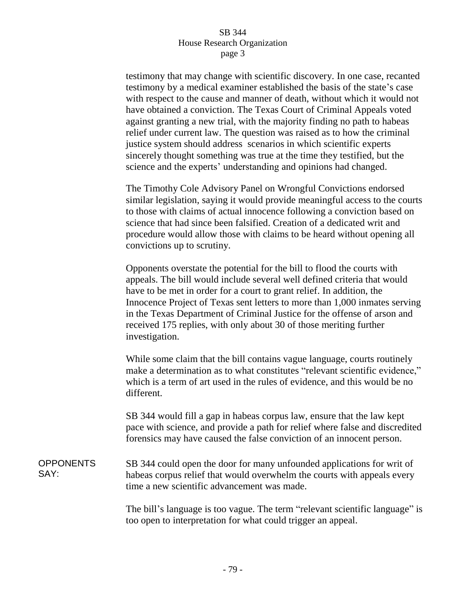### SB 344 House Research Organization page 3

testimony that may change with scientific discovery. In one case, recanted testimony by a medical examiner established the basis of the state's case with respect to the cause and manner of death, without which it would not have obtained a conviction. The Texas Court of Criminal Appeals voted against granting a new trial, with the majority finding no path to habeas relief under current law. The question was raised as to how the criminal justice system should address scenarios in which scientific experts sincerely thought something was true at the time they testified, but the science and the experts' understanding and opinions had changed.

The Timothy Cole Advisory Panel on Wrongful Convictions endorsed similar legislation, saying it would provide meaningful access to the courts to those with claims of actual innocence following a conviction based on science that had since been falsified. Creation of a dedicated writ and procedure would allow those with claims to be heard without opening all convictions up to scrutiny.

Opponents overstate the potential for the bill to flood the courts with appeals. The bill would include several well defined criteria that would have to be met in order for a court to grant relief. In addition, the Innocence Project of Texas sent letters to more than 1,000 inmates serving in the Texas Department of Criminal Justice for the offense of arson and received 175 replies, with only about 30 of those meriting further investigation.

While some claim that the bill contains vague language, courts routinely make a determination as to what constitutes "relevant scientific evidence," which is a term of art used in the rules of evidence, and this would be no different.

SB 344 would fill a gap in habeas corpus law, ensure that the law kept pace with science, and provide a path for relief where false and discredited forensics may have caused the false conviction of an innocent person.

**OPPONENTS** SAY: SB 344 could open the door for many unfounded applications for writ of habeas corpus relief that would overwhelm the courts with appeals every time a new scientific advancement was made.

> The bill's language is too vague. The term "relevant scientific language" is too open to interpretation for what could trigger an appeal.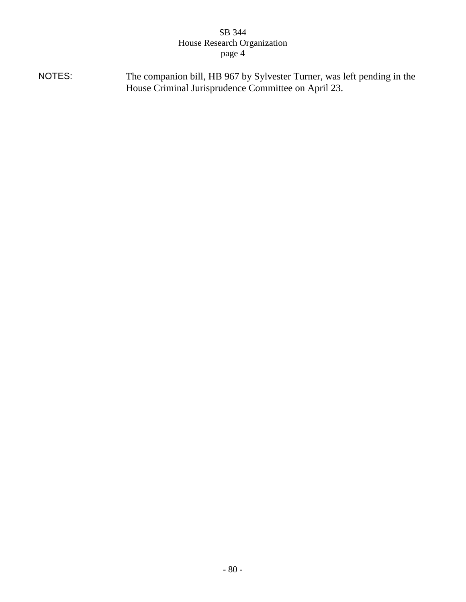# SB 344 House Research Organization page 4

NOTES: The companion bill, HB 967 by Sylvester Turner, was left pending in the House Criminal Jurisprudence Committee on April 23.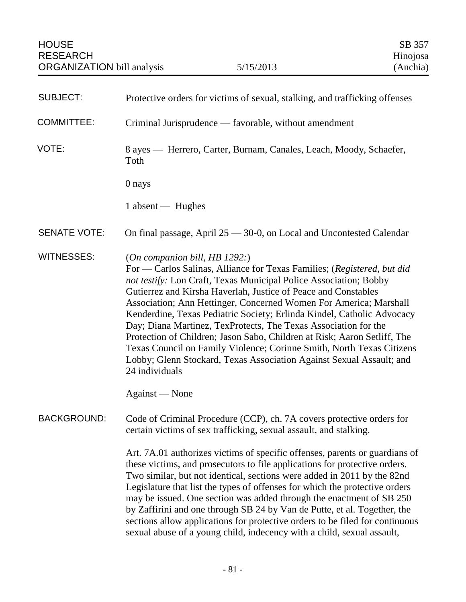| <b>SUBJECT:</b>     | Protective orders for victims of sexual, stalking, and trafficking offenses                                                                                                                                                                                                                                                                                                                                                                                                                                                                                                                                                                                                                                      |
|---------------------|------------------------------------------------------------------------------------------------------------------------------------------------------------------------------------------------------------------------------------------------------------------------------------------------------------------------------------------------------------------------------------------------------------------------------------------------------------------------------------------------------------------------------------------------------------------------------------------------------------------------------------------------------------------------------------------------------------------|
| <b>COMMITTEE:</b>   | Criminal Jurisprudence — favorable, without amendment                                                                                                                                                                                                                                                                                                                                                                                                                                                                                                                                                                                                                                                            |
| VOTE:               | 8 ayes — Herrero, Carter, Burnam, Canales, Leach, Moody, Schaefer,<br>Toth                                                                                                                                                                                                                                                                                                                                                                                                                                                                                                                                                                                                                                       |
|                     | 0 nays                                                                                                                                                                                                                                                                                                                                                                                                                                                                                                                                                                                                                                                                                                           |
|                     | 1 absent — Hughes                                                                                                                                                                                                                                                                                                                                                                                                                                                                                                                                                                                                                                                                                                |
| <b>SENATE VOTE:</b> | On final passage, April 25 - 30-0, on Local and Uncontested Calendar                                                                                                                                                                                                                                                                                                                                                                                                                                                                                                                                                                                                                                             |
| <b>WITNESSES:</b>   | (On companion bill, HB 1292.)<br>For — Carlos Salinas, Alliance for Texas Families; (Registered, but did<br>not testify: Lon Craft, Texas Municipal Police Association; Bobby<br>Gutierrez and Kirsha Haverlah, Justice of Peace and Constables<br>Association; Ann Hettinger, Concerned Women For America; Marshall<br>Kenderdine, Texas Pediatric Society; Erlinda Kindel, Catholic Advocacy<br>Day; Diana Martinez, TexProtects, The Texas Association for the<br>Protection of Children; Jason Sabo, Children at Risk; Aaron Setliff, The<br>Texas Council on Family Violence; Corinne Smith, North Texas Citizens<br>Lobby; Glenn Stockard, Texas Association Against Sexual Assault; and<br>24 individuals |
|                     | Against — None                                                                                                                                                                                                                                                                                                                                                                                                                                                                                                                                                                                                                                                                                                   |
| <b>BACKGROUND:</b>  | Code of Criminal Procedure (CCP), ch. 7A covers protective orders for<br>certain victims of sex trafficking, sexual assault, and stalking.                                                                                                                                                                                                                                                                                                                                                                                                                                                                                                                                                                       |
|                     | Art. 7A.01 authorizes victims of specific offenses, parents or guardians of<br>these victims, and prosecutors to file applications for protective orders.<br>Two similar, but not identical, sections were added in 2011 by the 82nd<br>Legislature that list the types of offenses for which the protective orders<br>may be issued. One section was added through the enactment of SB 250<br>by Zaffirini and one through SB 24 by Van de Putte, et al. Together, the<br>sections allow applications for protective orders to be filed for continuous<br>sexual abuse of a young child, indecency with a child, sexual assault,                                                                                |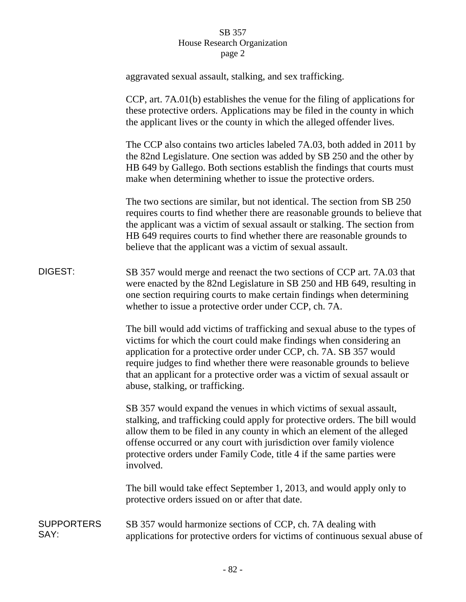# SB 357 House Research Organization page 2

|                           | aggravated sexual assault, stalking, and sex trafficking.                                                                                                                                                                                                                                                                                                                                                            |
|---------------------------|----------------------------------------------------------------------------------------------------------------------------------------------------------------------------------------------------------------------------------------------------------------------------------------------------------------------------------------------------------------------------------------------------------------------|
|                           | CCP, art. 7A.01(b) establishes the venue for the filing of applications for<br>these protective orders. Applications may be filed in the county in which<br>the applicant lives or the county in which the alleged offender lives.                                                                                                                                                                                   |
|                           | The CCP also contains two articles labeled 7A.03, both added in 2011 by<br>the 82nd Legislature. One section was added by SB 250 and the other by<br>HB 649 by Gallego. Both sections establish the findings that courts must<br>make when determining whether to issue the protective orders.                                                                                                                       |
|                           | The two sections are similar, but not identical. The section from SB 250<br>requires courts to find whether there are reasonable grounds to believe that<br>the applicant was a victim of sexual assault or stalking. The section from<br>HB 649 requires courts to find whether there are reasonable grounds to<br>believe that the applicant was a victim of sexual assault.                                       |
| DIGEST:                   | SB 357 would merge and reenact the two sections of CCP art. 7A.03 that<br>were enacted by the 82nd Legislature in SB 250 and HB 649, resulting in<br>one section requiring courts to make certain findings when determining<br>whether to issue a protective order under CCP, ch. 7A.                                                                                                                                |
|                           | The bill would add victims of trafficking and sexual abuse to the types of<br>victims for which the court could make findings when considering an<br>application for a protective order under CCP, ch. 7A. SB 357 would<br>require judges to find whether there were reasonable grounds to believe<br>that an applicant for a protective order was a victim of sexual assault or<br>abuse, stalking, or trafficking. |
|                           | SB 357 would expand the venues in which victims of sexual assault,<br>stalking, and trafficking could apply for protective orders. The bill would<br>allow them to be filed in any county in which an element of the alleged<br>offense occurred or any court with jurisdiction over family violence<br>protective orders under Family Code, title 4 if the same parties were<br>involved.                           |
|                           | The bill would take effect September 1, 2013, and would apply only to<br>protective orders issued on or after that date.                                                                                                                                                                                                                                                                                             |
| <b>SUPPORTERS</b><br>SAY: | SB 357 would harmonize sections of CCP, ch. 7A dealing with<br>applications for protective orders for victims of continuous sexual abuse of                                                                                                                                                                                                                                                                          |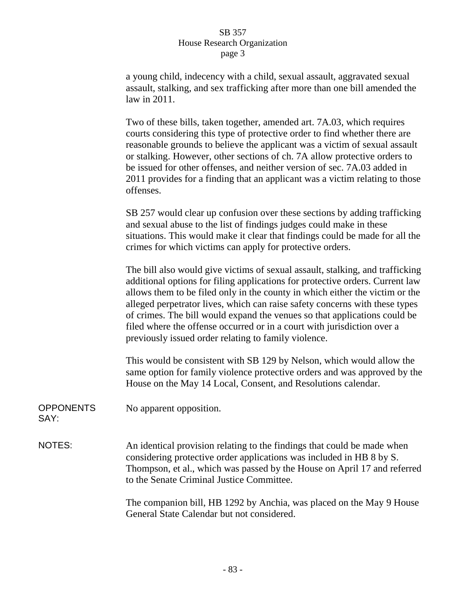### SB 357 House Research Organization page 3

a young child, indecency with a child, sexual assault, aggravated sexual assault, stalking, and sex trafficking after more than one bill amended the law in 2011.

Two of these bills, taken together, amended art. 7A.03, which requires courts considering this type of protective order to find whether there are reasonable grounds to believe the applicant was a victim of sexual assault or stalking. However, other sections of ch. 7A allow protective orders to be issued for other offenses, and neither version of sec. 7A.03 added in 2011 provides for a finding that an applicant was a victim relating to those offenses.

SB 257 would clear up confusion over these sections by adding trafficking and sexual abuse to the list of findings judges could make in these situations. This would make it clear that findings could be made for all the crimes for which victims can apply for protective orders.

The bill also would give victims of sexual assault, stalking, and trafficking additional options for filing applications for protective orders. Current law allows them to be filed only in the county in which either the victim or the alleged perpetrator lives, which can raise safety concerns with these types of crimes. The bill would expand the venues so that applications could be filed where the offense occurred or in a court with jurisdiction over a previously issued order relating to family violence.

This would be consistent with SB 129 by Nelson, which would allow the same option for family violence protective orders and was approved by the House on the May 14 Local, Consent, and Resolutions calendar.

**OPPONENTS** SAY: No apparent opposition.

NOTES: An identical provision relating to the findings that could be made when considering protective order applications was included in HB 8 by S. Thompson, et al., which was passed by the House on April 17 and referred to the Senate Criminal Justice Committee.

> The companion bill, HB 1292 by Anchia, was placed on the May 9 House General State Calendar but not considered.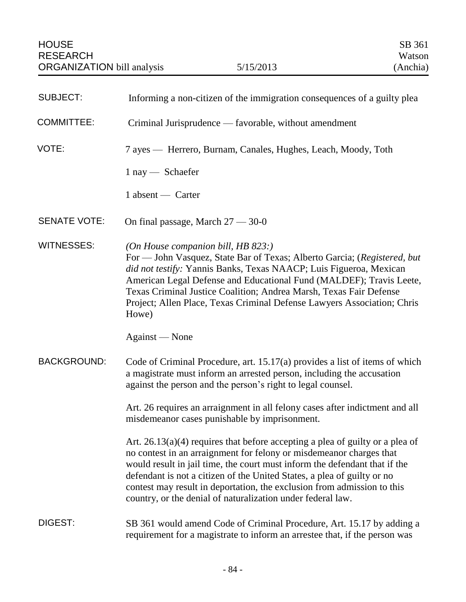| <b>SUBJECT:</b>     | Informing a non-citizen of the immigration consequences of a guilty plea                                                                                                                                                                                                                                                                                                                                                                                  |
|---------------------|-----------------------------------------------------------------------------------------------------------------------------------------------------------------------------------------------------------------------------------------------------------------------------------------------------------------------------------------------------------------------------------------------------------------------------------------------------------|
| <b>COMMITTEE:</b>   | Criminal Jurisprudence — favorable, without amendment                                                                                                                                                                                                                                                                                                                                                                                                     |
| VOTE:               | 7 ayes — Herrero, Burnam, Canales, Hughes, Leach, Moody, Toth                                                                                                                                                                                                                                                                                                                                                                                             |
|                     | $1$ nay $-$ Schaefer                                                                                                                                                                                                                                                                                                                                                                                                                                      |
|                     | 1 absent — Carter                                                                                                                                                                                                                                                                                                                                                                                                                                         |
| <b>SENATE VOTE:</b> | On final passage, March $27 - 30 - 0$                                                                                                                                                                                                                                                                                                                                                                                                                     |
| <b>WITNESSES:</b>   | (On House companion bill, HB 823:)<br>For — John Vasquez, State Bar of Texas; Alberto Garcia; (Registered, but<br>did not testify: Yannis Banks, Texas NAACP; Luis Figueroa, Mexican<br>American Legal Defense and Educational Fund (MALDEF); Travis Leete,<br>Texas Criminal Justice Coalition; Andrea Marsh, Texas Fair Defense<br>Project; Allen Place, Texas Criminal Defense Lawyers Association; Chris<br>Howe)                                     |
|                     | Against — None                                                                                                                                                                                                                                                                                                                                                                                                                                            |
| <b>BACKGROUND:</b>  | Code of Criminal Procedure, art. 15.17(a) provides a list of items of which<br>a magistrate must inform an arrested person, including the accusation<br>against the person and the person's right to legal counsel.                                                                                                                                                                                                                                       |
|                     | Art. 26 requires an arraignment in all felony cases after indictment and all<br>misdemeanor cases punishable by imprisonment.                                                                                                                                                                                                                                                                                                                             |
|                     | Art. $26.13(a)(4)$ requires that before accepting a plea of guilty or a plea of<br>no contest in an arraignment for felony or misdemeanor charges that<br>would result in jail time, the court must inform the defendant that if the<br>defendant is not a citizen of the United States, a plea of guilty or no<br>contest may result in deportation, the exclusion from admission to this<br>country, or the denial of naturalization under federal law. |
| DIGEST:             | SB 361 would amend Code of Criminal Procedure, Art. 15.17 by adding a<br>requirement for a magistrate to inform an arrestee that, if the person was                                                                                                                                                                                                                                                                                                       |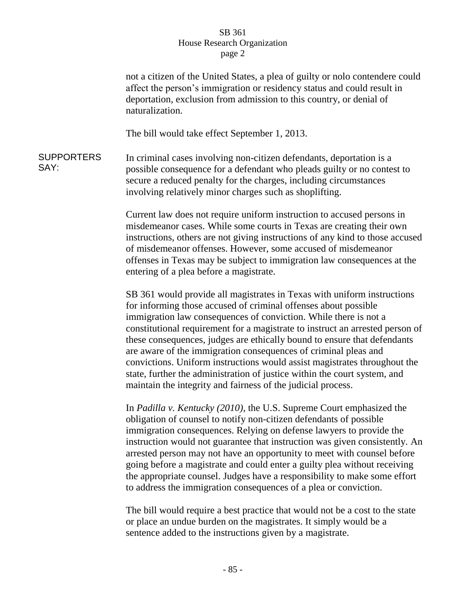#### SB 361 House Research Organization page 2

not a citizen of the United States, a plea of guilty or nolo contendere could affect the person's immigration or residency status and could result in deportation, exclusion from admission to this country, or denial of naturalization.

The bill would take effect September 1, 2013.

**SUPPORTERS** SAY: In criminal cases involving non-citizen defendants, deportation is a possible consequence for a defendant who pleads guilty or no contest to secure a reduced penalty for the charges, including circumstances involving relatively minor charges such as shoplifting.

> Current law does not require uniform instruction to accused persons in misdemeanor cases. While some courts in Texas are creating their own instructions, others are not giving instructions of any kind to those accused of misdemeanor offenses. However, some accused of misdemeanor offenses in Texas may be subject to immigration law consequences at the entering of a plea before a magistrate.

> SB 361 would provide all magistrates in Texas with uniform instructions for informing those accused of criminal offenses about possible immigration law consequences of conviction. While there is not a constitutional requirement for a magistrate to instruct an arrested person of these consequences, judges are ethically bound to ensure that defendants are aware of the immigration consequences of criminal pleas and convictions. Uniform instructions would assist magistrates throughout the state, further the administration of justice within the court system, and maintain the integrity and fairness of the judicial process.

> In *Padilla v. Kentucky (2010)*, the U.S. Supreme Court emphasized the obligation of counsel to notify non-citizen defendants of possible immigration consequences. Relying on defense lawyers to provide the instruction would not guarantee that instruction was given consistently. An arrested person may not have an opportunity to meet with counsel before going before a magistrate and could enter a guilty plea without receiving the appropriate counsel. Judges have a responsibility to make some effort to address the immigration consequences of a plea or conviction.

The bill would require a best practice that would not be a cost to the state or place an undue burden on the magistrates. It simply would be a sentence added to the instructions given by a magistrate.